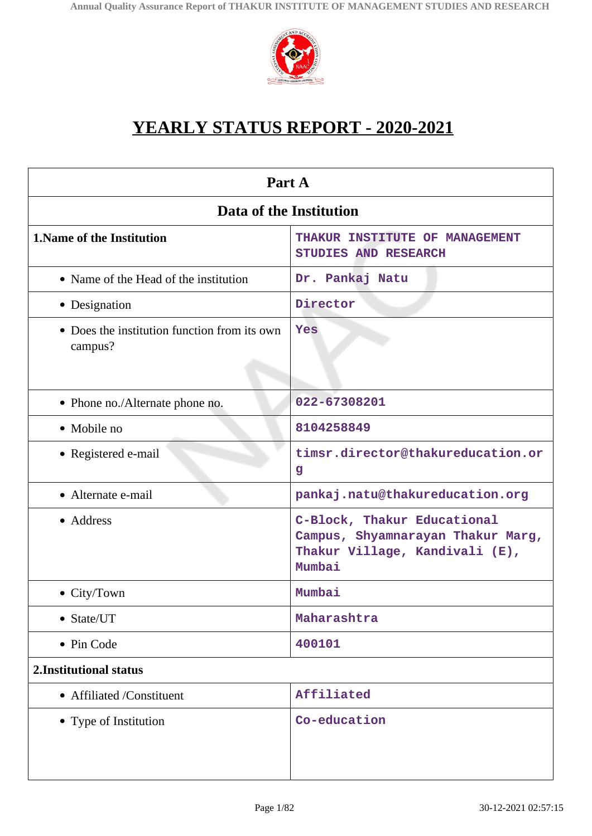

# **YEARLY STATUS REPORT - 2020-2021**

| Part A                                                  |                                                                                                              |  |  |
|---------------------------------------------------------|--------------------------------------------------------------------------------------------------------------|--|--|
| Data of the Institution                                 |                                                                                                              |  |  |
| <b>1. Name of the Institution</b>                       | THAKUR INSTITUTE OF MANAGEMENT<br>STUDIES AND RESEARCH                                                       |  |  |
| • Name of the Head of the institution                   | Dr. Pankaj Natu                                                                                              |  |  |
| • Designation                                           | Director                                                                                                     |  |  |
| • Does the institution function from its own<br>campus? | Yes                                                                                                          |  |  |
| • Phone no./Alternate phone no.                         | 022-67308201                                                                                                 |  |  |
| • Mobile no                                             | 8104258849                                                                                                   |  |  |
| • Registered e-mail                                     | timsr.director@thakureducation.or<br>$\mathbf{g}$                                                            |  |  |
| • Alternate e-mail                                      | pankaj.natu@thakureducation.org                                                                              |  |  |
| • Address                                               | C-Block, Thakur Educational<br>Campus, Shyamnarayan Thakur Marg,<br>Thakur Village, Kandivali (E),<br>Mumbai |  |  |
| • City/Town                                             | Mumbai                                                                                                       |  |  |
| • State/UT                                              | Maharashtra                                                                                                  |  |  |
| • Pin Code                                              | 400101                                                                                                       |  |  |
| 2. Institutional status                                 |                                                                                                              |  |  |
| • Affiliated /Constituent                               | Affiliated                                                                                                   |  |  |
| • Type of Institution                                   | Co-education                                                                                                 |  |  |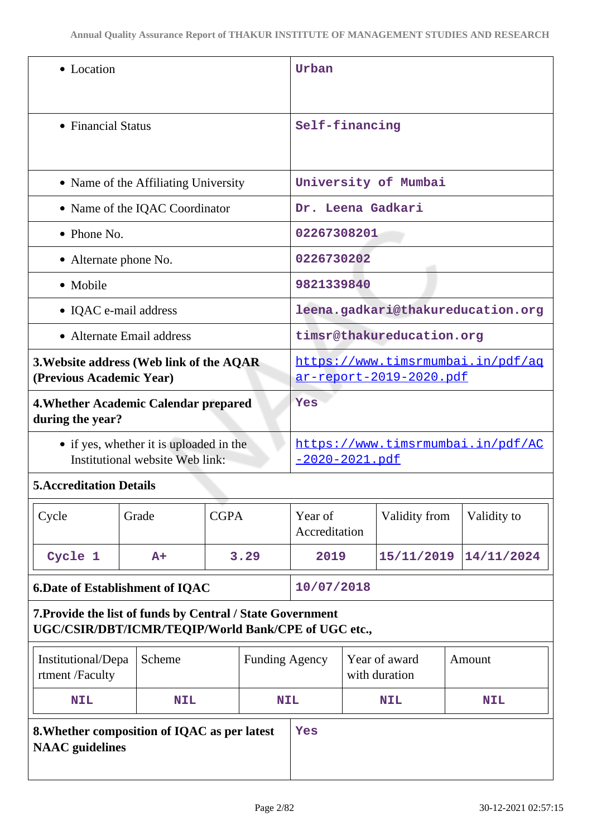| • Location                                                                                                        |            |                                                              | Urban                 |                          |  |                                |  |                                   |
|-------------------------------------------------------------------------------------------------------------------|------------|--------------------------------------------------------------|-----------------------|--------------------------|--|--------------------------------|--|-----------------------------------|
| • Financial Status                                                                                                |            |                                                              | Self-financing        |                          |  |                                |  |                                   |
| • Name of the Affiliating University                                                                              |            |                                                              |                       | University of Mumbai     |  |                                |  |                                   |
| • Name of the IQAC Coordinator                                                                                    |            |                                                              |                       | Dr. Leena Gadkari        |  |                                |  |                                   |
| $\bullet$ Phone No.                                                                                               |            |                                                              |                       | 02267308201              |  |                                |  |                                   |
| • Alternate phone No.                                                                                             |            |                                                              |                       | 0226730202               |  |                                |  |                                   |
| • Mobile                                                                                                          |            |                                                              |                       | 9821339840               |  |                                |  |                                   |
| • IQAC e-mail address                                                                                             |            |                                                              |                       |                          |  |                                |  | leena.gadkari@thakureducation.org |
| • Alternate Email address                                                                                         |            |                                                              |                       |                          |  | timsr@thakureducation.org      |  |                                   |
| 3. Website address (Web link of the AQAR<br>(Previous Academic Year)                                              |            | https://www.timsrmumbai.in/pdf/aq<br>ar-report-2019-2020.pdf |                       |                          |  |                                |  |                                   |
| 4. Whether Academic Calendar prepared<br>during the year?                                                         |            | Yes                                                          |                       |                          |  |                                |  |                                   |
| • if yes, whether it is uploaded in the<br>Institutional website Web link:                                        |            | https://www.timsrmumbai.in/pdf/AC<br><u>-2020-2021.pdf</u>   |                       |                          |  |                                |  |                                   |
| <b>5. Accreditation Details</b>                                                                                   |            |                                                              |                       |                          |  |                                |  |                                   |
| Cycle                                                                                                             | Grade      | <b>CGPA</b>                                                  |                       | Year of<br>Accreditation |  | Validity from                  |  | Validity to                       |
| Cycle 1                                                                                                           | $A+$       |                                                              | 3.29                  | 2019                     |  | 15/11/2019                     |  | 14/11/2024                        |
| <b>6.Date of Establishment of IQAC</b>                                                                            |            |                                                              | 10/07/2018            |                          |  |                                |  |                                   |
| 7. Provide the list of funds by Central / State Government<br>UGC/CSIR/DBT/ICMR/TEQIP/World Bank/CPE of UGC etc., |            |                                                              |                       |                          |  |                                |  |                                   |
| Institutional/Depa<br>rtment /Faculty                                                                             | Scheme     |                                                              | <b>Funding Agency</b> |                          |  | Year of award<br>with duration |  | Amount                            |
| <b>NIL</b>                                                                                                        | <b>NIL</b> |                                                              | <b>NIL</b>            |                          |  | <b>NIL</b>                     |  | <b>NIL</b>                        |
| 8. Whether composition of IQAC as per latest<br><b>NAAC</b> guidelines                                            |            | Yes                                                          |                       |                          |  |                                |  |                                   |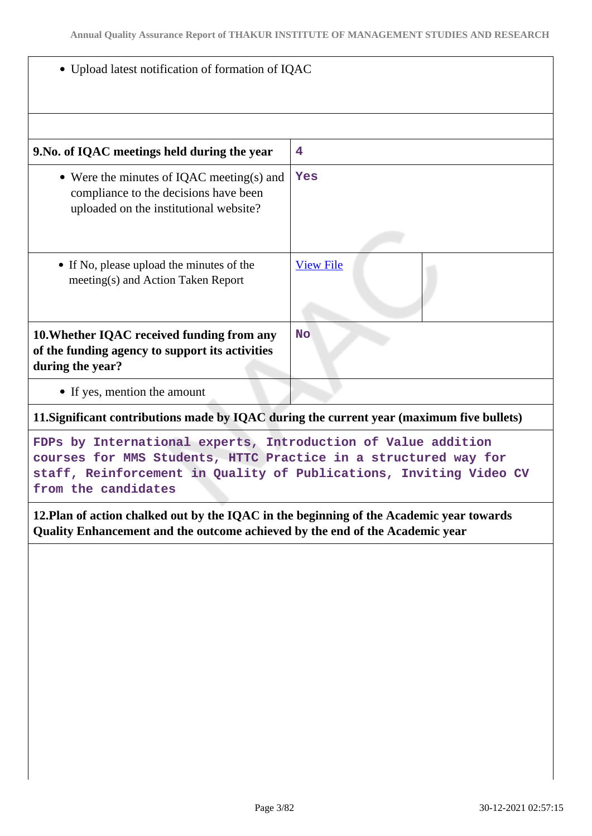|  |  |  |  | • Upload latest notification of formation of IQAC |  |
|--|--|--|--|---------------------------------------------------|--|
|--|--|--|--|---------------------------------------------------|--|

| 9. No. of IQAC meetings held during the year                                                                                                                                                                                  | 4                |  |  |
|-------------------------------------------------------------------------------------------------------------------------------------------------------------------------------------------------------------------------------|------------------|--|--|
| • Were the minutes of IQAC meeting(s) and<br>compliance to the decisions have been<br>uploaded on the institutional website?                                                                                                  | Yes              |  |  |
| • If No, please upload the minutes of the<br>meeting(s) and Action Taken Report                                                                                                                                               | <b>View File</b> |  |  |
| 10. Whether IQAC received funding from any<br>of the funding agency to support its activities<br>during the year?                                                                                                             | <b>No</b>        |  |  |
| • If yes, mention the amount                                                                                                                                                                                                  |                  |  |  |
| 11. Significant contributions made by IQAC during the current year (maximum five bullets)                                                                                                                                     |                  |  |  |
| FDPs by International experts, Introduction of Value addition<br>courses for MMS Students, HTTC Practice in a structured way for<br>staff, Reinforcement in Quality of Publications, Inviting Video CV<br>from the candidates |                  |  |  |
| 12. Plan of action chalked out by the IQAC in the beginning of the Academic year towards<br>Quality Enhancement and the outcome achieved by the end of the Academic year                                                      |                  |  |  |
|                                                                                                                                                                                                                               |                  |  |  |
|                                                                                                                                                                                                                               |                  |  |  |
|                                                                                                                                                                                                                               |                  |  |  |
|                                                                                                                                                                                                                               |                  |  |  |
|                                                                                                                                                                                                                               |                  |  |  |
|                                                                                                                                                                                                                               |                  |  |  |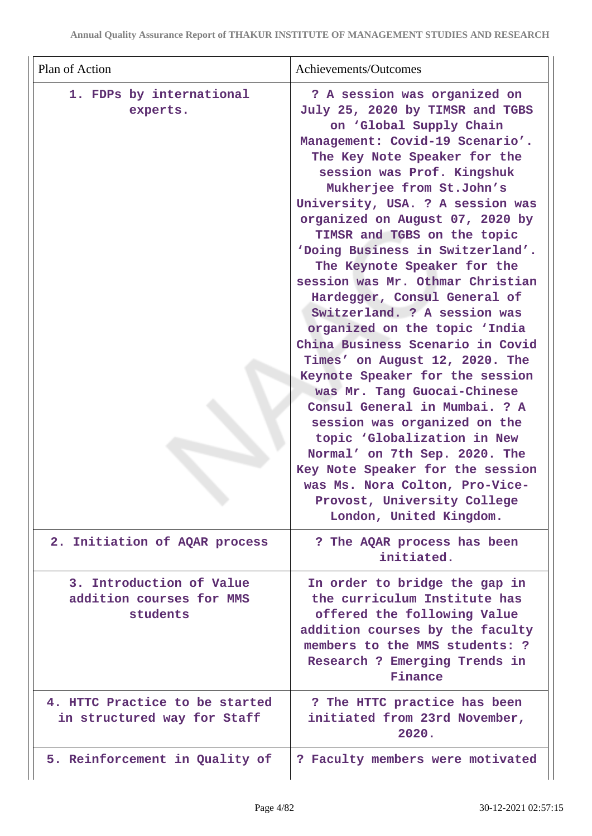| Plan of Action                                                   | Achievements/Outcomes                                                                                                                                                                                                                                                                                                                                                                                                                                                                                                                                                                                                                                                                                                                                                                                                                                                                                                                          |
|------------------------------------------------------------------|------------------------------------------------------------------------------------------------------------------------------------------------------------------------------------------------------------------------------------------------------------------------------------------------------------------------------------------------------------------------------------------------------------------------------------------------------------------------------------------------------------------------------------------------------------------------------------------------------------------------------------------------------------------------------------------------------------------------------------------------------------------------------------------------------------------------------------------------------------------------------------------------------------------------------------------------|
| 1. FDPs by international<br>experts.                             | ? A session was organized on<br>July 25, 2020 by TIMSR and TGBS<br>on 'Global Supply Chain<br>Management: Covid-19 Scenario'.<br>The Key Note Speaker for the<br>session was Prof. Kingshuk<br>Mukherjee from St.John's<br>University, USA. ? A session was<br>organized on August 07, 2020 by<br>TIMSR and TGBS on the topic<br>'Doing Business in Switzerland'.<br>The Keynote Speaker for the<br>session was Mr. Othmar Christian<br>Hardegger, Consul General of<br>Switzerland. ? A session was<br>organized on the topic 'India<br>China Business Scenario in Covid<br>Times' on August 12, 2020. The<br>Keynote Speaker for the session<br>was Mr. Tang Guocai-Chinese<br>Consul General in Mumbai. ? A<br>session was organized on the<br>topic 'Globalization in New<br>Normal' on 7th Sep. 2020. The<br>Key Note Speaker for the session<br>was Ms. Nora Colton, Pro-Vice-<br>Provost, University College<br>London, United Kingdom. |
| 2. Initiation of AQAR process                                    | ? The AQAR process has been<br>initiated.                                                                                                                                                                                                                                                                                                                                                                                                                                                                                                                                                                                                                                                                                                                                                                                                                                                                                                      |
| 3. Introduction of Value<br>addition courses for MMS<br>students | In order to bridge the gap in<br>the curriculum Institute has<br>offered the following Value<br>addition courses by the faculty<br>members to the MMS students: ?<br>Research ? Emerging Trends in<br>Finance                                                                                                                                                                                                                                                                                                                                                                                                                                                                                                                                                                                                                                                                                                                                  |
| 4. HTTC Practice to be started<br>in structured way for Staff    | ? The HTTC practice has been<br>initiated from 23rd November,<br>2020.                                                                                                                                                                                                                                                                                                                                                                                                                                                                                                                                                                                                                                                                                                                                                                                                                                                                         |
| 5. Reinforcement in Quality of                                   | ? Faculty members were motivated                                                                                                                                                                                                                                                                                                                                                                                                                                                                                                                                                                                                                                                                                                                                                                                                                                                                                                               |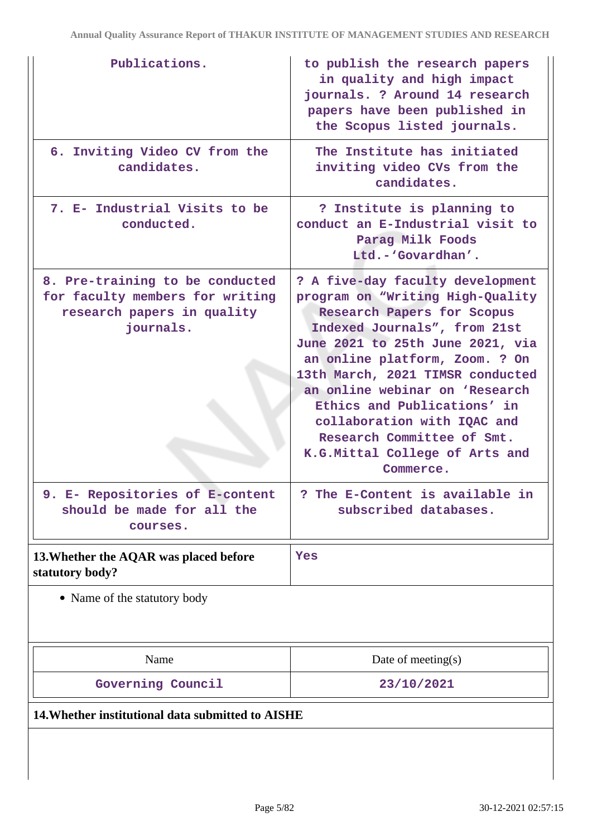| Publications.                                                                                                 | to publish the research papers<br>in quality and high impact<br>journals. ? Around 14 research<br>papers have been published in<br>the Scopus listed journals.                                                                                                                                                                                                                                                            |
|---------------------------------------------------------------------------------------------------------------|---------------------------------------------------------------------------------------------------------------------------------------------------------------------------------------------------------------------------------------------------------------------------------------------------------------------------------------------------------------------------------------------------------------------------|
| 6. Inviting Video CV from the<br>candidates.                                                                  | The Institute has initiated<br>inviting video CVs from the<br>candidates.                                                                                                                                                                                                                                                                                                                                                 |
| 7. E- Industrial Visits to be<br>conducted.                                                                   | ? Institute is planning to<br>conduct an E-Industrial visit to<br>Parag Milk Foods<br>Ltd.-'Govardhan'.                                                                                                                                                                                                                                                                                                                   |
| 8. Pre-training to be conducted<br>for faculty members for writing<br>research papers in quality<br>journals. | ? A five-day faculty development<br>program on "Writing High-Quality<br>Research Papers for Scopus<br>Indexed Journals", from 21st<br>June 2021 to 25th June 2021, via<br>an online platform, Zoom. ? On<br>13th March, 2021 TIMSR conducted<br>an online webinar on 'Research<br>Ethics and Publications' in<br>collaboration with IQAC and<br>Research Committee of Smt.<br>K.G.Mittal College of Arts and<br>Commerce. |
| 9. E- Repositories of E-content<br>should be made for all the<br>courses.                                     | The E-Content is available in<br>?<br>subscribed databases.                                                                                                                                                                                                                                                                                                                                                               |
| 13. Whether the AQAR was placed before<br>statutory body?                                                     | Yes                                                                                                                                                                                                                                                                                                                                                                                                                       |
| • Name of the statutory body                                                                                  |                                                                                                                                                                                                                                                                                                                                                                                                                           |
| Name                                                                                                          | Date of meeting $(s)$                                                                                                                                                                                                                                                                                                                                                                                                     |
| Governing Council                                                                                             | 23/10/2021                                                                                                                                                                                                                                                                                                                                                                                                                |
| 14. Whether institutional data submitted to AISHE                                                             |                                                                                                                                                                                                                                                                                                                                                                                                                           |
|                                                                                                               |                                                                                                                                                                                                                                                                                                                                                                                                                           |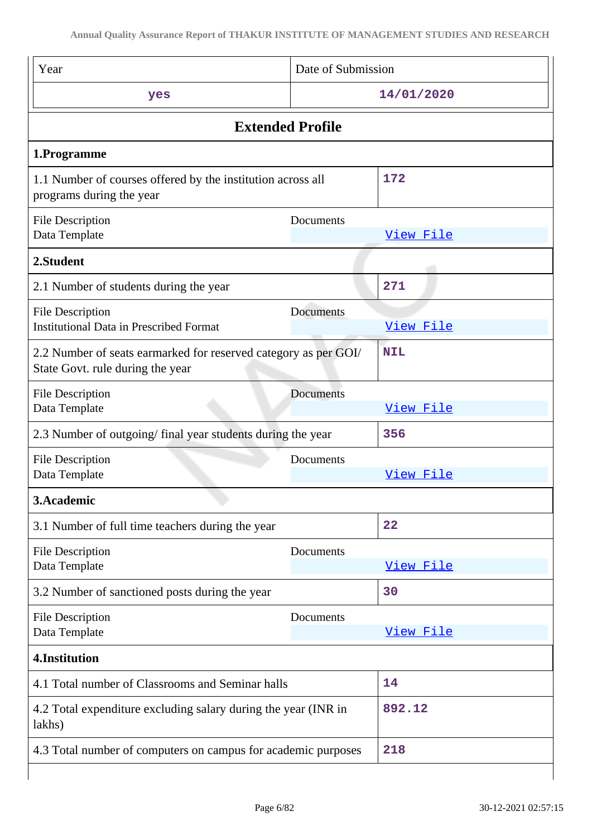| Year                                                                                                | Date of Submission |            |
|-----------------------------------------------------------------------------------------------------|--------------------|------------|
| yes                                                                                                 |                    | 14/01/2020 |
| <b>Extended Profile</b>                                                                             |                    |            |
| 1.Programme                                                                                         |                    |            |
| 1.1 Number of courses offered by the institution across all<br>programs during the year             |                    | 172        |
| <b>File Description</b><br>Data Template                                                            | Documents          | View File  |
| 2.Student                                                                                           |                    |            |
| 2.1 Number of students during the year                                                              |                    | 271        |
| <b>File Description</b><br><b>Institutional Data in Prescribed Format</b>                           | Documents          | View File  |
| 2.2 Number of seats earmarked for reserved category as per GOI/<br>State Govt. rule during the year |                    | <b>NIL</b> |
| <b>File Description</b><br>Data Template                                                            | Documents          | View File  |
| 2.3 Number of outgoing/final year students during the year                                          |                    | 356        |
| <b>File Description</b><br>Data Template                                                            | Documents          | View File  |
| 3.Academic                                                                                          |                    |            |
| 3.1 Number of full time teachers during the year                                                    |                    | 22         |
| File Description<br>Data Template                                                                   | Documents          | View File  |
| 3.2 Number of sanctioned posts during the year                                                      |                    | 30         |
| <b>File Description</b><br>Data Template                                                            | Documents          | View File  |
| 4.Institution                                                                                       |                    |            |
| 4.1 Total number of Classrooms and Seminar halls                                                    |                    | 14         |
| 4.2 Total expenditure excluding salary during the year (INR in<br>lakhs)                            |                    | 892.12     |
| 4.3 Total number of computers on campus for academic purposes                                       |                    | 218        |
|                                                                                                     |                    |            |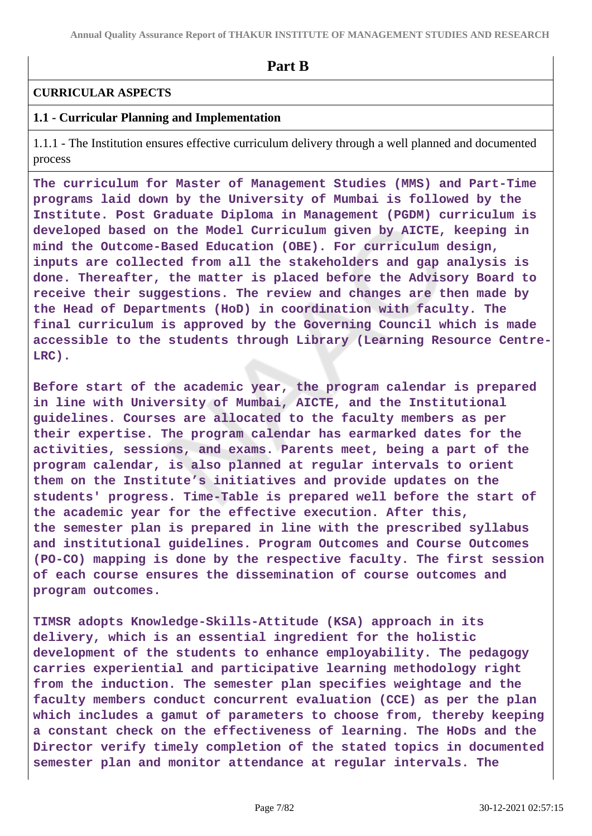**Part B**

#### **CURRICULAR ASPECTS**

#### **1.1 - Curricular Planning and Implementation**

1.1.1 - The Institution ensures effective curriculum delivery through a well planned and documented process

**The curriculum for Master of Management Studies (MMS) and Part-Time programs laid down by the University of Mumbai is followed by the Institute. Post Graduate Diploma in Management (PGDM) curriculum is developed based on the Model Curriculum given by AICTE, keeping in mind the Outcome-Based Education (OBE). For curriculum design, inputs are collected from all the stakeholders and gap analysis is done. Thereafter, the matter is placed before the Advisory Board to receive their suggestions. The review and changes are then made by the Head of Departments (HoD) in coordination with faculty. The final curriculum is approved by the Governing Council which is made accessible to the students through Library (Learning Resource Centre-LRC).**

**Before start of the academic year, the program calendar is prepared in line with University of Mumbai, AICTE, and the Institutional guidelines. Courses are allocated to the faculty members as per their expertise. The program calendar has earmarked dates for the activities, sessions, and exams. Parents meet, being a part of the program calendar, is also planned at regular intervals to orient them on the Institute's initiatives and provide updates on the students' progress. Time-Table is prepared well before the start of the academic year for the effective execution. After this, the semester plan is prepared in line with the prescribed syllabus and institutional guidelines. Program Outcomes and Course Outcomes (PO-CO) mapping is done by the respective faculty. The first session of each course ensures the dissemination of course outcomes and program outcomes.**

**TIMSR adopts Knowledge-Skills-Attitude (KSA) approach in its delivery, which is an essential ingredient for the holistic development of the students to enhance employability. The pedagogy carries experiential and participative learning methodology right from the induction. The semester plan specifies weightage and the faculty members conduct concurrent evaluation (CCE) as per the plan which includes a gamut of parameters to choose from, thereby keeping a constant check on the effectiveness of learning. The HoDs and the Director verify timely completion of the stated topics in documented semester plan and monitor attendance at regular intervals. The**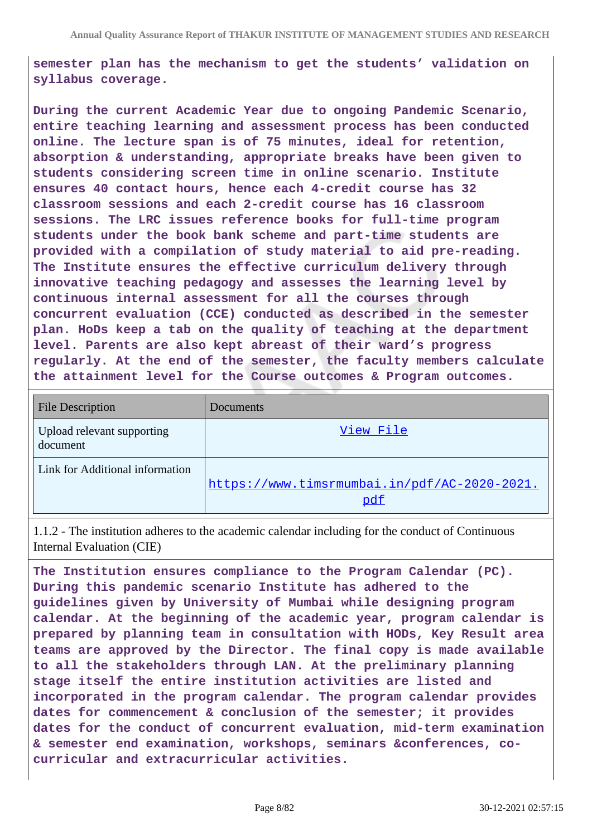**semester plan has the mechanism to get the students' validation on syllabus coverage.**

**During the current Academic Year due to ongoing Pandemic Scenario, entire teaching learning and assessment process has been conducted online. The lecture span is of 75 minutes, ideal for retention, absorption & understanding, appropriate breaks have been given to students considering screen time in online scenario. Institute ensures 40 contact hours, hence each 4-credit course has 32 classroom sessions and each 2-credit course has 16 classroom sessions. The LRC issues reference books for full-time program students under the book bank scheme and part-time students are provided with a compilation of study material to aid pre-reading. The Institute ensures the effective curriculum delivery through innovative teaching pedagogy and assesses the learning level by continuous internal assessment for all the courses through concurrent evaluation (CCE) conducted as described in the semester plan. HoDs keep a tab on the quality of teaching at the department level. Parents are also kept abreast of their ward's progress regularly. At the end of the semester, the faculty members calculate the attainment level for the Course outcomes & Program outcomes.**

| <b>File Description</b>                | Documents                                           |
|----------------------------------------|-----------------------------------------------------|
| Upload relevant supporting<br>document | View File                                           |
| Link for Additional information        | https://www.timsrmumbai.in/pdf/AC-2020-2021.<br>pdf |

1.1.2 - The institution adheres to the academic calendar including for the conduct of Continuous Internal Evaluation (CIE)

**The Institution ensures compliance to the Program Calendar (PC). During this pandemic scenario Institute has adhered to the guidelines given by University of Mumbai while designing program calendar. At the beginning of the academic year, program calendar is prepared by planning team in consultation with HODs, Key Result area teams are approved by the Director. The final copy is made available to all the stakeholders through LAN. At the preliminary planning stage itself the entire institution activities are listed and incorporated in the program calendar. The program calendar provides dates for commencement & conclusion of the semester; it provides dates for the conduct of concurrent evaluation, mid-term examination & semester end examination, workshops, seminars &conferences, cocurricular and extracurricular activities.**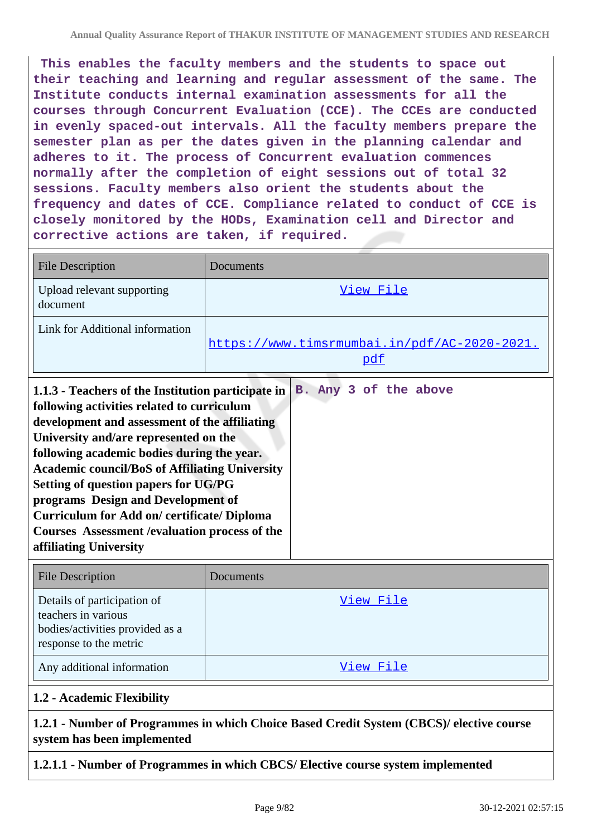**This enables the faculty members and the students to space out their teaching and learning and regular assessment of the same. The Institute conducts internal examination assessments for all the courses through Concurrent Evaluation (CCE). The CCEs are conducted in evenly spaced-out intervals. All the faculty members prepare the semester plan as per the dates given in the planning calendar and adheres to it. The process of Concurrent evaluation commences normally after the completion of eight sessions out of total 32 sessions. Faculty members also orient the students about the frequency and dates of CCE. Compliance related to conduct of CCE is closely monitored by the HODs, Examination cell and Director and corrective actions are taken, if required.**

| File Description                                                                                                                                                           | Documents                                           |  |
|----------------------------------------------------------------------------------------------------------------------------------------------------------------------------|-----------------------------------------------------|--|
| Upload relevant supporting<br>document                                                                                                                                     | View File                                           |  |
| Link for Additional information                                                                                                                                            | https://www.timsrmumbai.in/pdf/AC-2020-2021.<br>pdf |  |
| B. Any 3 of the above<br>1.1.3 - Teachers of the Institution participate in<br>following activities related to curriculum<br>development and assessment of the affiliating |                                                     |  |

**University and/are represented on the following academic bodies during the year. Academic council/BoS of Affiliating University Setting of question papers for UG/PG programs Design and Development of Curriculum for Add on/ certificate/ Diploma Courses Assessment /evaluation process of the affiliating University**

| <b>File Description</b>                                                                                         | <b>Documents</b> |
|-----------------------------------------------------------------------------------------------------------------|------------------|
| Details of participation of<br>teachers in various<br>bodies/activities provided as a<br>response to the metric | View File        |
| Any additional information                                                                                      | View File        |

## **1.2 - Academic Flexibility**

#### **1.2.1 - Number of Programmes in which Choice Based Credit System (CBCS)/ elective course system has been implemented**

## **1.2.1.1 - Number of Programmes in which CBCS/ Elective course system implemented**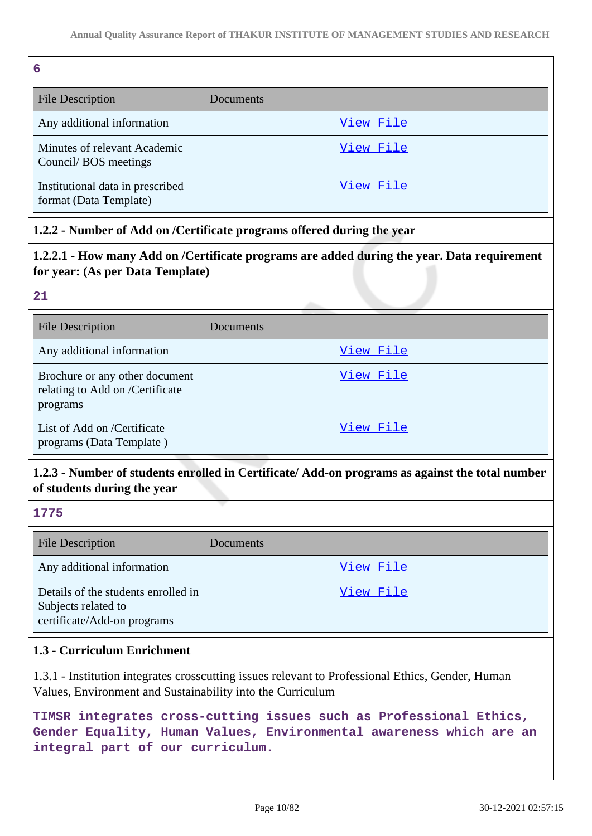| 6                                                          |                  |
|------------------------------------------------------------|------------------|
| File Description                                           | Documents        |
| Any additional information                                 | <u>View File</u> |
| Minutes of relevant Academic<br>Council/BOS meetings       | View File        |
| Institutional data in prescribed<br>format (Data Template) | View File        |

#### **1.2.2 - Number of Add on /Certificate programs offered during the year**

#### **1.2.2.1 - How many Add on /Certificate programs are added during the year. Data requirement for year: (As per Data Template)**

#### **21**

| <b>File Description</b>                                                       | Documents |
|-------------------------------------------------------------------------------|-----------|
| Any additional information                                                    | View File |
| Brochure or any other document<br>relating to Add on /Certificate<br>programs | View File |
| List of Add on /Certificate<br>programs (Data Template)                       | View File |

# **1.2.3 - Number of students enrolled in Certificate/ Add-on programs as against the total number of students during the year**

#### **1775**

| <b>File Description</b>                                                                   | Documents |
|-------------------------------------------------------------------------------------------|-----------|
| Any additional information                                                                | View File |
| Details of the students enrolled in<br>Subjects related to<br>certificate/Add-on programs | View File |

#### **1.3 - Curriculum Enrichment**

1.3.1 - Institution integrates crosscutting issues relevant to Professional Ethics, Gender, Human Values, Environment and Sustainability into the Curriculum

**TIMSR integrates cross-cutting issues such as Professional Ethics, Gender Equality, Human Values, Environmental awareness which are an integral part of our curriculum.**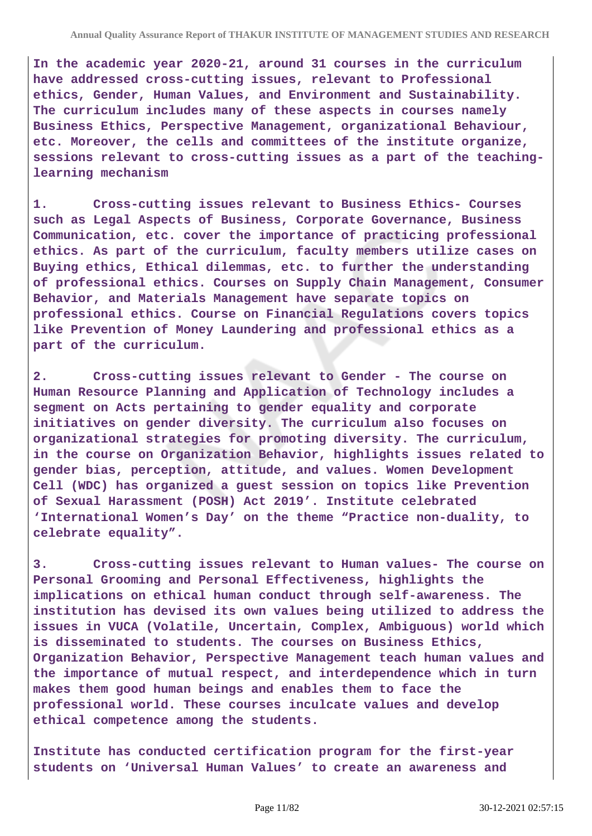**In the academic year 2020-21, around 31 courses in the curriculum have addressed cross-cutting issues, relevant to Professional ethics, Gender, Human Values, and Environment and Sustainability. The curriculum includes many of these aspects in courses namely Business Ethics, Perspective Management, organizational Behaviour, etc. Moreover, the cells and committees of the institute organize, sessions relevant to cross-cutting issues as a part of the teachinglearning mechanism**

**1. Cross-cutting issues relevant to Business Ethics- Courses such as Legal Aspects of Business, Corporate Governance, Business Communication, etc. cover the importance of practicing professional ethics. As part of the curriculum, faculty members utilize cases on Buying ethics, Ethical dilemmas, etc. to further the understanding of professional ethics. Courses on Supply Chain Management, Consumer Behavior, and Materials Management have separate topics on professional ethics. Course on Financial Regulations covers topics like Prevention of Money Laundering and professional ethics as a part of the curriculum.**

**2. Cross-cutting issues relevant to Gender - The course on Human Resource Planning and Application of Technology includes a segment on Acts pertaining to gender equality and corporate initiatives on gender diversity. The curriculum also focuses on organizational strategies for promoting diversity. The curriculum, in the course on Organization Behavior, highlights issues related to gender bias, perception, attitude, and values. Women Development Cell (WDC) has organized a guest session on topics like Prevention of Sexual Harassment (POSH) Act 2019'. Institute celebrated 'International Women's Day' on the theme "Practice non-duality, to celebrate equality".**

**3. Cross-cutting issues relevant to Human values- The course on Personal Grooming and Personal Effectiveness, highlights the implications on ethical human conduct through self-awareness. The institution has devised its own values being utilized to address the issues in VUCA (Volatile, Uncertain, Complex, Ambiguous) world which is disseminated to students. The courses on Business Ethics, Organization Behavior, Perspective Management teach human values and the importance of mutual respect, and interdependence which in turn makes them good human beings and enables them to face the professional world. These courses inculcate values and develop ethical competence among the students.**

**Institute has conducted certification program for the first-year students on 'Universal Human Values' to create an awareness and**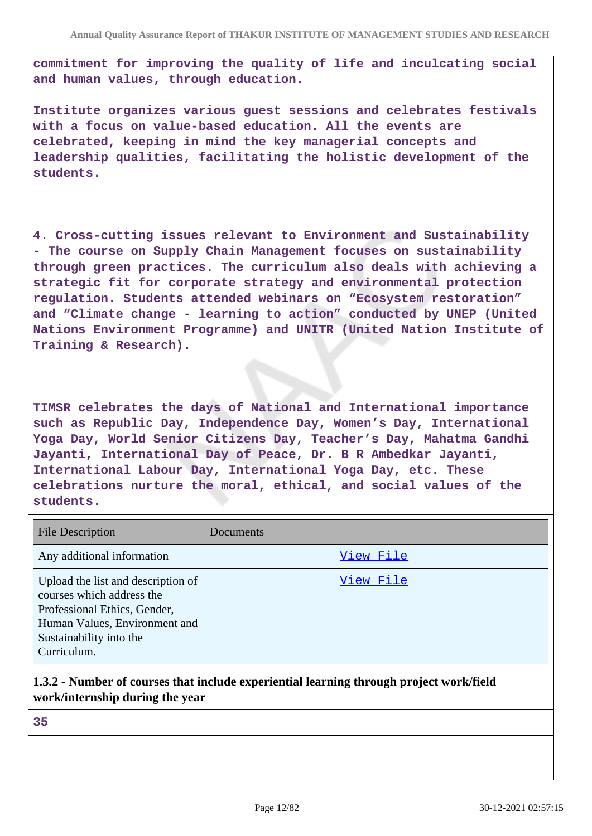**commitment for improving the quality of life and inculcating social and human values, through education.**

**Institute organizes various guest sessions and celebrates festivals with a focus on value-based education. All the events are celebrated, keeping in mind the key managerial concepts and leadership qualities, facilitating the holistic development of the students.**

**4. Cross-cutting issues relevant to Environment and Sustainability - The course on Supply Chain Management focuses on sustainability through green practices. The curriculum also deals with achieving a strategic fit for corporate strategy and environmental protection regulation. Students attended webinars on "Ecosystem restoration" and "Climate change - learning to action" conducted by UNEP (United Nations Environment Programme) and UNITR (United Nation Institute of Training & Research).**

**TIMSR celebrates the days of National and International importance such as Republic Day, Independence Day, Women's Day, International Yoga Day, World Senior Citizens Day, Teacher's Day, Mahatma Gandhi Jayanti, International Day of Peace, Dr. B R Ambedkar Jayanti, International Labour Day, International Yoga Day, etc. These celebrations nurture the moral, ethical, and social values of the students.**

| <b>File Description</b>                                                                                                                                                    | Documents |
|----------------------------------------------------------------------------------------------------------------------------------------------------------------------------|-----------|
| Any additional information                                                                                                                                                 | View File |
| Upload the list and description of<br>courses which address the<br>Professional Ethics, Gender,<br>Human Values, Environment and<br>Sustainability into the<br>Curriculum. | View File |

## **1.3.2 - Number of courses that include experiential learning through project work/field work/internship during the year**

**35**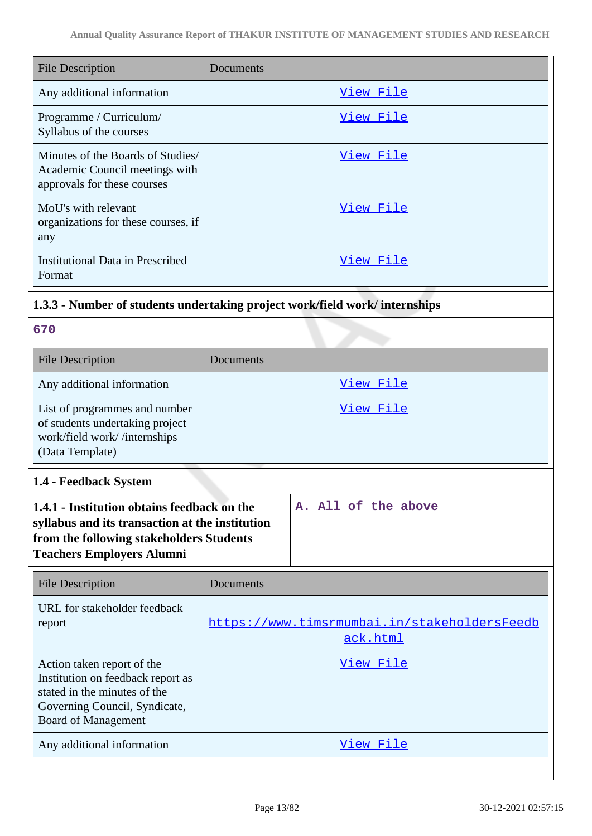| <b>File Description</b>                                                                            | Documents |
|----------------------------------------------------------------------------------------------------|-----------|
| Any additional information                                                                         | View File |
| Programme / Curriculum/<br>Syllabus of the courses                                                 | View File |
| Minutes of the Boards of Studies/<br>Academic Council meetings with<br>approvals for these courses | View File |
| MoU's with relevant<br>organizations for these courses, if<br>any                                  | View File |
| <b>Institutional Data in Prescribed</b><br>Format                                                  | View File |
|                                                                                                    |           |

# **1.3.3 - Number of students undertaking project work/field work/ internships**

**670**

| <b>File Description</b>                                                                                             | Documents |
|---------------------------------------------------------------------------------------------------------------------|-----------|
| Any additional information                                                                                          | View File |
| List of programmes and number<br>of students undertaking project<br>work/field work//internships<br>(Data Template) | View File |

**1.4 - Feedback System**

| 1.4.1 - Institution obtains feedback on the                                                                                     |  |  | A. All of the above |
|---------------------------------------------------------------------------------------------------------------------------------|--|--|---------------------|
| syllabus and its transaction at the institution<br>from the following stakeholders Students<br><b>Teachers Employers Alumni</b> |  |  |                     |

| <b>File Description</b>                                                                                                                                        | Documents                                                |
|----------------------------------------------------------------------------------------------------------------------------------------------------------------|----------------------------------------------------------|
| URL for stakeholder feedback<br>report                                                                                                                         | https://www.timsrmumbai.in/stakeholdersFeedb<br>ack.html |
| Action taken report of the<br>Institution on feedback report as<br>stated in the minutes of the<br>Governing Council, Syndicate,<br><b>Board of Management</b> | View File                                                |
| Any additional information                                                                                                                                     | View File                                                |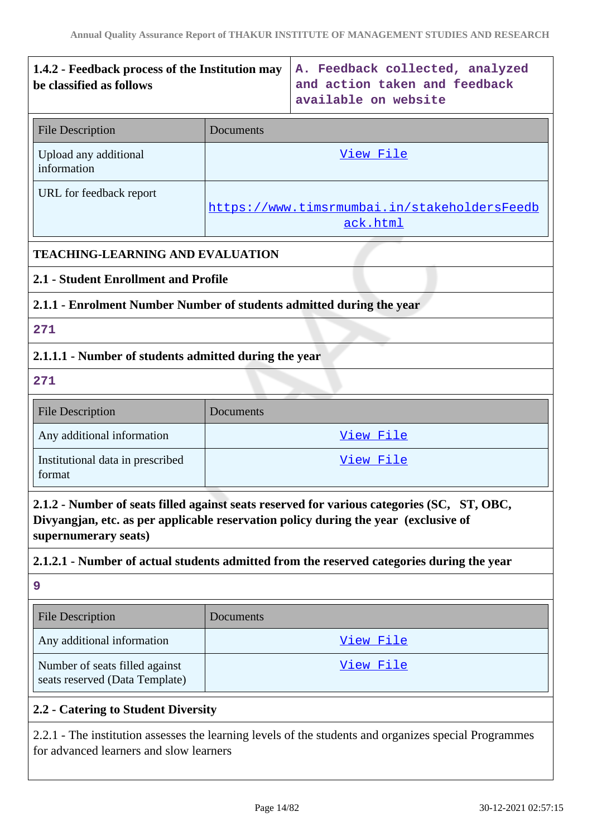# **1.4.2 - Feedback process of the Institution may be classified as follows A. Feedback collected, analyzed and action taken and feedback available on website** File Description Documents Upload any additional information [View File](https://assessmentonline.naac.gov.in/storage/app/public/aqar/12906/12906_105_250.pdf) URL for feedback report https://www.timsrmumbai.in/stakeholdersFeedb ack.html **TEACHING-LEARNING AND EVALUATION 2.1 - Student Enrollment and Profile 2.1.1 - Enrolment Number Number of students admitted during the year 271 2.1.1.1 - Number of students admitted during the year 271** File Description Documents Any additional information and the view File Institutional data in prescribed format [View File](https://assessmentonline.naac.gov.in/storage/app/public/aqar/12906/12906_106_253.xlsx) **2.1.2 - Number of seats filled against seats reserved for various categories (SC, ST, OBC, Divyangjan, etc. as per applicable reservation policy during the year (exclusive of supernumerary seats) 2.1.2.1 - Number of actual students admitted from the reserved categories during the year 9**

| <b>File Description</b>                                          | <b>Documents</b> |
|------------------------------------------------------------------|------------------|
| Any additional information                                       | View File        |
| Number of seats filled against<br>seats reserved (Data Template) | View File        |

## **2.2 - Catering to Student Diversity**

2.2.1 - The institution assesses the learning levels of the students and organizes special Programmes for advanced learners and slow learners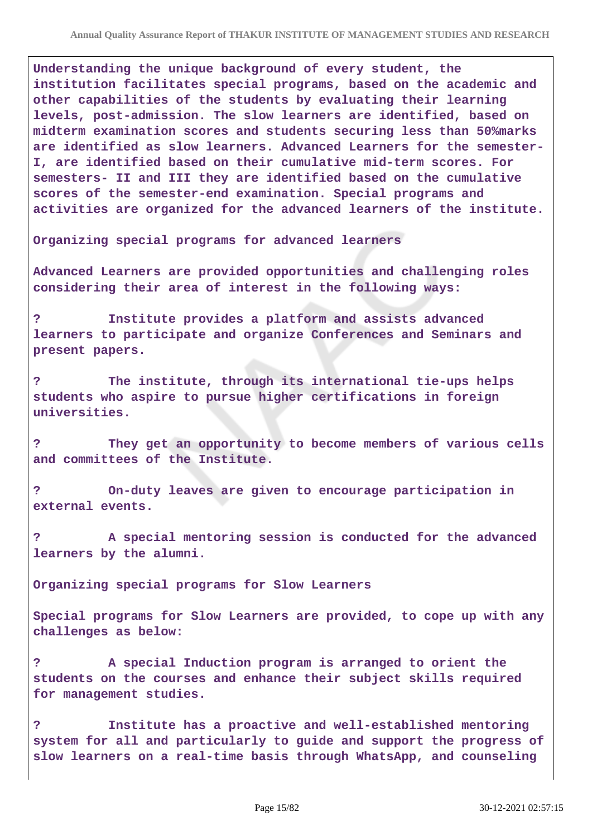**Understanding the unique background of every student, the institution facilitates special programs, based on the academic and other capabilities of the students by evaluating their learning levels, post-admission. The slow learners are identified, based on midterm examination scores and students securing less than 50%marks are identified as slow learners. Advanced Learners for the semester-I, are identified based on their cumulative mid-term scores. For semesters- II and III they are identified based on the cumulative scores of the semester-end examination. Special programs and activities are organized for the advanced learners of the institute.**

**Organizing special programs for advanced learners**

**Advanced Learners are provided opportunities and challenging roles considering their area of interest in the following ways:**

**? Institute provides a platform and assists advanced learners to participate and organize Conferences and Seminars and present papers.**

**? The institute, through its international tie-ups helps students who aspire to pursue higher certifications in foreign universities.**

**? They get an opportunity to become members of various cells and committees of the Institute.**

**? On-duty leaves are given to encourage participation in external events.**

**? A special mentoring session is conducted for the advanced learners by the alumni.**

**Organizing special programs for Slow Learners** 

**Special programs for Slow Learners are provided, to cope up with any challenges as below:**

**? A special Induction program is arranged to orient the students on the courses and enhance their subject skills required for management studies.**

**? Institute has a proactive and well-established mentoring system for all and particularly to guide and support the progress of slow learners on a real-time basis through WhatsApp, and counseling**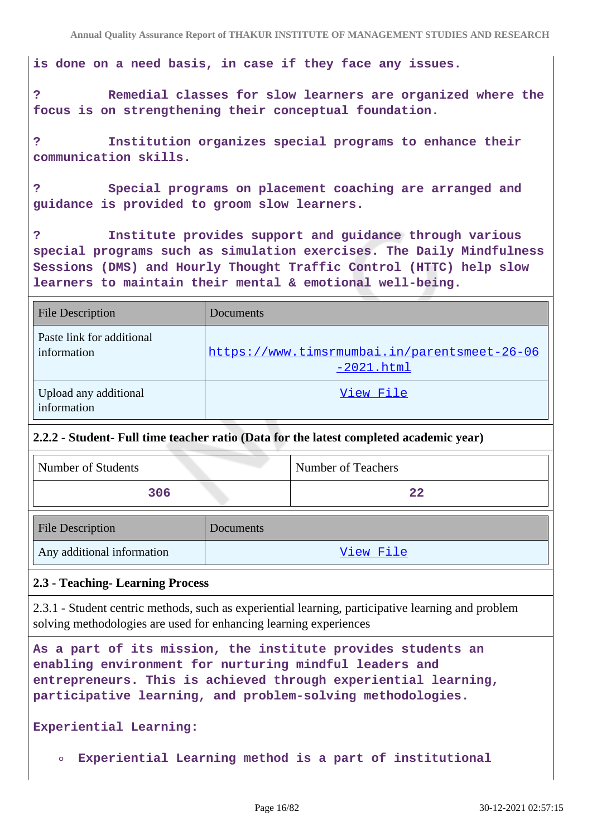**is done on a need basis, in case if they face any issues.**

**? Remedial classes for slow learners are organized where the focus is on strengthening their conceptual foundation.**

**? Institution organizes special programs to enhance their communication skills.**

**? Special programs on placement coaching are arranged and guidance is provided to groom slow learners.**

**? Institute provides support and guidance through various special programs such as simulation exercises. The Daily Mindfulness Sessions (DMS) and Hourly Thought Traffic Control (HTTC) help slow learners to maintain their mental & emotional well-being.**

| <b>File Description</b>                  | Documents                                                    |
|------------------------------------------|--------------------------------------------------------------|
| Paste link for additional<br>information | https://www.timsrmumbai.in/parentsmeet-26-06<br>$-2021.html$ |
| Upload any additional<br>information     | View File                                                    |

#### **2.2.2 - Student- Full time teacher ratio (Data for the latest completed academic year)**

| Number of Students | Number of Teachers |
|--------------------|--------------------|
| 306                | 22                 |

| <b>File Description</b>    | Documents |
|----------------------------|-----------|
| Any additional information | View File |

#### **2.3 - Teaching- Learning Process**

2.3.1 - Student centric methods, such as experiential learning, participative learning and problem solving methodologies are used for enhancing learning experiences

**As a part of its mission, the institute provides students an enabling environment for nurturing mindful leaders and entrepreneurs. This is achieved through experiential learning, participative learning, and problem-solving methodologies.**

**Experiential Learning:** 

**Experiential Learning method is a part of institutional**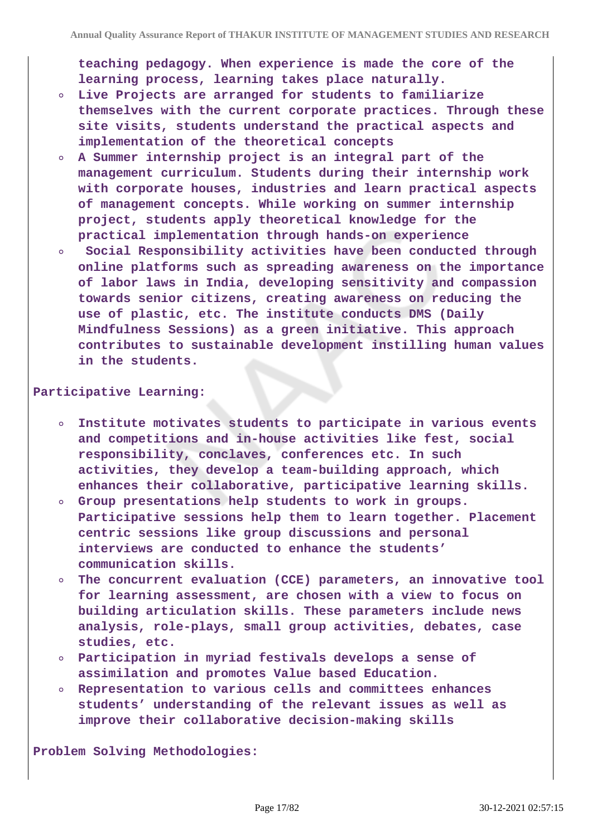**teaching pedagogy. When experience is made the core of the learning process, learning takes place naturally.**

- **Live Projects are arranged for students to familiarize themselves with the current corporate practices. Through these site visits, students understand the practical aspects and implementation of the theoretical concepts**
- **A Summer internship project is an integral part of the management curriculum. Students during their internship work with corporate houses, industries and learn practical aspects of management concepts. While working on summer internship project, students apply theoretical knowledge for the practical implementation through hands-on experience**
- **Social Responsibility activities have been conducted through**  $\circ$ **online platforms such as spreading awareness on the importance of labor laws in India, developing sensitivity and compassion towards senior citizens, creating awareness on reducing the use of plastic, etc. The institute conducts DMS (Daily Mindfulness Sessions) as a green initiative. This approach contributes to sustainable development instilling human values in the students.**

#### **Participative Learning:**

- **Institute motivates students to participate in various events and competitions and in-house activities like fest, social responsibility, conclaves, conferences etc. In such activities, they develop a team-building approach, which enhances their collaborative, participative learning skills.**
- **Group presentations help students to work in groups. Participative sessions help them to learn together. Placement centric sessions like group discussions and personal interviews are conducted to enhance the students' communication skills.**
- **The concurrent evaluation (CCE) parameters, an innovative tool**  $\circ$ **for learning assessment, are chosen with a view to focus on building articulation skills. These parameters include news analysis, role-plays, small group activities, debates, case studies, etc.**
- **Participation in myriad festivals develops a sense of assimilation and promotes Value based Education.**
- **Representation to various cells and committees enhances students' understanding of the relevant issues as well as improve their collaborative decision-making skills**

**Problem Solving Methodologies:**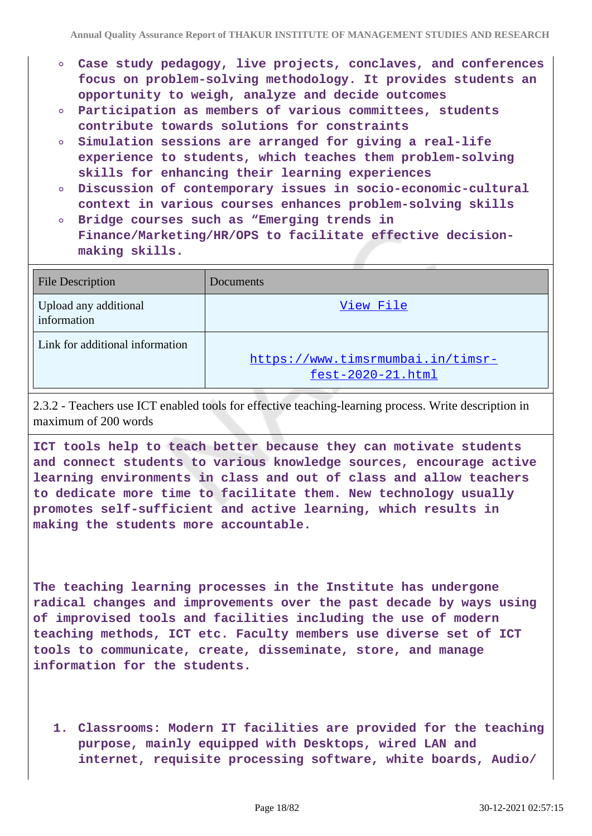- **Case study pedagogy, live projects, conclaves, and conferences focus on problem-solving methodology. It provides students an opportunity to weigh, analyze and decide outcomes**
- **Participation as members of various committees, students contribute towards solutions for constraints**
- **Simulation sessions are arranged for giving a real-life experience to students, which teaches them problem-solving skills for enhancing their learning experiences**
- **Discussion of contemporary issues in socio-economic-cultural context in various courses enhances problem-solving skills**
- **Bridge courses such as "Emerging trends in Finance/Marketing/HR/OPS to facilitate effective decisionmaking skills.**

| <b>File Description</b>              | Documents                                              |
|--------------------------------------|--------------------------------------------------------|
| Upload any additional<br>information | View File                                              |
| Link for additional information      | https://www.timsrmumbai.in/timsr-<br>fest-2020-21.html |

2.3.2 - Teachers use ICT enabled tools for effective teaching-learning process. Write description in maximum of 200 words

**ICT tools help to teach better because they can motivate students and connect students to various knowledge sources, encourage active learning environments in class and out of class and allow teachers to dedicate more time to facilitate them. New technology usually promotes self-sufficient and active learning, which results in making the students more accountable.**

**The teaching learning processes in the Institute has undergone radical changes and improvements over the past decade by ways using of improvised tools and facilities including the use of modern teaching methods, ICT etc. Faculty members use diverse set of ICT tools to communicate, create, disseminate, store, and manage information for the students.**

**1. Classrooms: Modern IT facilities are provided for the teaching purpose, mainly equipped with Desktops, wired LAN and internet, requisite processing software, white boards, Audio/**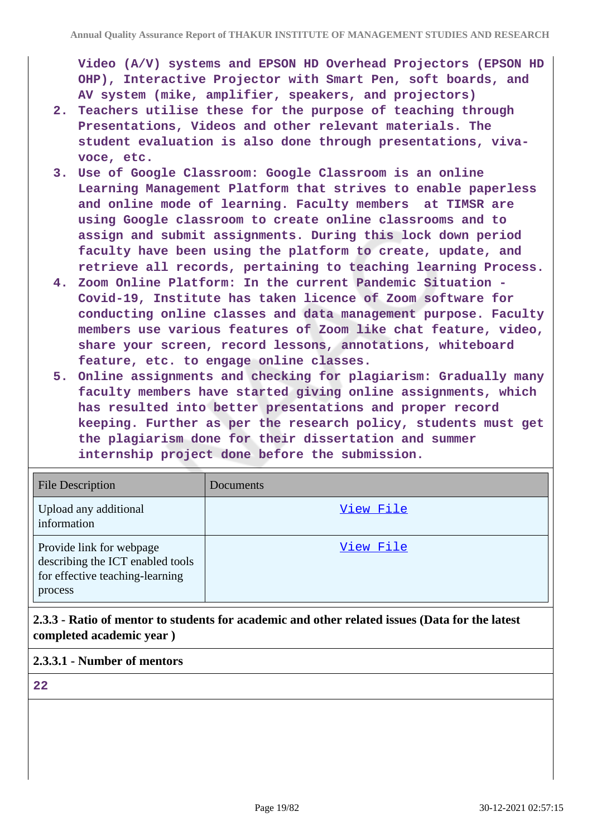**Video (A/V) systems and EPSON HD Overhead Projectors (EPSON HD OHP), Interactive Projector with Smart Pen, soft boards, and AV system (mike, amplifier, speakers, and projectors)**

- **2. Teachers utilise these for the purpose of teaching through Presentations, Videos and other relevant materials. The student evaluation is also done through presentations, vivavoce, etc.**
- **3. Use of Google Classroom: Google Classroom is an online Learning Management Platform that strives to enable paperless and online mode of learning. Faculty members at TIMSR are using Google classroom to create online classrooms and to assign and submit assignments. During this lock down period faculty have been using the platform to create, update, and retrieve all records, pertaining to teaching learning Process.**
- **4. Zoom Online Platform: In the current Pandemic Situation - Covid-19, Institute has taken licence of Zoom software for conducting online classes and data management purpose. Faculty members use various features of Zoom like chat feature, video, share your screen, record lessons, annotations, whiteboard feature, etc. to engage online classes.**
- **5. Online assignments and checking for plagiarism: Gradually many faculty members have started giving online assignments, which has resulted into better presentations and proper record keeping. Further as per the research policy, students must get the plagiarism done for their dissertation and summer internship project done before the submission.**

| <b>File Description</b>                                                                                    | <b>Documents</b> |
|------------------------------------------------------------------------------------------------------------|------------------|
| Upload any additional<br>information                                                                       | View File        |
| Provide link for webpage<br>describing the ICT enabled tools<br>for effective teaching-learning<br>process | View File        |

**2.3.3 - Ratio of mentor to students for academic and other related issues (Data for the latest completed academic year )**

#### **2.3.3.1 - Number of mentors**

**22**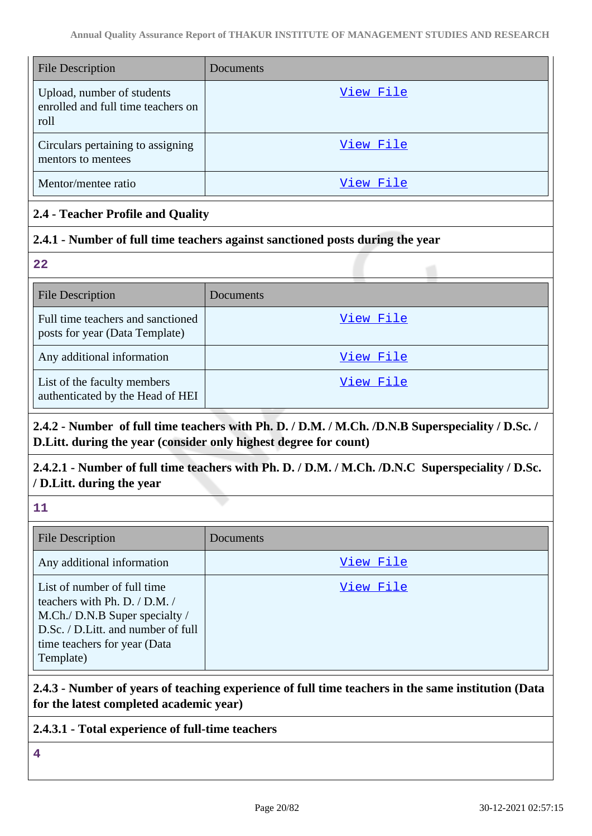| <b>File Description</b>                                                  | Documents |
|--------------------------------------------------------------------------|-----------|
| Upload, number of students<br>enrolled and full time teachers on<br>roll | View File |
| Circulars pertaining to assigning<br>mentors to mentees                  | View File |
| Mentor/mentee ratio                                                      | View File |

#### **2.4 - Teacher Profile and Quality**

#### **2.4.1 - Number of full time teachers against sanctioned posts during the year**

**22**

| <b>File Description</b>                                             | Documents |
|---------------------------------------------------------------------|-----------|
| Full time teachers and sanctioned<br>posts for year (Data Template) | View File |
| Any additional information                                          | View File |
| List of the faculty members<br>authenticated by the Head of HEI     | View File |

# **2.4.2 - Number of full time teachers with Ph. D. / D.M. / M.Ch. /D.N.B Superspeciality / D.Sc. / D.Litt. during the year (consider only highest degree for count)**

# **2.4.2.1 - Number of full time teachers with Ph. D. / D.M. / M.Ch. /D.N.C Superspeciality / D.Sc. / D.Litt. during the year**

**11**

| <b>File Description</b>                                                                                                                                                            | <b>Documents</b> |
|------------------------------------------------------------------------------------------------------------------------------------------------------------------------------------|------------------|
| Any additional information                                                                                                                                                         | View File        |
| List of number of full time<br>teachers with Ph. D. / D.M. /<br>M.Ch./ D.N.B Super specialty /<br>D.Sc. / D.Litt. and number of full<br>time teachers for year (Data)<br>Template) | View File        |

## **2.4.3 - Number of years of teaching experience of full time teachers in the same institution (Data for the latest completed academic year)**

#### **2.4.3.1 - Total experience of full-time teachers**

**4**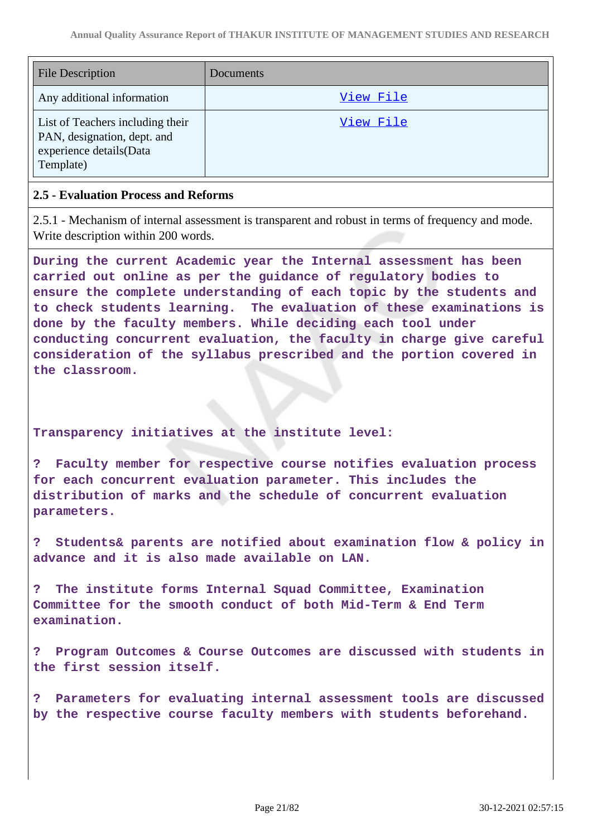| <b>File Description</b>                                                                                 | Documents |
|---------------------------------------------------------------------------------------------------------|-----------|
| Any additional information                                                                              | View File |
| List of Teachers including their<br>PAN, designation, dept. and<br>experience details(Data<br>Template) | View File |

#### **2.5 - Evaluation Process and Reforms**

2.5.1 - Mechanism of internal assessment is transparent and robust in terms of frequency and mode. Write description within 200 words.

**During the current Academic year the Internal assessment has been carried out online as per the guidance of regulatory bodies to ensure the complete understanding of each topic by the students and to check students learning. The evaluation of these examinations is done by the faculty members. While deciding each tool under conducting concurrent evaluation, the faculty in charge give careful consideration of the syllabus prescribed and the portion covered in the classroom.**

**Transparency initiatives at the institute level:**

**? Faculty member for respective course notifies evaluation process for each concurrent evaluation parameter. This includes the distribution of marks and the schedule of concurrent evaluation parameters.**

**? Students& parents are notified about examination flow & policy in advance and it is also made available on LAN.**

**? The institute forms Internal Squad Committee, Examination Committee for the smooth conduct of both Mid-Term & End Term examination.**

**? Program Outcomes & Course Outcomes are discussed with students in the first session itself.**

**? Parameters for evaluating internal assessment tools are discussed by the respective course faculty members with students beforehand.**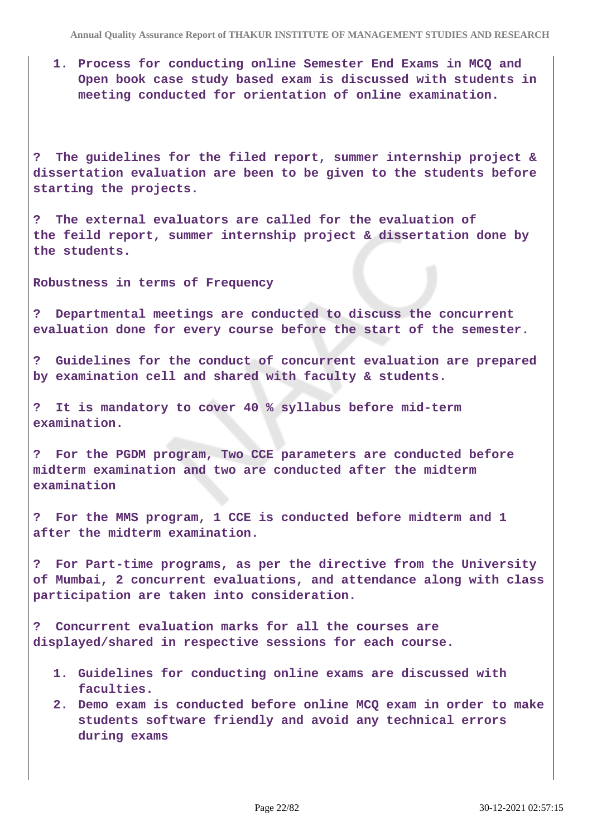**1. Process for conducting online Semester End Exams in MCQ and Open book case study based exam is discussed with students in meeting conducted for orientation of online examination.**

**? The guidelines for the filed report, summer internship project & dissertation evaluation are been to be given to the students before starting the projects.**

**? The external evaluators are called for the evaluation of the feild report, summer internship project & dissertation done by the students.**

**Robustness in terms of Frequency**

**? Departmental meetings are conducted to discuss the concurrent evaluation done for every course before the start of the semester.**

**? Guidelines for the conduct of concurrent evaluation are prepared by examination cell and shared with faculty & students.**

**? It is mandatory to cover 40 % syllabus before mid-term examination.**

**? For the PGDM program, Two CCE parameters are conducted before midterm examination and two are conducted after the midterm examination**

**? For the MMS program, 1 CCE is conducted before midterm and 1 after the midterm examination.**

**? For Part-time programs, as per the directive from the University of Mumbai, 2 concurrent evaluations, and attendance along with class participation are taken into consideration.**

**? Concurrent evaluation marks for all the courses are displayed/shared in respective sessions for each course.**

- **1. Guidelines for conducting online exams are discussed with faculties.**
- **2. Demo exam is conducted before online MCQ exam in order to make students software friendly and avoid any technical errors during exams**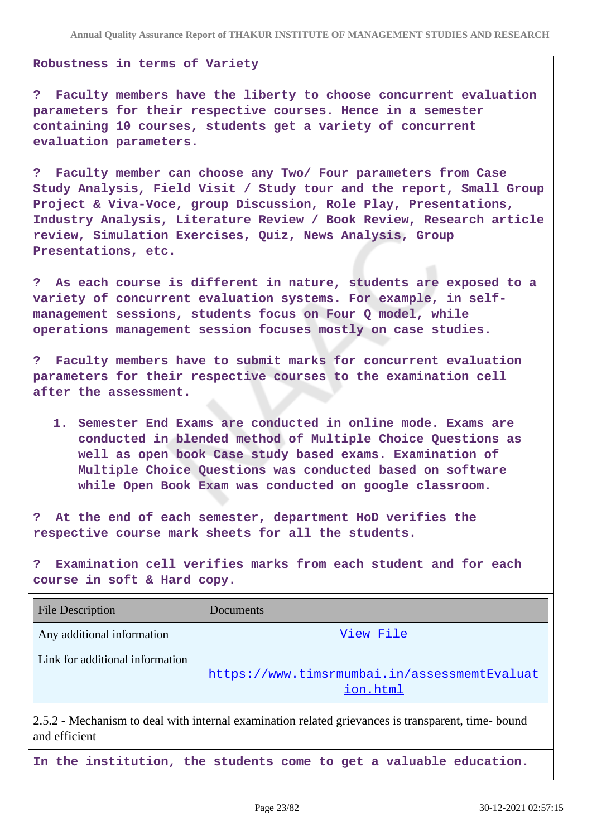**Robustness in terms of Variety**

**? Faculty members have the liberty to choose concurrent evaluation parameters for their respective courses. Hence in a semester containing 10 courses, students get a variety of concurrent evaluation parameters.**

**? Faculty member can choose any Two/ Four parameters from Case Study Analysis, Field Visit / Study tour and the report, Small Group Project & Viva-Voce, group Discussion, Role Play, Presentations, Industry Analysis, Literature Review / Book Review, Research article review, Simulation Exercises, Quiz, News Analysis, Group Presentations, etc.**

**? As each course is different in nature, students are exposed to a variety of concurrent evaluation systems. For example, in selfmanagement sessions, students focus on Four Q model, while operations management session focuses mostly on case studies.**

**? Faculty members have to submit marks for concurrent evaluation parameters for their respective courses to the examination cell after the assessment.**

**1. Semester End Exams are conducted in online mode. Exams are conducted in blended method of Multiple Choice Questions as well as open book Case study based exams. Examination of Multiple Choice Questions was conducted based on software while Open Book Exam was conducted on google classroom.**

**? At the end of each semester, department HoD verifies the respective course mark sheets for all the students.**

**? Examination cell verifies marks from each student and for each course in soft & Hard copy.**

| <b>File Description</b>         | Documents                                    |
|---------------------------------|----------------------------------------------|
| Any additional information      | View File                                    |
| Link for additional information | https://www.timsrmumbai.in/assessmemtEvaluat |
|                                 | ion.html                                     |

2.5.2 - Mechanism to deal with internal examination related grievances is transparent, time- bound and efficient

**In the institution, the students come to get a valuable education.**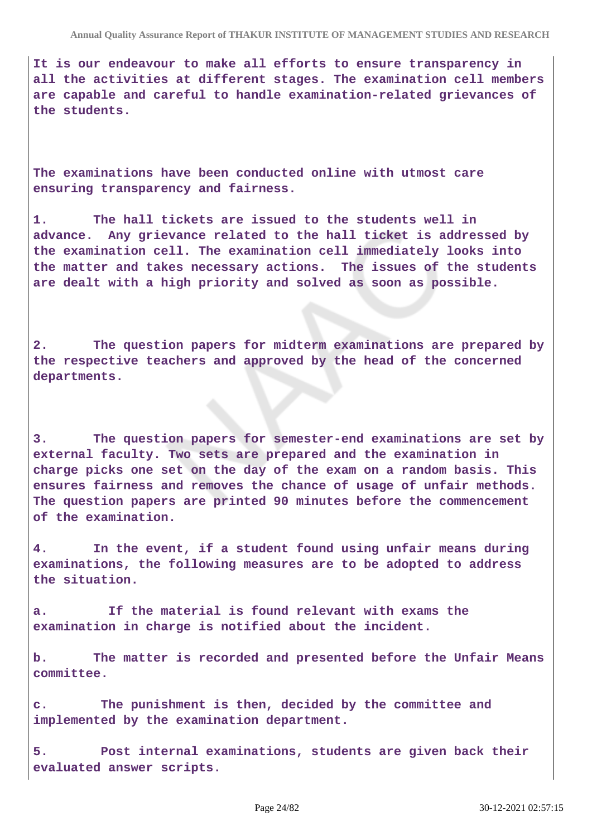**It is our endeavour to make all efforts to ensure transparency in all the activities at different stages. The examination cell members are capable and careful to handle examination-related grievances of the students.**

**The examinations have been conducted online with utmost care ensuring transparency and fairness.**

**1. The hall tickets are issued to the students well in advance. Any grievance related to the hall ticket is addressed by the examination cell. The examination cell immediately looks into the matter and takes necessary actions. The issues of the students are dealt with a high priority and solved as soon as possible.**

**2. The question papers for midterm examinations are prepared by the respective teachers and approved by the head of the concerned departments.**

**3. The question papers for semester-end examinations are set by external faculty. Two sets are prepared and the examination in charge picks one set on the day of the exam on a random basis. This ensures fairness and removes the chance of usage of unfair methods. The question papers are printed 90 minutes before the commencement of the examination.** 

**4. In the event, if a student found using unfair means during examinations, the following measures are to be adopted to address the situation.**

**a. If the material is found relevant with exams the examination in charge is notified about the incident.**

**b. The matter is recorded and presented before the Unfair Means committee.**

**c. The punishment is then, decided by the committee and implemented by the examination department.**

**5. Post internal examinations, students are given back their evaluated answer scripts.**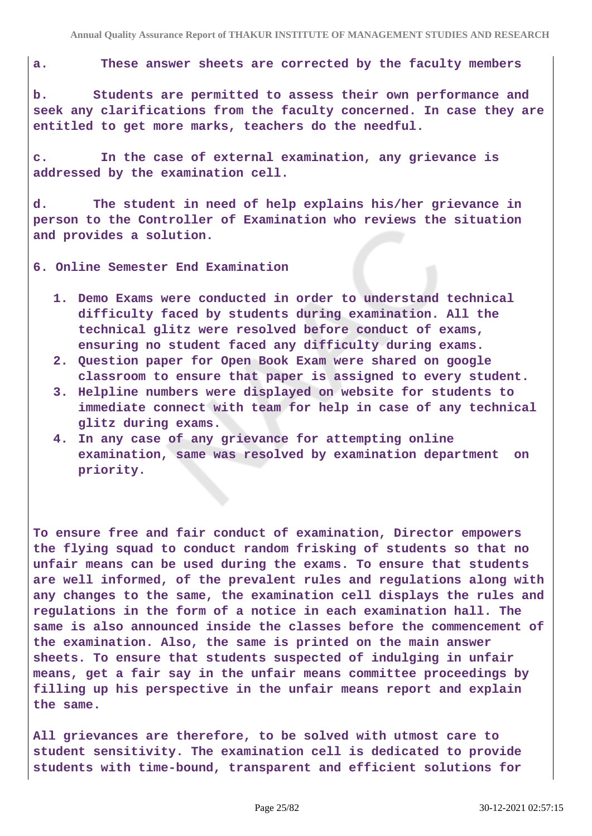**a. These answer sheets are corrected by the faculty members**

**b. Students are permitted to assess their own performance and seek any clarifications from the faculty concerned. In case they are entitled to get more marks, teachers do the needful.**

**c. In the case of external examination, any grievance is addressed by the examination cell.**

**d. The student in need of help explains his/her grievance in person to the Controller of Examination who reviews the situation and provides a solution.**

**6. Online Semester End Examination**

- **1. Demo Exams were conducted in order to understand technical difficulty faced by students during examination. All the technical glitz were resolved before conduct of exams, ensuring no student faced any difficulty during exams.**
- **2. Question paper for Open Book Exam were shared on google classroom to ensure that paper is assigned to every student.**
- **3. Helpline numbers were displayed on website for students to immediate connect with team for help in case of any technical glitz during exams.**
- **4. In any case of any grievance for attempting online examination, same was resolved by examination department on priority.**

**To ensure free and fair conduct of examination, Director empowers the flying squad to conduct random frisking of students so that no unfair means can be used during the exams. To ensure that students are well informed, of the prevalent rules and regulations along with any changes to the same, the examination cell displays the rules and regulations in the form of a notice in each examination hall. The same is also announced inside the classes before the commencement of the examination. Also, the same is printed on the main answer sheets. To ensure that students suspected of indulging in unfair means, get a fair say in the unfair means committee proceedings by filling up his perspective in the unfair means report and explain the same.**

**All grievances are therefore, to be solved with utmost care to student sensitivity. The examination cell is dedicated to provide students with time-bound, transparent and efficient solutions for**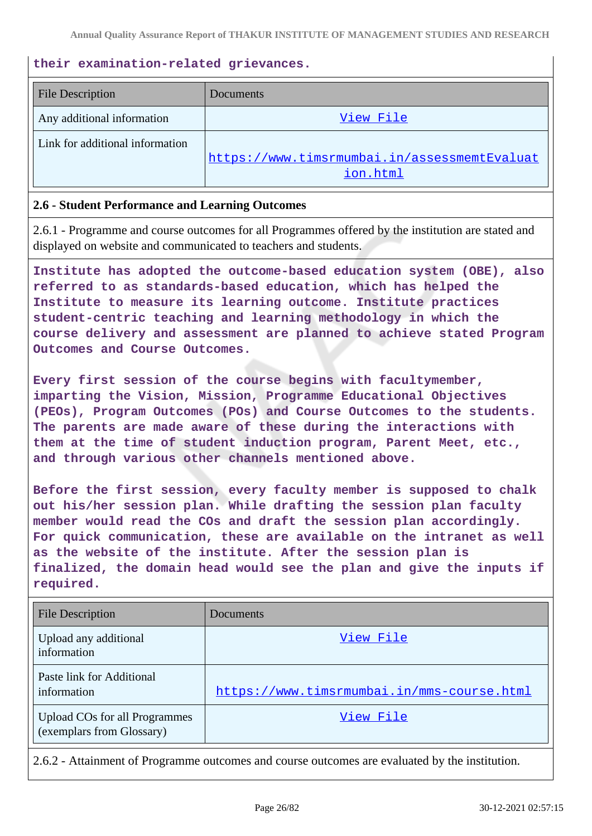#### **their examination-related grievances.**

| <b>File Description</b>         | Documents                                                |
|---------------------------------|----------------------------------------------------------|
| Any additional information      | View File                                                |
| Link for additional information |                                                          |
|                                 | https://www.timsrmumbai.in/assessmemtEvaluat<br>ion.html |
|                                 |                                                          |

#### **2.6 - Student Performance and Learning Outcomes**

2.6.1 - Programme and course outcomes for all Programmes offered by the institution are stated and displayed on website and communicated to teachers and students.

**Institute has adopted the outcome-based education system (OBE), also referred to as standards-based education, which has helped the Institute to measure its learning outcome. Institute practices student-centric teaching and learning methodology in which the course delivery and assessment are planned to achieve stated Program Outcomes and Course Outcomes.**

**Every first session of the course begins with facultymember, imparting the Vision, Mission, Programme Educational Objectives (PEOs), Program Outcomes (POs) and Course Outcomes to the students. The parents are made aware of these during the interactions with them at the time of student induction program, Parent Meet, etc., and through various other channels mentioned above.**

**Before the first session, every faculty member is supposed to chalk out his/her session plan. While drafting the session plan faculty member would read the COs and draft the session plan accordingly. For quick communication, these are available on the intranet as well as the website of the institute. After the session plan is finalized, the domain head would see the plan and give the inputs if required.**

| <b>File Description</b>                                           | Documents                                  |
|-------------------------------------------------------------------|--------------------------------------------|
| Upload any additional<br>information                              | View File                                  |
| Paste link for Additional<br>information                          | https://www.timsrmumbai.in/mms-course.html |
| <b>Upload COs for all Programmes</b><br>(exemplars from Glossary) | View File                                  |

2.6.2 - Attainment of Programme outcomes and course outcomes are evaluated by the institution.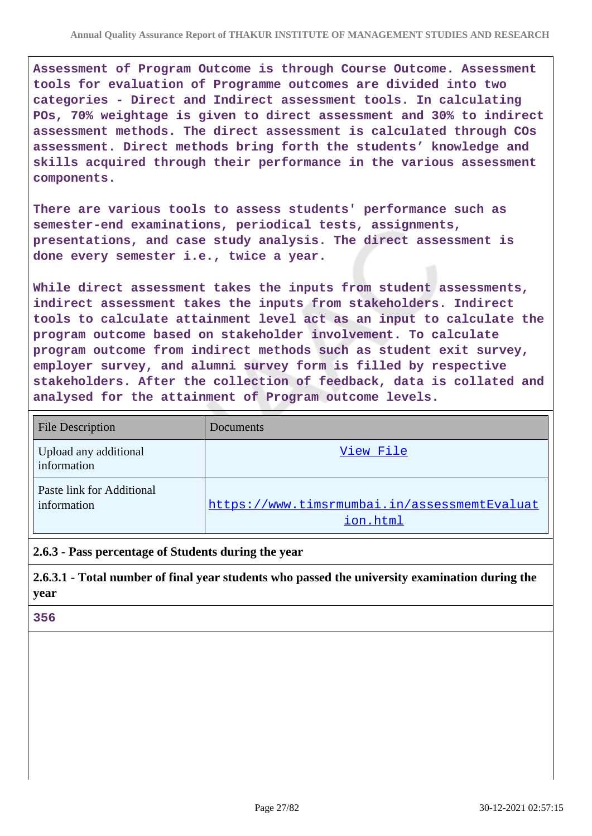**Assessment of Program Outcome is through Course Outcome. Assessment tools for evaluation of Programme outcomes are divided into two categories - Direct and Indirect assessment tools. In calculating POs, 70% weightage is given to direct assessment and 30% to indirect assessment methods. The direct assessment is calculated through COs assessment. Direct methods bring forth the students' knowledge and skills acquired through their performance in the various assessment components.**

**There are various tools to assess students' performance such as semester-end examinations, periodical tests, assignments, presentations, and case study analysis. The direct assessment is done every semester i.e., twice a year.**

**While direct assessment takes the inputs from student assessments, indirect assessment takes the inputs from stakeholders. Indirect tools to calculate attainment level act as an input to calculate the program outcome based on stakeholder involvement. To calculate program outcome from indirect methods such as student exit survey, employer survey, and alumni survey form is filled by respective stakeholders. After the collection of feedback, data is collated and analysed for the attainment of Program outcome levels.**

| <b>File Description</b>                  | Documents                                                |
|------------------------------------------|----------------------------------------------------------|
| Upload any additional<br>information     | View File                                                |
| Paste link for Additional<br>information | https://www.timsrmumbai.in/assessmemtEvaluat<br>ion.html |

#### **2.6.3 - Pass percentage of Students during the year**

**2.6.3.1 - Total number of final year students who passed the university examination during the year**

#### **356**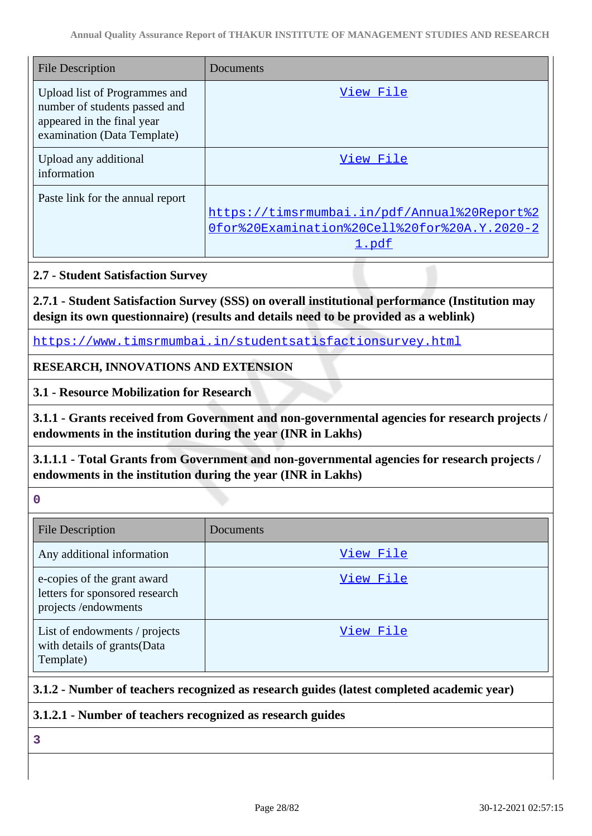| <b>File Description</b>                                                                                                     | Documents                                                                                             |
|-----------------------------------------------------------------------------------------------------------------------------|-------------------------------------------------------------------------------------------------------|
| Upload list of Programmes and<br>number of students passed and<br>appeared in the final year<br>examination (Data Template) | View File                                                                                             |
| Upload any additional<br>information                                                                                        | View File                                                                                             |
| Paste link for the annual report                                                                                            | https://timsrmumbai.in/pdf/Annual%20Report%2<br>Ofor%20Examination%20Cell%20for%20A.Y.2020-2<br>1.pdf |

#### **2.7 - Student Satisfaction Survey**

**2.7.1 - Student Satisfaction Survey (SSS) on overall institutional performance (Institution may design its own questionnaire) (results and details need to be provided as a weblink)**

<https://www.timsrmumbai.in/studentsatisfactionsurvey.html>

## **RESEARCH, INNOVATIONS AND EXTENSION**

**3.1 - Resource Mobilization for Research**

**3.1.1 - Grants received from Government and non-governmental agencies for research projects / endowments in the institution during the year (INR in Lakhs)**

**3.1.1.1 - Total Grants from Government and non-governmental agencies for research projects / endowments in the institution during the year (INR in Lakhs)**

**0**

| <b>File Description</b>                                                              | Documents |
|--------------------------------------------------------------------------------------|-----------|
| Any additional information                                                           | View File |
| e-copies of the grant award<br>letters for sponsored research<br>projects/endowments | View File |
| List of endowments / projects<br>with details of grants (Data<br>Template)           | View File |

## **3.1.2 - Number of teachers recognized as research guides (latest completed academic year)**

#### **3.1.2.1 - Number of teachers recognized as research guides**

**3**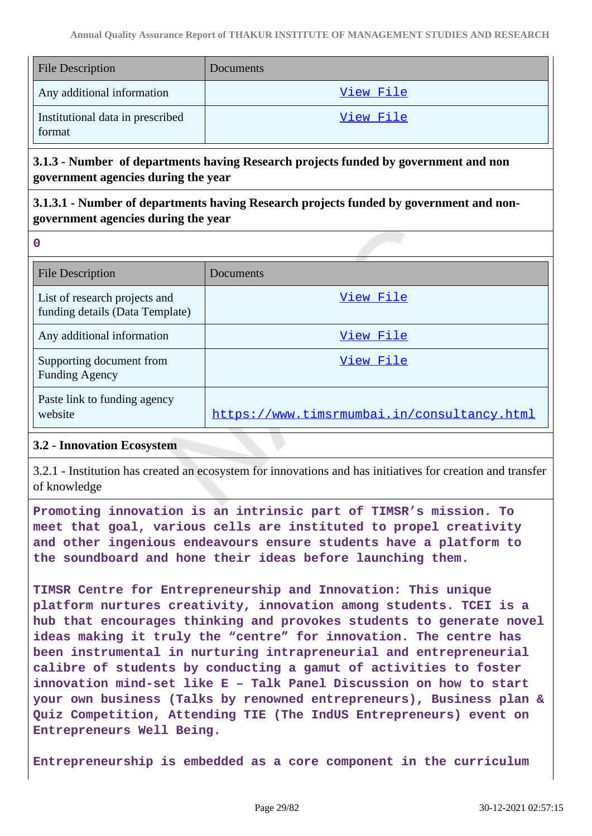| <b>File Description</b>                    | Documents |
|--------------------------------------------|-----------|
| Any additional information                 | View File |
| Institutional data in prescribed<br>format | View File |

## **3.1.3 - Number of departments having Research projects funded by government and non government agencies during the year**

# **3.1.3.1 - Number of departments having Research projects funded by government and nongovernment agencies during the year**

| $\overline{a}$ |               |  |
|----------------|---------------|--|
|                | ı<br>۰.<br>۰. |  |

| <b>File Description</b>                                          | Documents                                   |
|------------------------------------------------------------------|---------------------------------------------|
| List of research projects and<br>funding details (Data Template) | View File                                   |
| Any additional information                                       | View File                                   |
| Supporting document from<br><b>Funding Agency</b>                | View File                                   |
| Paste link to funding agency<br>website                          | https://www.timsrmumbai.in/consultancy.html |

#### **3.2 - Innovation Ecosystem**

3.2.1 - Institution has created an ecosystem for innovations and has initiatives for creation and transfer of knowledge

**Promoting innovation is an intrinsic part of TIMSR's mission. To meet that goal, various cells are instituted to propel creativity and other ingenious endeavours ensure students have a platform to the soundboard and hone their ideas before launching them.**

**TIMSR Centre for Entrepreneurship and Innovation: This unique platform nurtures creativity, innovation among students. TCEI is a hub that encourages thinking and provokes students to generate novel ideas making it truly the "centre" for innovation. The centre has been instrumental in nurturing intrapreneurial and entrepreneurial calibre of students by conducting a gamut of activities to foster innovation mind-set like E – Talk Panel Discussion on how to start your own business (Talks by renowned entrepreneurs), Business plan & Quiz Competition, Attending TIE (The IndUS Entrepreneurs) event on Entrepreneurs Well Being.**

**Entrepreneurship is embedded as a core component in the curriculum**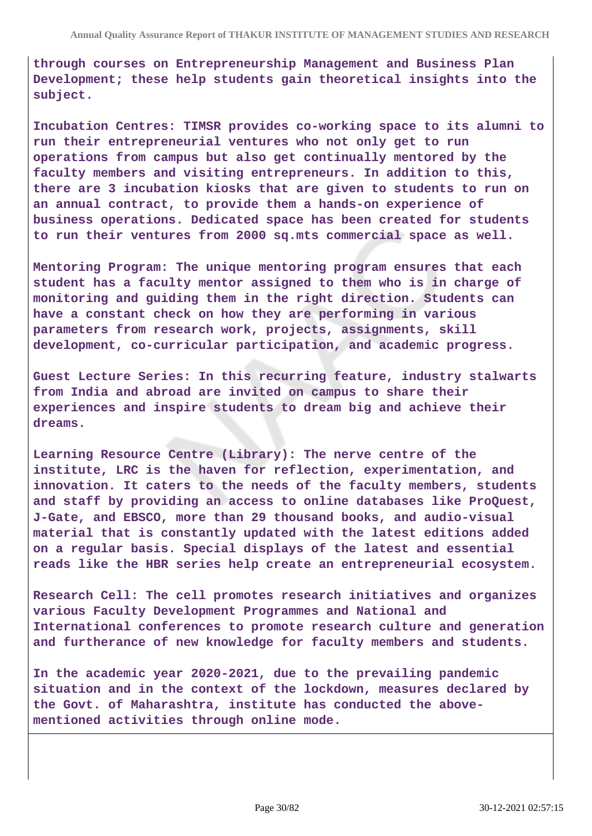**through courses on Entrepreneurship Management and Business Plan Development; these help students gain theoretical insights into the subject.**

**Incubation Centres: TIMSR provides co-working space to its alumni to run their entrepreneurial ventures who not only get to run operations from campus but also get continually mentored by the faculty members and visiting entrepreneurs. In addition to this, there are 3 incubation kiosks that are given to students to run on an annual contract, to provide them a hands-on experience of business operations. Dedicated space has been created for students to run their ventures from 2000 sq.mts commercial space as well.**

**Mentoring Program: The unique mentoring program ensures that each student has a faculty mentor assigned to them who is in charge of monitoring and guiding them in the right direction. Students can have a constant check on how they are performing in various parameters from research work, projects, assignments, skill development, co-curricular participation, and academic progress.**

**Guest Lecture Series: In this recurring feature, industry stalwarts from India and abroad are invited on campus to share their experiences and inspire students to dream big and achieve their dreams.**

**Learning Resource Centre (Library): The nerve centre of the institute, LRC is the haven for reflection, experimentation, and innovation. It caters to the needs of the faculty members, students and staff by providing an access to online databases like ProQuest, J-Gate, and EBSCO, more than 29 thousand books, and audio-visual material that is constantly updated with the latest editions added on a regular basis. Special displays of the latest and essential reads like the HBR series help create an entrepreneurial ecosystem.**

**Research Cell: The cell promotes research initiatives and organizes various Faculty Development Programmes and National and International conferences to promote research culture and generation and furtherance of new knowledge for faculty members and students.**

**In the academic year 2020-2021, due to the prevailing pandemic situation and in the context of the lockdown, measures declared by the Govt. of Maharashtra, institute has conducted the abovementioned activities through online mode.**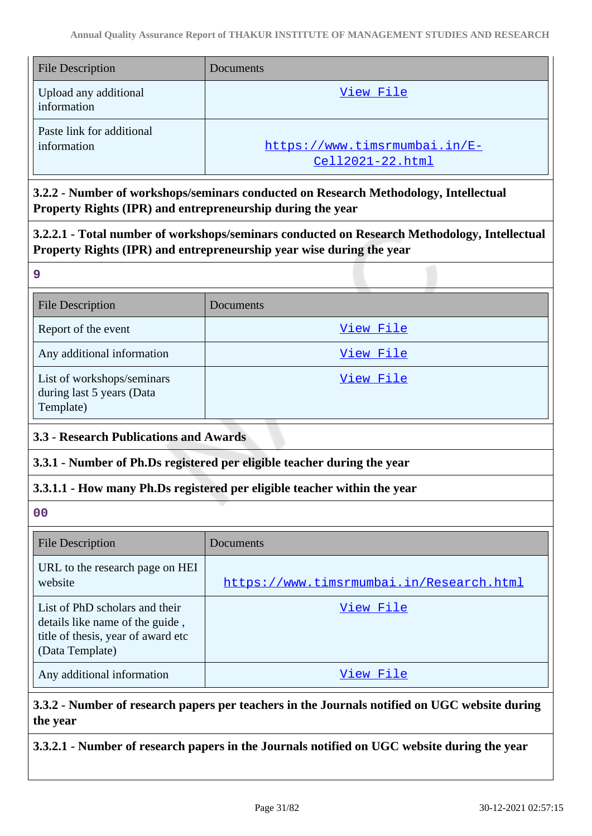| File Description                         | Documents                                         |
|------------------------------------------|---------------------------------------------------|
| Upload any additional<br>information     | View File                                         |
| Paste link for additional<br>information | https://www.timsrmumbai.in/E-<br>Cell2021-22.html |

**3.2.2 - Number of workshops/seminars conducted on Research Methodology, Intellectual Property Rights (IPR) and entrepreneurship during the year**

**3.2.2.1 - Total number of workshops/seminars conducted on Research Methodology, Intellectual Property Rights (IPR) and entrepreneurship year wise during the year**

| <b>File Description</b>                                              | Documents |
|----------------------------------------------------------------------|-----------|
| Report of the event                                                  | View File |
| Any additional information                                           | View File |
| List of workshops/seminars<br>during last 5 years (Data<br>Template) | View File |

## **3.3 - Research Publications and Awards**

**3.3.1 - Number of Ph.Ds registered per eligible teacher during the year**

## **3.3.1.1 - How many Ph.Ds registered per eligible teacher within the year**

**00**

**9**

| <b>File Description</b>                                                                                                    | <b>Documents</b>                         |
|----------------------------------------------------------------------------------------------------------------------------|------------------------------------------|
| URL to the research page on HEI<br>website                                                                                 | https://www.timsrmumbai.in/Research.html |
| List of PhD scholars and their<br>details like name of the guide,<br>title of thesis, year of award etc<br>(Data Template) | View File                                |
| Any additional information                                                                                                 | View File                                |

# **3.3.2 - Number of research papers per teachers in the Journals notified on UGC website during the year**

**3.3.2.1 - Number of research papers in the Journals notified on UGC website during the year**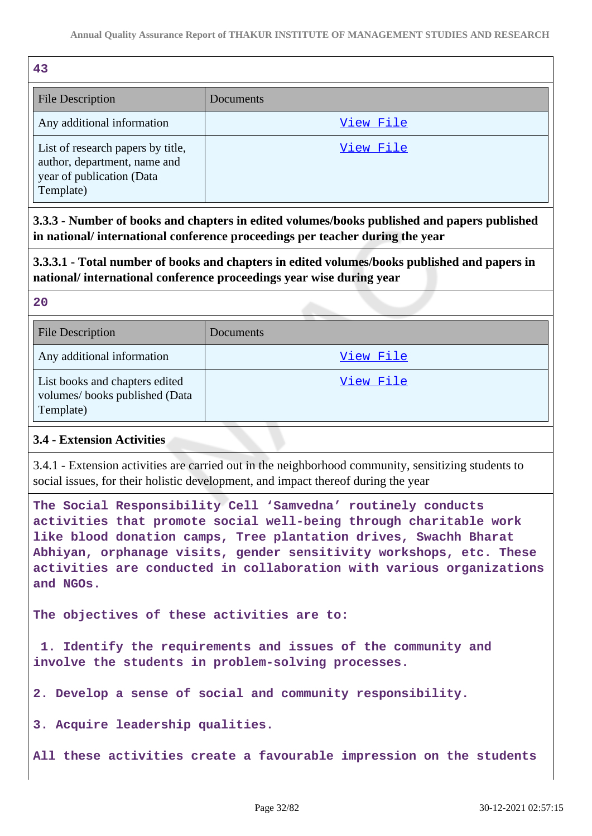| 43                                                                                                          |           |
|-------------------------------------------------------------------------------------------------------------|-----------|
| <b>File Description</b>                                                                                     | Documents |
| Any additional information                                                                                  | View File |
| List of research papers by title,<br>author, department, name and<br>year of publication (Data<br>Template) | View File |

**3.3.3 - Number of books and chapters in edited volumes/books published and papers published in national/ international conference proceedings per teacher during the year**

**3.3.3.1 - Total number of books and chapters in edited volumes/books published and papers in national/ international conference proceedings year wise during year**

**20**

| <b>File Description</b>                                                      | Documents |
|------------------------------------------------------------------------------|-----------|
| Any additional information                                                   | View File |
| List books and chapters edited<br>volumes/books published (Data<br>Template) | View File |

#### **3.4 - Extension Activities**

3.4.1 - Extension activities are carried out in the neighborhood community, sensitizing students to social issues, for their holistic development, and impact thereof during the year

**The Social Responsibility Cell 'Samvedna' routinely conducts activities that promote social well-being through charitable work like blood donation camps, Tree plantation drives, Swachh Bharat Abhiyan, orphanage visits, gender sensitivity workshops, etc. These activities are conducted in collaboration with various organizations and NGOs.**

**The objectives of these activities are to:** 

 **1. Identify the requirements and issues of the community and involve the students in problem-solving processes.**

**2. Develop a sense of social and community responsibility.**

**3. Acquire leadership qualities.**

**All these activities create a favourable impression on the students**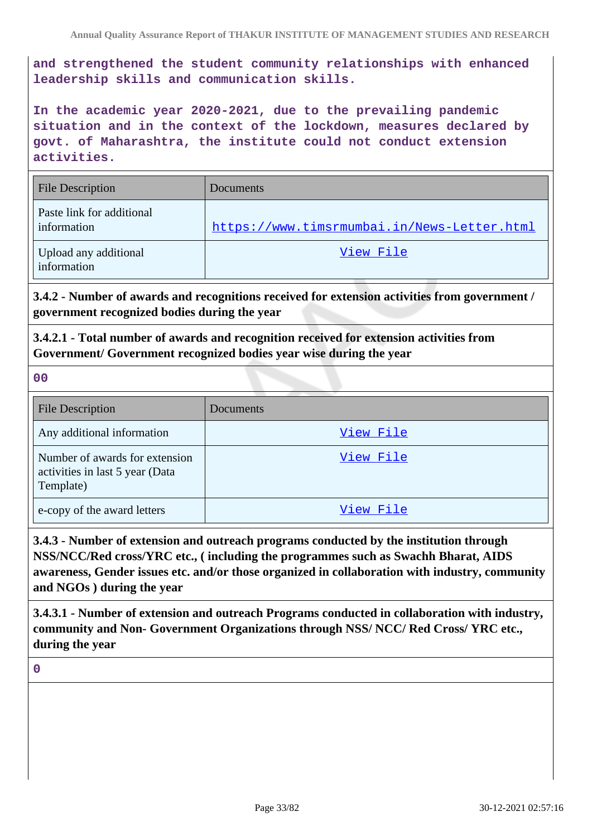**and strengthened the student community relationships with enhanced leadership skills and communication skills.**

**In the academic year 2020-2021, due to the prevailing pandemic situation and in the context of the lockdown, measures declared by govt. of Maharashtra, the institute could not conduct extension activities.**

| <b>File Description</b>                  | <b>Documents</b>                            |
|------------------------------------------|---------------------------------------------|
| Paste link for additional<br>information | https://www.timsrmumbai.in/News-Letter.html |
| Upload any additional<br>information     | View File                                   |

**3.4.2 - Number of awards and recognitions received for extension activities from government / government recognized bodies during the year**

**3.4.2.1 - Total number of awards and recognition received for extension activities from Government/ Government recognized bodies year wise during the year**

**00**

| <b>File Description</b>                                                        | Documents |
|--------------------------------------------------------------------------------|-----------|
| Any additional information                                                     | View File |
| Number of awards for extension<br>activities in last 5 year (Data<br>Template) | View File |
| e-copy of the award letters                                                    | View File |

**3.4.3 - Number of extension and outreach programs conducted by the institution through NSS/NCC/Red cross/YRC etc., ( including the programmes such as Swachh Bharat, AIDS awareness, Gender issues etc. and/or those organized in collaboration with industry, community and NGOs ) during the year**

**3.4.3.1 - Number of extension and outreach Programs conducted in collaboration with industry, community and Non- Government Organizations through NSS/ NCC/ Red Cross/ YRC etc., during the year**

**0**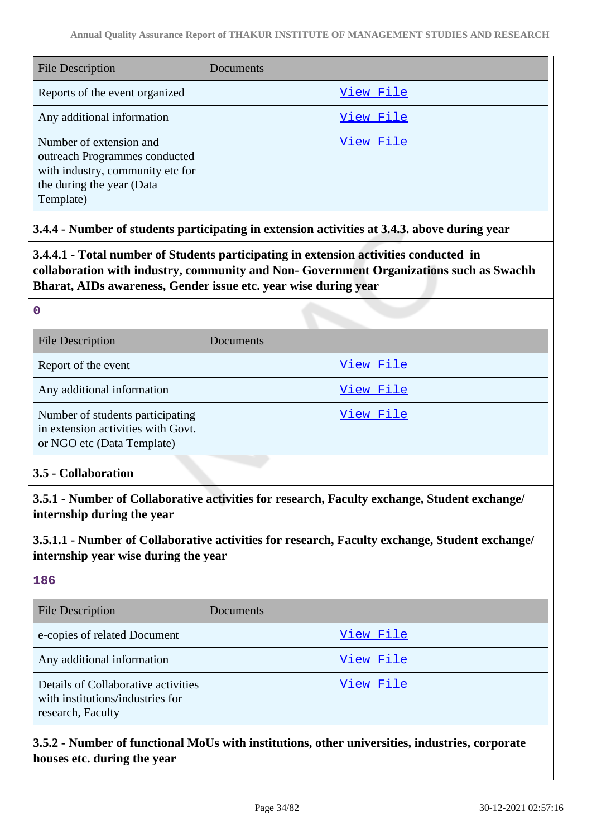| File Description                                                                                                                       | Documents |
|----------------------------------------------------------------------------------------------------------------------------------------|-----------|
| Reports of the event organized                                                                                                         | View File |
| Any additional information                                                                                                             | View File |
| Number of extension and<br>outreach Programmes conducted<br>with industry, community etc for<br>the during the year (Data<br>Template) | View File |

#### **3.4.4 - Number of students participating in extension activities at 3.4.3. above during year**

**3.4.4.1 - Total number of Students participating in extension activities conducted in collaboration with industry, community and Non- Government Organizations such as Swachh Bharat, AIDs awareness, Gender issue etc. year wise during year**

#### **0**

| <b>File Description</b>                                                                              | Documents |
|------------------------------------------------------------------------------------------------------|-----------|
| Report of the event                                                                                  | View File |
| Any additional information                                                                           | View File |
| Number of students participating<br>in extension activities with Govt.<br>or NGO etc (Data Template) | View File |

#### **3.5 - Collaboration**

**3.5.1 - Number of Collaborative activities for research, Faculty exchange, Student exchange/ internship during the year**

**3.5.1.1 - Number of Collaborative activities for research, Faculty exchange, Student exchange/ internship year wise during the year**

## **186**

| <b>File Description</b>                                                                      | <b>Documents</b> |
|----------------------------------------------------------------------------------------------|------------------|
| e-copies of related Document                                                                 | View File        |
| Any additional information                                                                   | View File        |
| Details of Collaborative activities<br>with institutions/industries for<br>research, Faculty | View File        |

**3.5.2 - Number of functional MoUs with institutions, other universities, industries, corporate houses etc. during the year**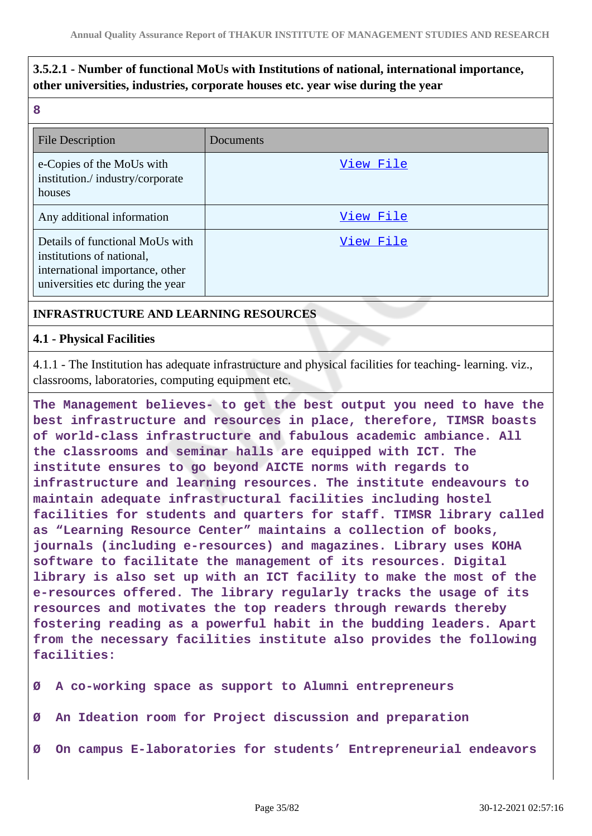# **3.5.2.1 - Number of functional MoUs with Institutions of national, international importance, other universities, industries, corporate houses etc. year wise during the year**

**8**

| <b>File Description</b>                                                                                                             | Documents |
|-------------------------------------------------------------------------------------------------------------------------------------|-----------|
| e-Copies of the MoUs with<br>institution./industry/corporate<br>houses                                                              | View File |
| Any additional information                                                                                                          | View File |
| Details of functional MoUs with<br>institutions of national,<br>international importance, other<br>universities etc during the year | View File |

#### **INFRASTRUCTURE AND LEARNING RESOURCES**

#### **4.1 - Physical Facilities**

4.1.1 - The Institution has adequate infrastructure and physical facilities for teaching- learning. viz., classrooms, laboratories, computing equipment etc.

**The Management believes- to get the best output you need to have the best infrastructure and resources in place, therefore, TIMSR boasts of world-class infrastructure and fabulous academic ambiance. All the classrooms and seminar halls are equipped with ICT. The institute ensures to go beyond AICTE norms with regards to infrastructure and learning resources. The institute endeavours to maintain adequate infrastructural facilities including hostel facilities for students and quarters for staff. TIMSR library called as "Learning Resource Center" maintains a collection of books, journals (including e-resources) and magazines. Library uses KOHA software to facilitate the management of its resources. Digital library is also set up with an ICT facility to make the most of the e-resources offered. The library regularly tracks the usage of its resources and motivates the top readers through rewards thereby fostering reading as a powerful habit in the budding leaders. Apart from the necessary facilities institute also provides the following facilities:**

**Ø A co-working space as support to Alumni entrepreneurs**

- **Ø An Ideation room for Project discussion and preparation**
- **Ø On campus E-laboratories for students' Entrepreneurial endeavors**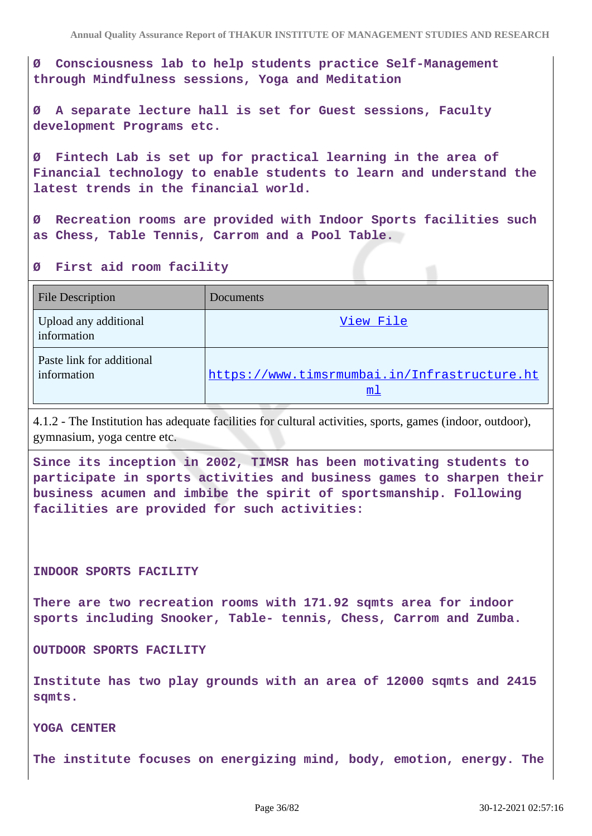**Ø Consciousness lab to help students practice Self-Management through Mindfulness sessions, Yoga and Meditation**

**Ø A separate lecture hall is set for Guest sessions, Faculty development Programs etc.**

**Ø Fintech Lab is set up for practical learning in the area of Financial technology to enable students to learn and understand the latest trends in the financial world.**

**Ø Recreation rooms are provided with Indoor Sports facilities such as Chess, Table Tennis, Carrom and a Pool Table.**

#### **Ø First aid room facility**

| <b>File Description</b>                  | Documents                                          |
|------------------------------------------|----------------------------------------------------|
| Upload any additional<br>information     | View File                                          |
| Paste link for additional<br>information | https://www.timsrmumbai.in/Infrastructure.ht<br>ml |

4.1.2 - The Institution has adequate facilities for cultural activities, sports, games (indoor, outdoor), gymnasium, yoga centre etc.

**Since its inception in 2002, TIMSR has been motivating students to participate in sports activities and business games to sharpen their business acumen and imbibe the spirit of sportsmanship. Following facilities are provided for such activities:**

#### **INDOOR SPORTS FACILITY**

**There are two recreation rooms with 171.92 sqmts area for indoor sports including Snooker, Table- tennis, Chess, Carrom and Zumba.**

**OUTDOOR SPORTS FACILITY**

**Institute has two play grounds with an area of 12000 sqmts and 2415 sqmts.**

**YOGA CENTER**

**The institute focuses on energizing mind, body, emotion, energy. The**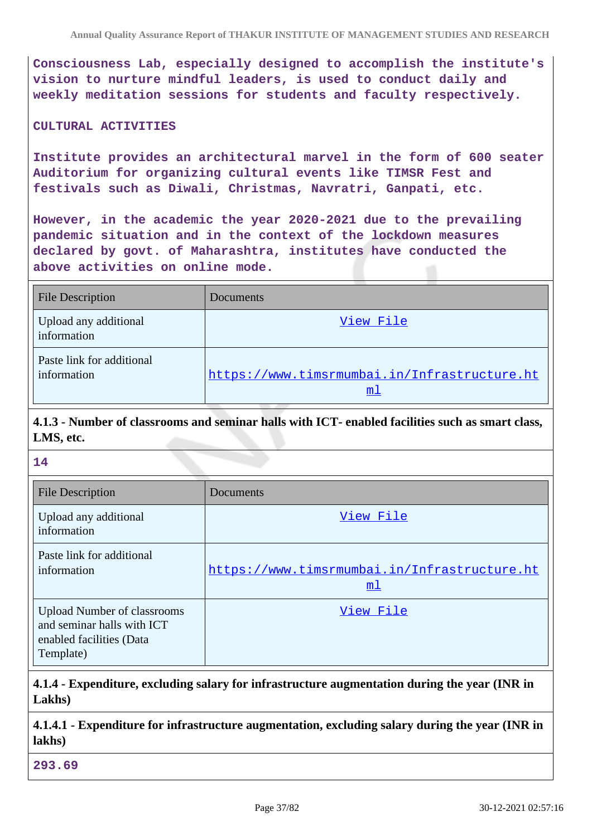**Consciousness Lab, especially designed to accomplish the institute's vision to nurture mindful leaders, is used to conduct daily and weekly meditation sessions for students and faculty respectively.**

#### **CULTURAL ACTIVITIES**

**Institute provides an architectural marvel in the form of 600 seater Auditorium for organizing cultural events like TIMSR Fest and festivals such as Diwali, Christmas, Navratri, Ganpati, etc.**

**However, in the academic the year 2020-2021 due to the prevailing pandemic situation and in the context of the lockdown measures declared by govt. of Maharashtra, institutes have conducted the above activities on online mode.**

| <b>File Description</b>                  | Documents                                                      |
|------------------------------------------|----------------------------------------------------------------|
| Upload any additional<br>information     | View File                                                      |
| Paste link for additional<br>information | https://www.timsrmumbai.in/Infrastructure.ht<br>m <sub>1</sub> |

# **4.1.3 - Number of classrooms and seminar halls with ICT- enabled facilities such as smart class, LMS, etc.**

| 14                                                                                                        |                                                                |
|-----------------------------------------------------------------------------------------------------------|----------------------------------------------------------------|
| <b>File Description</b>                                                                                   | Documents                                                      |
| Upload any additional<br>information                                                                      | View File                                                      |
| Paste link for additional<br>information                                                                  | https://www.timsrmumbai.in/Infrastructure.ht<br>m <sub>1</sub> |
| <b>Upload Number of classrooms</b><br>and seminar halls with ICT<br>enabled facilities (Data<br>Template) | View File                                                      |

## **4.1.4 - Expenditure, excluding salary for infrastructure augmentation during the year (INR in Lakhs)**

**4.1.4.1 - Expenditure for infrastructure augmentation, excluding salary during the year (INR in lakhs)**

**293.69**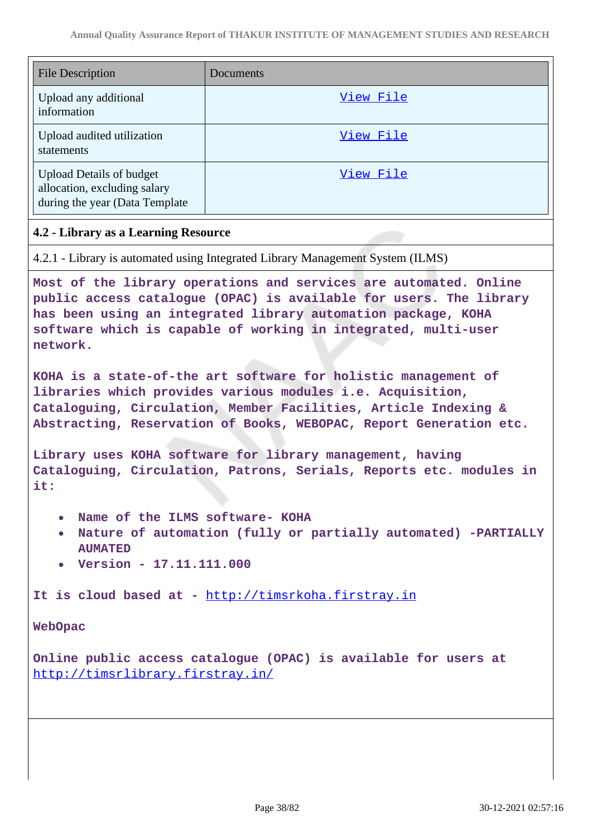| <b>File Description</b>                                                                            | Documents |
|----------------------------------------------------------------------------------------------------|-----------|
| Upload any additional<br>information                                                               | View File |
| Upload audited utilization<br>statements                                                           | View File |
| <b>Upload Details of budget</b><br>allocation, excluding salary<br>during the year (Data Template) | View File |

### **4.2 - Library as a Learning Resource**

4.2.1 - Library is automated using Integrated Library Management System (ILMS)

**Most of the library operations and services are automated. Online public access catalogue (OPAC) is available for users. The library has been using an integrated library automation package, KOHA software which is capable of working in integrated, multi-user network.**

**KOHA is a state-of-the art software for holistic management of libraries which provides various modules i.e. Acquisition, Cataloguing, Circulation, Member Facilities, Article Indexing & Abstracting, Reservation of Books, WEBOPAC, Report Generation etc.**

**Library uses KOHA software for library management, having Cataloguing, Circulation, Patrons, Serials, Reports etc. modules in it:**

- **Name of the ILMS software- KOHA**
- **Nature of automation (fully or partially automated) -PARTIALLY AUMATED**
- **Version 17.11.111.000**

**It is cloud based at -** <http://timsrkoha.firstray.in>

**WebOpac**

**Online public access catalogue (OPAC) is available for users at**  <http://timsrlibrary.firstray.in/>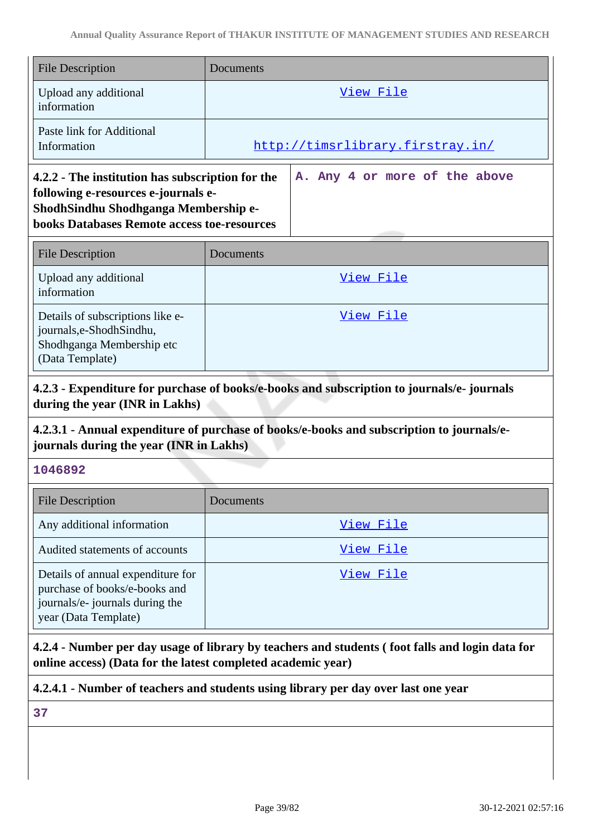| <b>File Description</b>                                                                                                                                                               | Documents                        |                               |  |
|---------------------------------------------------------------------------------------------------------------------------------------------------------------------------------------|----------------------------------|-------------------------------|--|
| Upload any additional<br>information                                                                                                                                                  | View File                        |                               |  |
| Paste link for Additional<br>Information                                                                                                                                              | http://timsrlibrary.firstray.in/ |                               |  |
| 4.2.2 - The institution has subscription for the<br>following e-resources e-journals e-<br>ShodhSindhu Shodhganga Membership e-<br><b>books Databases Remote access toe-resources</b> |                                  | A. Any 4 or more of the above |  |
| <b>File Description</b>                                                                                                                                                               | Documents                        |                               |  |
| Upload any additional<br>information                                                                                                                                                  | View File                        |                               |  |
| Details of subscriptions like e-<br>journals,e-ShodhSindhu,<br>Shodhganga Membership etc<br>(Data Template)                                                                           | View File                        |                               |  |

**4.2.3 - Expenditure for purchase of books/e-books and subscription to journals/e- journals during the year (INR in Lakhs)**

## **4.2.3.1 - Annual expenditure of purchase of books/e-books and subscription to journals/ejournals during the year (INR in Lakhs)**

## **1046892**

| <b>File Description</b>                                                                                                       | <b>Documents</b> |
|-------------------------------------------------------------------------------------------------------------------------------|------------------|
| Any additional information                                                                                                    | View File        |
| Audited statements of accounts                                                                                                | View File        |
| Details of annual expenditure for<br>purchase of books/e-books and<br>journals/e- journals during the<br>year (Data Template) | View File        |

**4.2.4 - Number per day usage of library by teachers and students ( foot falls and login data for online access) (Data for the latest completed academic year)**

**4.2.4.1 - Number of teachers and students using library per day over last one year**

**37**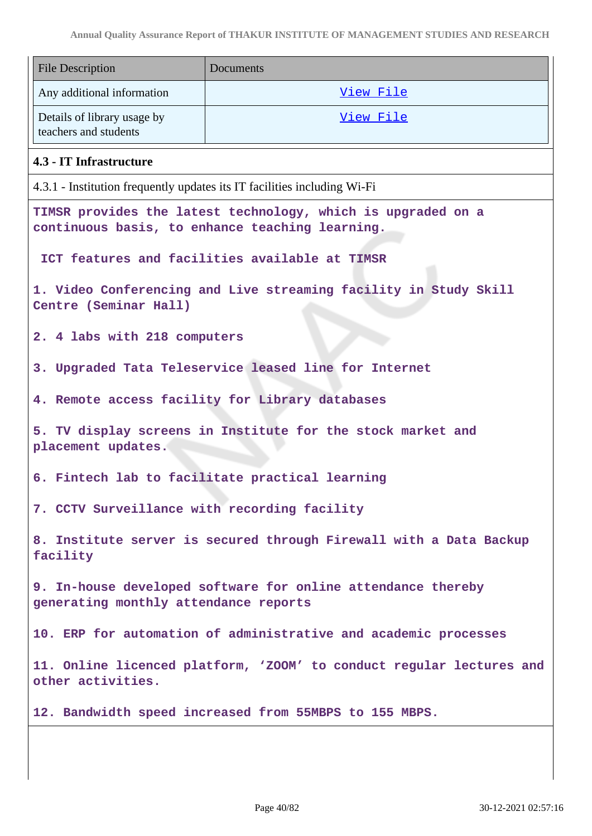| <b>File Description</b>                                                                               | Documents                                                                                                       |  |  |
|-------------------------------------------------------------------------------------------------------|-----------------------------------------------------------------------------------------------------------------|--|--|
| Any additional information                                                                            | View File                                                                                                       |  |  |
| Details of library usage by<br>teachers and students                                                  | View File                                                                                                       |  |  |
| 4.3 - IT Infrastructure                                                                               |                                                                                                                 |  |  |
|                                                                                                       | 4.3.1 - Institution frequently updates its IT facilities including Wi-Fi                                        |  |  |
|                                                                                                       | TIMSR provides the latest technology, which is upgraded on a<br>continuous basis, to enhance teaching learning. |  |  |
|                                                                                                       | ICT features and facilities available at TIMSR                                                                  |  |  |
| Centre (Seminar Hall)                                                                                 | 1. Video Conferencing and Live streaming facility in Study Skill                                                |  |  |
| 2. 4 labs with 218 computers                                                                          |                                                                                                                 |  |  |
|                                                                                                       | 3. Upgraded Tata Teleservice leased line for Internet                                                           |  |  |
|                                                                                                       | 4. Remote access facility for Library databases                                                                 |  |  |
| 5. TV display screens in Institute for the stock market and<br>placement updates.                     |                                                                                                                 |  |  |
|                                                                                                       | 6. Fintech lab to facilitate practical learning                                                                 |  |  |
| 7. CCTV Surveillance with recording facility                                                          |                                                                                                                 |  |  |
| 8. Institute server is secured through Firewall with a Data Backup<br>facility                        |                                                                                                                 |  |  |
| 9. In-house developed software for online attendance thereby<br>generating monthly attendance reports |                                                                                                                 |  |  |
| 10. ERP for automation of administrative and academic processes                                       |                                                                                                                 |  |  |
| 11. Online licenced platform, 'ZOOM' to conduct regular lectures and<br>other activities.             |                                                                                                                 |  |  |
| 12. Bandwidth speed increased from 55MBPS to 155 MBPS.                                                |                                                                                                                 |  |  |
|                                                                                                       |                                                                                                                 |  |  |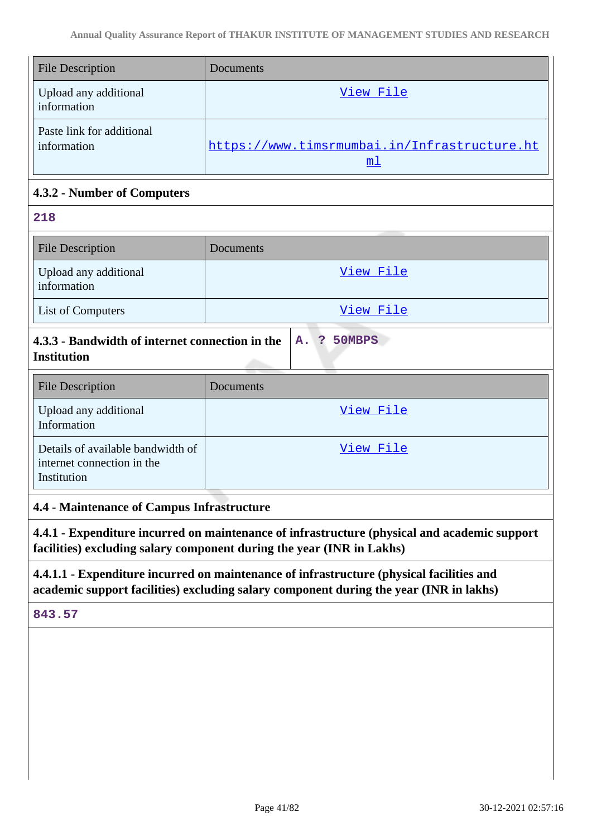| <b>File Description</b>                  | <b>Documents</b>                                               |
|------------------------------------------|----------------------------------------------------------------|
| Upload any additional<br>information     | View File                                                      |
| Paste link for additional<br>information | https://www.timsrmumbai.in/Infrastructure.ht<br>m <sub>1</sub> |

## **4.3.2 - Number of Computers**

| 218                                                                                                                                                                                                                                                                                                                                                                                                            |           |  |
|----------------------------------------------------------------------------------------------------------------------------------------------------------------------------------------------------------------------------------------------------------------------------------------------------------------------------------------------------------------------------------------------------------------|-----------|--|
| <b>File Description</b>                                                                                                                                                                                                                                                                                                                                                                                        | Documents |  |
| Upload any additional<br>information                                                                                                                                                                                                                                                                                                                                                                           | View File |  |
| <b>List of Computers</b>                                                                                                                                                                                                                                                                                                                                                                                       | View File |  |
| $\mathbf{A}$ $\mathbf{A}$ $\mathbf{A}$ $\mathbf{B}$ $\mathbf{A}$ $\mathbf{A}$ $\mathbf{A}$ $\mathbf{A}$ $\mathbf{A}$ $\mathbf{A}$ $\mathbf{A}$ $\mathbf{A}$ $\mathbf{A}$ $\mathbf{A}$ $\mathbf{A}$ $\mathbf{A}$ $\mathbf{A}$ $\mathbf{A}$ $\mathbf{A}$ $\mathbf{A}$ $\mathbf{A}$ $\mathbf{A}$ $\mathbf{A}$ $\mathbf{A}$ $\mathbf{$<br>- 78<br>$F$ <sup><math>\alpha</math></sup> $F$ $D$ $D$ $d$<br>$\sqrt{2}$ |           |  |

| 4.3.3 - Bandwidth of internet connection in the   A. ? 50MBPS |  |  |
|---------------------------------------------------------------|--|--|
| <b>Institution</b>                                            |  |  |

| <b>File Description</b>                                                        | Documents |
|--------------------------------------------------------------------------------|-----------|
| Upload any additional<br>Information                                           | View File |
| Details of available bandwidth of<br>internet connection in the<br>Institution | View File |

# **4.4 - Maintenance of Campus Infrastructure**

**4.4.1 - Expenditure incurred on maintenance of infrastructure (physical and academic support facilities) excluding salary component during the year (INR in Lakhs)**

# **4.4.1.1 - Expenditure incurred on maintenance of infrastructure (physical facilities and academic support facilities) excluding salary component during the year (INR in lakhs)**

**843.57**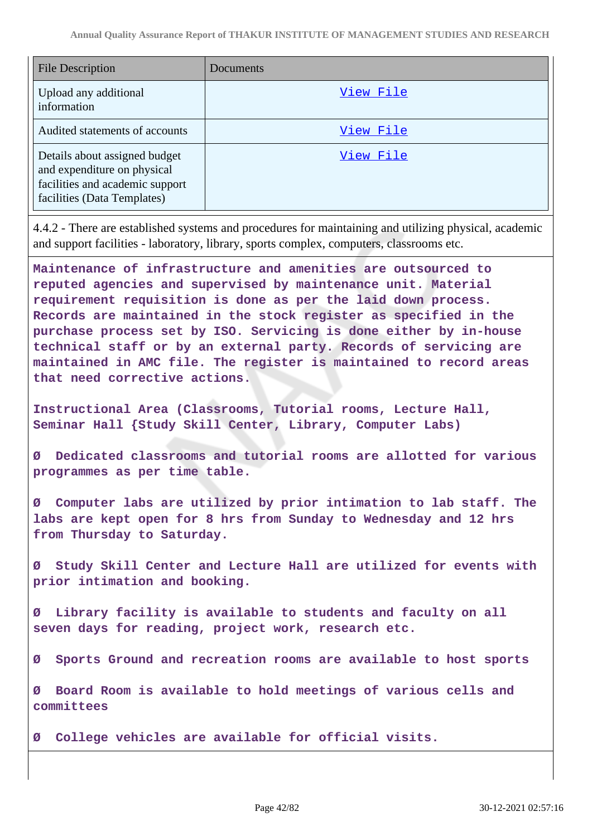| <b>File Description</b>                                                                                                        | Documents |
|--------------------------------------------------------------------------------------------------------------------------------|-----------|
| Upload any additional<br>information                                                                                           | View File |
| Audited statements of accounts                                                                                                 | View File |
| Details about assigned budget<br>and expenditure on physical<br>facilities and academic support<br>facilities (Data Templates) | View File |

4.4.2 - There are established systems and procedures for maintaining and utilizing physical, academic and support facilities - laboratory, library, sports complex, computers, classrooms etc.

**Maintenance of infrastructure and amenities are outsourced to reputed agencies and supervised by maintenance unit. Material requirement requisition is done as per the laid down process. Records are maintained in the stock register as specified in the purchase process set by ISO. Servicing is done either by in-house technical staff or by an external party. Records of servicing are maintained in AMC file. The register is maintained to record areas that need corrective actions.**

**Instructional Area (Classrooms, Tutorial rooms, Lecture Hall, Seminar Hall {Study Skill Center, Library, Computer Labs)**

**Ø Dedicated classrooms and tutorial rooms are allotted for various programmes as per time table.**

**Ø Computer labs are utilized by prior intimation to lab staff. The labs are kept open for 8 hrs from Sunday to Wednesday and 12 hrs from Thursday to Saturday.**

**Ø Study Skill Center and Lecture Hall are utilized for events with prior intimation and booking.**

Library facility is available to students and faculty on all **seven days for reading, project work, research etc.**

**Ø Sports Ground and recreation rooms are available to host sports**

**Ø Board Room is available to hold meetings of various cells and committees**

**Ø College vehicles are available for official visits.**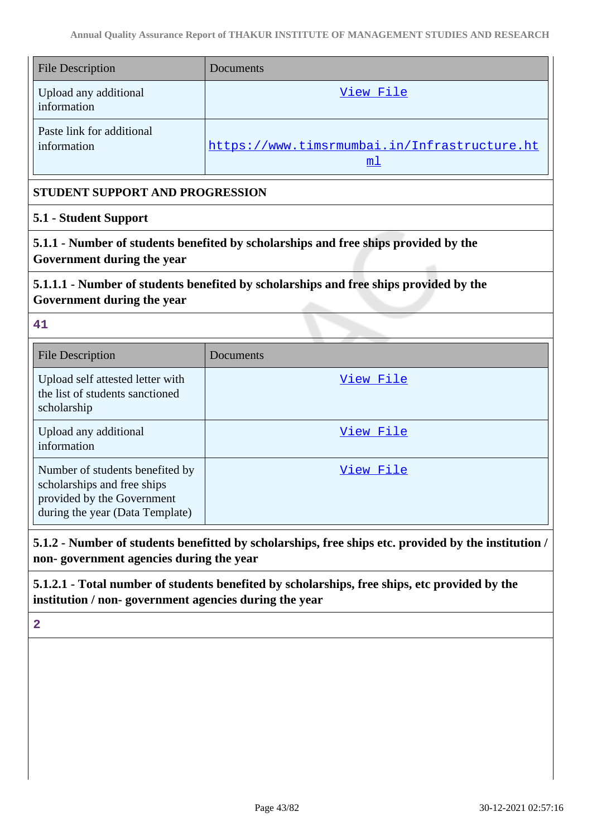| <b>File Description</b>                                                                                                         | Documents                                                      |  |  |  |
|---------------------------------------------------------------------------------------------------------------------------------|----------------------------------------------------------------|--|--|--|
| Upload any additional<br>information                                                                                            | View File                                                      |  |  |  |
| Paste link for additional<br>information                                                                                        | https://www.timsrmumbai.in/Infrastructure.ht<br>m <sub>1</sub> |  |  |  |
|                                                                                                                                 | <b>STUDENT SUPPORT AND PROGRESSION</b>                         |  |  |  |
| 5.1 - Student Support                                                                                                           |                                                                |  |  |  |
| 5.1.1 - Number of students benefited by scholarships and free ships provided by the<br>Government during the year               |                                                                |  |  |  |
| 5.1.1.1 - Number of students benefited by scholarships and free ships provided by the<br>Government during the year             |                                                                |  |  |  |
| 41                                                                                                                              |                                                                |  |  |  |
| <b>File Description</b>                                                                                                         | Documents                                                      |  |  |  |
| Upload self attested letter with<br>the list of students sanctioned<br>scholarship                                              | View File                                                      |  |  |  |
| Upload any additional<br>information                                                                                            | View File                                                      |  |  |  |
| Number of students benefited by<br>scholarships and free ships<br>provided by the Government<br>during the year (Data Template) | View File                                                      |  |  |  |

**5.1.2 - Number of students benefitted by scholarships, free ships etc. provided by the institution / non- government agencies during the year**

**5.1.2.1 - Total number of students benefited by scholarships, free ships, etc provided by the institution / non- government agencies during the year**

**2**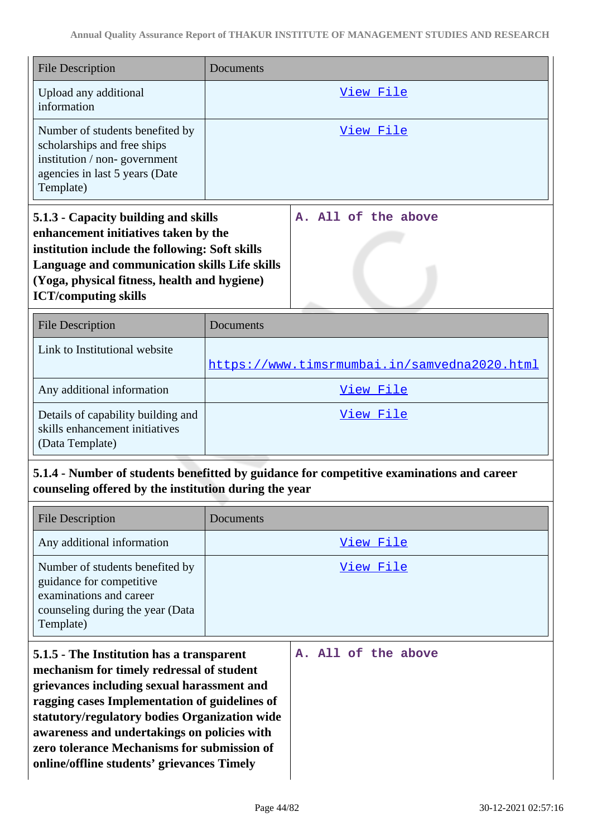| <b>File Description</b>                                                                                                                                                                                                                                                                                                                                                                                   | Documents |                                              |
|-----------------------------------------------------------------------------------------------------------------------------------------------------------------------------------------------------------------------------------------------------------------------------------------------------------------------------------------------------------------------------------------------------------|-----------|----------------------------------------------|
| Upload any additional<br>information                                                                                                                                                                                                                                                                                                                                                                      |           | View File                                    |
| Number of students benefited by<br>scholarships and free ships<br>institution / non-government<br>agencies in last 5 years (Date<br>Template)                                                                                                                                                                                                                                                             |           | View File                                    |
| 5.1.3 - Capacity building and skills<br>enhancement initiatives taken by the<br>institution include the following: Soft skills<br>Language and communication skills Life skills<br>(Yoga, physical fitness, health and hygiene)<br><b>ICT/computing skills</b>                                                                                                                                            |           | A. All of the above                          |
| <b>File Description</b>                                                                                                                                                                                                                                                                                                                                                                                   | Documents |                                              |
| Link to Institutional website                                                                                                                                                                                                                                                                                                                                                                             |           | https://www.timsrmumbai.in/samvedna2020.html |
| Any additional information                                                                                                                                                                                                                                                                                                                                                                                |           | View File                                    |
| Details of capability building and<br>skills enhancement initiatives<br>(Data Template)                                                                                                                                                                                                                                                                                                                   |           | View File                                    |
| 5.1.4 - Number of students benefitted by guidance for competitive examinations and career<br>counseling offered by the institution during the year                                                                                                                                                                                                                                                        |           |                                              |
| <b>File Description</b>                                                                                                                                                                                                                                                                                                                                                                                   | Documents |                                              |
| Any additional information                                                                                                                                                                                                                                                                                                                                                                                |           | View File                                    |
| Number of students benefited by<br>guidance for competitive<br>examinations and career<br>counseling during the year (Data<br>Template)                                                                                                                                                                                                                                                                   |           | View File                                    |
| 5.1.5 - The Institution has a transparent<br>A. All of the above<br>mechanism for timely redressal of student<br>grievances including sexual harassment and<br>ragging cases Implementation of guidelines of<br>statutory/regulatory bodies Organization wide<br>awareness and undertakings on policies with<br>zero tolerance Mechanisms for submission of<br>online/offline students' grievances Timely |           |                                              |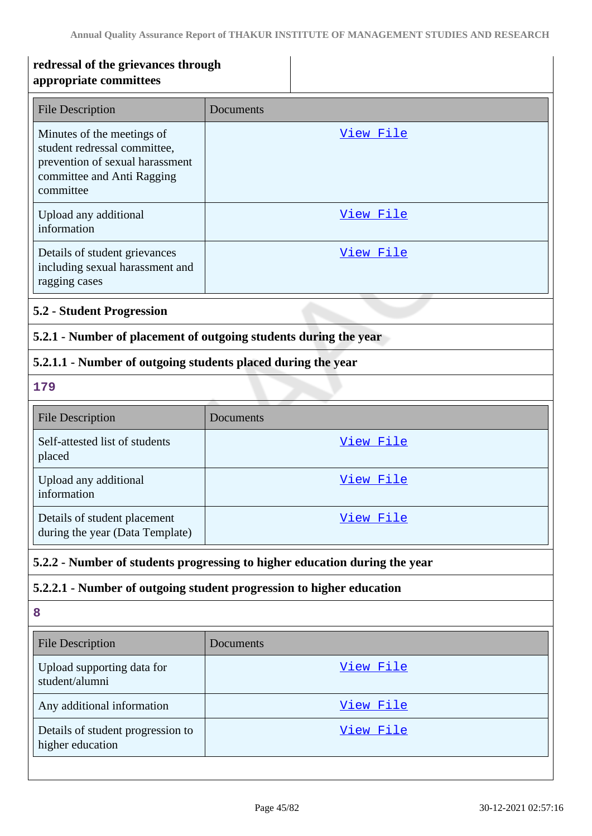| redressal of the grievances through<br>appropriate committees                                                                            |                                                                      |  |
|------------------------------------------------------------------------------------------------------------------------------------------|----------------------------------------------------------------------|--|
| <b>File Description</b>                                                                                                                  | Documents                                                            |  |
| Minutes of the meetings of<br>student redressal committee,<br>prevention of sexual harassment<br>committee and Anti Ragging<br>committee | View File                                                            |  |
| Upload any additional<br>information                                                                                                     | <u>View File</u>                                                     |  |
| Details of student grievances<br>including sexual harassment and<br>ragging cases                                                        | View File                                                            |  |
| <b>5.2 - Student Progression</b>                                                                                                         |                                                                      |  |
|                                                                                                                                          | 5.2.1 - Number of placement of outgoing students during the year     |  |
| 5.2.1.1 - Number of outgoing students placed during the year                                                                             |                                                                      |  |
| 179                                                                                                                                      |                                                                      |  |
| <b>File Description</b>                                                                                                                  | Documents                                                            |  |
| Self-attested list of students<br>placed                                                                                                 | View File                                                            |  |
| Upload any additional<br>information                                                                                                     | View File                                                            |  |
| Details of student placement<br>during the year (Data Template)                                                                          | <u>View File</u>                                                     |  |
| 5.2.2 - Number of students progressing to higher education during the year                                                               |                                                                      |  |
|                                                                                                                                          | 5.2.2.1 - Number of outgoing student progression to higher education |  |
| 8                                                                                                                                        |                                                                      |  |
| <b>File Description</b>                                                                                                                  | Documents                                                            |  |
| Upload supporting data for<br>student/alumni                                                                                             | <u>View File</u>                                                     |  |
| Any additional information                                                                                                               | <u>View File</u>                                                     |  |
| Details of student progression to<br>higher education                                                                                    | <u>View File</u>                                                     |  |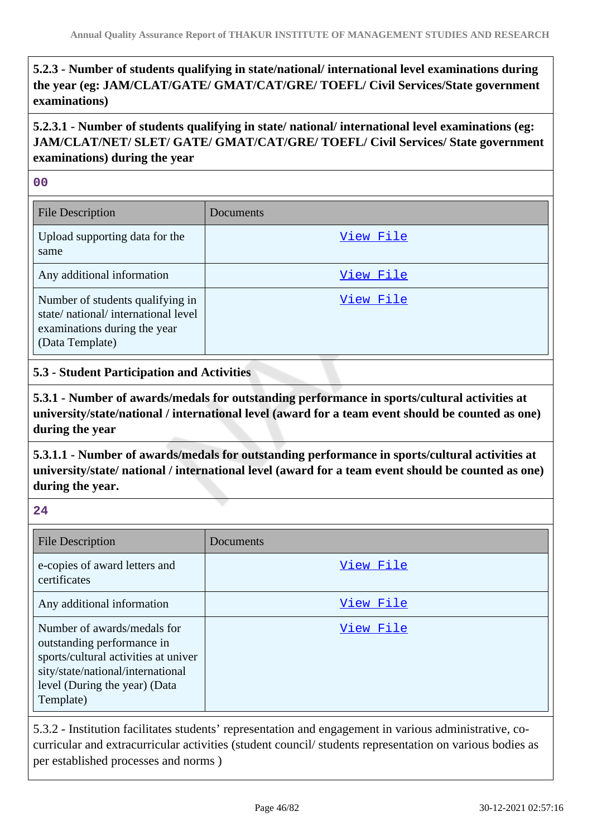# **5.2.3 - Number of students qualifying in state/national/ international level examinations during the year (eg: JAM/CLAT/GATE/ GMAT/CAT/GRE/ TOEFL/ Civil Services/State government examinations)**

**5.2.3.1 - Number of students qualifying in state/ national/ international level examinations (eg: JAM/CLAT/NET/ SLET/ GATE/ GMAT/CAT/GRE/ TOEFL/ Civil Services/ State government examinations) during the year**

#### **00**

| <b>File Description</b>                                                                                                   | Documents |
|---------------------------------------------------------------------------------------------------------------------------|-----------|
| Upload supporting data for the<br>same                                                                                    | View File |
| Any additional information                                                                                                | View File |
| Number of students qualifying in<br>state/national/international level<br>examinations during the year<br>(Data Template) | View File |

### **5.3 - Student Participation and Activities**

**5.3.1 - Number of awards/medals for outstanding performance in sports/cultural activities at university/state/national / international level (award for a team event should be counted as one) during the year**

**5.3.1.1 - Number of awards/medals for outstanding performance in sports/cultural activities at university/state/ national / international level (award for a team event should be counted as one) during the year.**

#### **24**

| <b>File Description</b>                                                                                                                                                              | Documents |
|--------------------------------------------------------------------------------------------------------------------------------------------------------------------------------------|-----------|
| e-copies of award letters and<br>certificates                                                                                                                                        | View File |
| Any additional information                                                                                                                                                           | View File |
| Number of awards/medals for<br>outstanding performance in<br>sports/cultural activities at univer<br>sity/state/national/international<br>level (During the year) (Data<br>Template) | View File |

5.3.2 - Institution facilitates students' representation and engagement in various administrative, cocurricular and extracurricular activities (student council/ students representation on various bodies as per established processes and norms )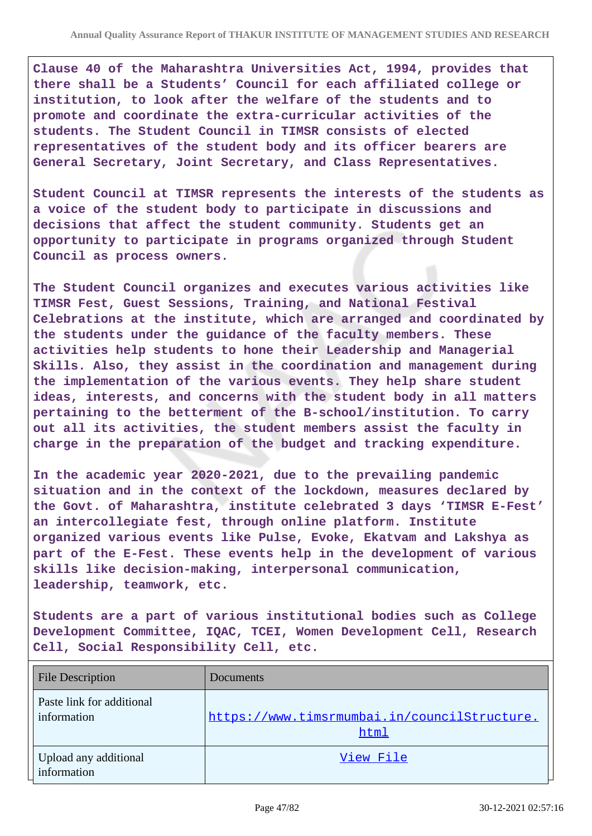**Clause 40 of the Maharashtra Universities Act, 1994, provides that there shall be a Students' Council for each affiliated college or institution, to look after the welfare of the students and to promote and coordinate the extra-curricular activities of the students. The Student Council in TIMSR consists of elected representatives of the student body and its officer bearers are General Secretary, Joint Secretary, and Class Representatives.**

**Student Council at TIMSR represents the interests of the students as a voice of the student body to participate in discussions and decisions that affect the student community. Students get an opportunity to participate in programs organized through Student Council as process owners.**

**The Student Council organizes and executes various activities like TIMSR Fest, Guest Sessions, Training, and National Festival Celebrations at the institute, which are arranged and coordinated by the students under the guidance of the faculty members. These activities help students to hone their Leadership and Managerial Skills. Also, they assist in the coordination and management during the implementation of the various events. They help share student ideas, interests, and concerns with the student body in all matters pertaining to the betterment of the B-school/institution. To carry out all its activities, the student members assist the faculty in charge in the preparation of the budget and tracking expenditure.**

**In the academic year 2020-2021, due to the prevailing pandemic situation and in the context of the lockdown, measures declared by the Govt. of Maharashtra, institute celebrated 3 days 'TIMSR E-Fest' an intercollegiate fest, through online platform. Institute organized various events like Pulse, Evoke, Ekatvam and Lakshya as part of the E-Fest. These events help in the development of various skills like decision-making, interpersonal communication, leadership, teamwork, etc.**

**Students are a part of various institutional bodies such as College Development Committee, IQAC, TCEI, Women Development Cell, Research Cell, Social Responsibility Cell, etc.**

| <b>File Description</b>                  | Documents                                            |
|------------------------------------------|------------------------------------------------------|
| Paste link for additional<br>information | https://www.timsrmumbai.in/councilStructure.<br>html |
| Upload any additional<br>information     | View File                                            |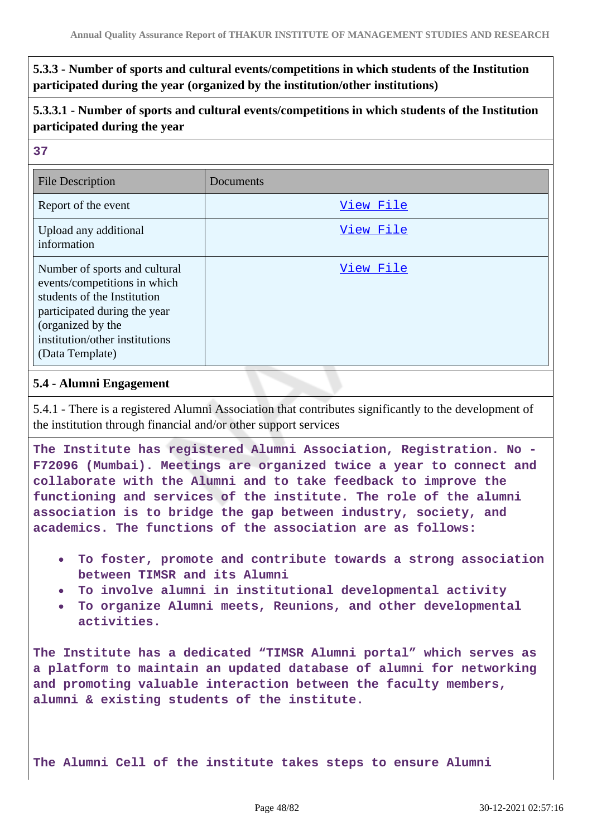**5.3.3 - Number of sports and cultural events/competitions in which students of the Institution participated during the year (organized by the institution/other institutions)**

**5.3.3.1 - Number of sports and cultural events/competitions in which students of the Institution participated during the year**

#### **37**

| <b>File Description</b>                                                                                                                                                                                | Documents |
|--------------------------------------------------------------------------------------------------------------------------------------------------------------------------------------------------------|-----------|
| Report of the event                                                                                                                                                                                    | View File |
| Upload any additional<br>information                                                                                                                                                                   | View File |
| Number of sports and cultural<br>events/competitions in which<br>students of the Institution<br>participated during the year<br>(organized by the<br>institution/other institutions<br>(Data Template) | View File |

### **5.4 - Alumni Engagement**

5.4.1 - There is a registered Alumni Association that contributes significantly to the development of the institution through financial and/or other support services

**The Institute has registered Alumni Association, Registration. No - F72096 (Mumbai). Meetings are organized twice a year to connect and collaborate with the Alumni and to take feedback to improve the functioning and services of the institute. The role of the alumni association is to bridge the gap between industry, society, and academics. The functions of the association are as follows:**

- **To foster, promote and contribute towards a strong association between TIMSR and its Alumni**
- **To involve alumni in institutional developmental activity**
- **To organize Alumni meets, Reunions, and other developmental activities.**

**The Institute has a dedicated "TIMSR Alumni portal" which serves as a platform to maintain an updated database of alumni for networking and promoting valuable interaction between the faculty members, alumni & existing students of the institute.**

**The Alumni Cell of the institute takes steps to ensure Alumni**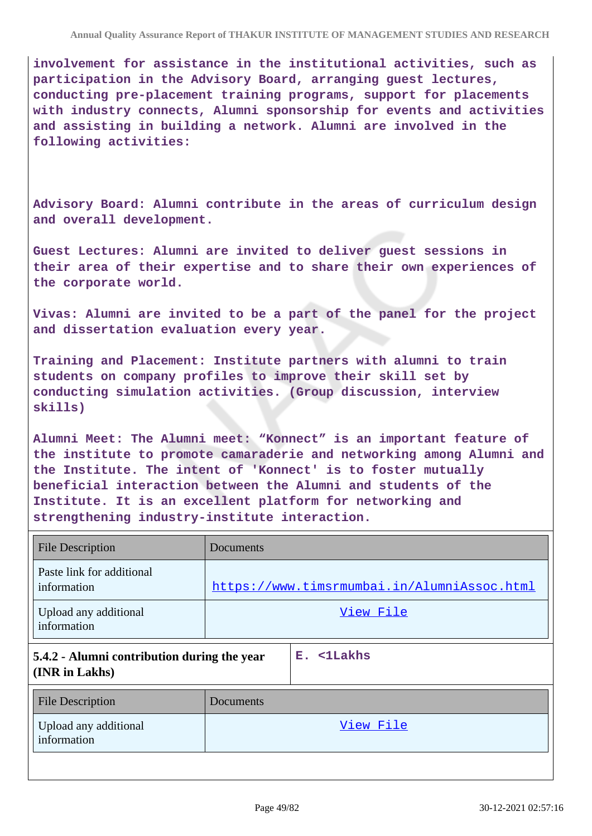**involvement for assistance in the institutional activities, such as participation in the Advisory Board, arranging guest lectures, conducting pre-placement training programs, support for placements with industry connects, Alumni sponsorship for events and activities and assisting in building a network. Alumni are involved in the following activities:**

**Advisory Board: Alumni contribute in the areas of curriculum design and overall development.**

**Guest Lectures: Alumni are invited to deliver guest sessions in their area of their expertise and to share their own experiences of the corporate world.**

**Vivas: Alumni are invited to be a part of the panel for the project and dissertation evaluation every year.**

**Training and Placement: Institute partners with alumni to train students on company profiles to improve their skill set by conducting simulation activities. (Group discussion, interview skills)**

**Alumni Meet: The Alumni meet: "Konnect" is an important feature of the institute to promote camaraderie and networking among Alumni and the Institute. The intent of 'Konnect' is to foster mutually beneficial interaction between the Alumni and students of the Institute. It is an excellent platform for networking and strengthening industry-institute interaction.**

| <b>File Description</b>                                       | Documents                                   |  |
|---------------------------------------------------------------|---------------------------------------------|--|
| Paste link for additional<br>information                      | https://www.timsrmumbai.in/AlumniAssoc.html |  |
| Upload any additional<br>information                          | View File                                   |  |
| 5.4.2 - Alumni contribution during the year<br>(INR in Lakhs) | E. <1Lakhs                                  |  |
| <b>File Description</b>                                       | Documents                                   |  |
| Upload any additional<br>information                          | View File                                   |  |
|                                                               |                                             |  |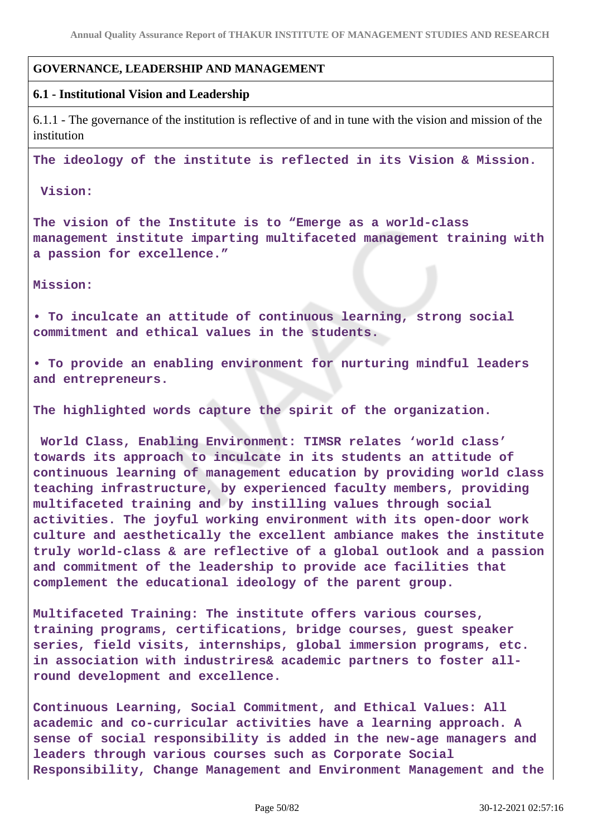### **GOVERNANCE, LEADERSHIP AND MANAGEMENT**

#### **6.1 - Institutional Vision and Leadership**

6.1.1 - The governance of the institution is reflective of and in tune with the vision and mission of the institution

**The ideology of the institute is reflected in its Vision & Mission.**

 **Vision:**

**The vision of the Institute is to "Emerge as a world-class management institute imparting multifaceted management training with a passion for excellence."** 

**Mission:**

**• To inculcate an attitude of continuous learning, strong social commitment and ethical values in the students.** 

**• To provide an enabling environment for nurturing mindful leaders and entrepreneurs.** 

**The highlighted words capture the spirit of the organization.**

**World Class, Enabling Environment: TIMSR relates 'world class' towards its approach to inculcate in its students an attitude of continuous learning of management education by providing world class teaching infrastructure, by experienced faculty members, providing multifaceted training and by instilling values through social activities. The joyful working environment with its open-door work culture and aesthetically the excellent ambiance makes the institute truly world-class & are reflective of a global outlook and a passion and commitment of the leadership to provide ace facilities that complement the educational ideology of the parent group.**

**Multifaceted Training: The institute offers various courses, training programs, certifications, bridge courses, guest speaker series, field visits, internships, global immersion programs, etc. in association with industrires& academic partners to foster allround development and excellence.**

**Continuous Learning, Social Commitment, and Ethical Values: All academic and co-curricular activities have a learning approach. A sense of social responsibility is added in the new-age managers and leaders through various courses such as Corporate Social Responsibility, Change Management and Environment Management and the**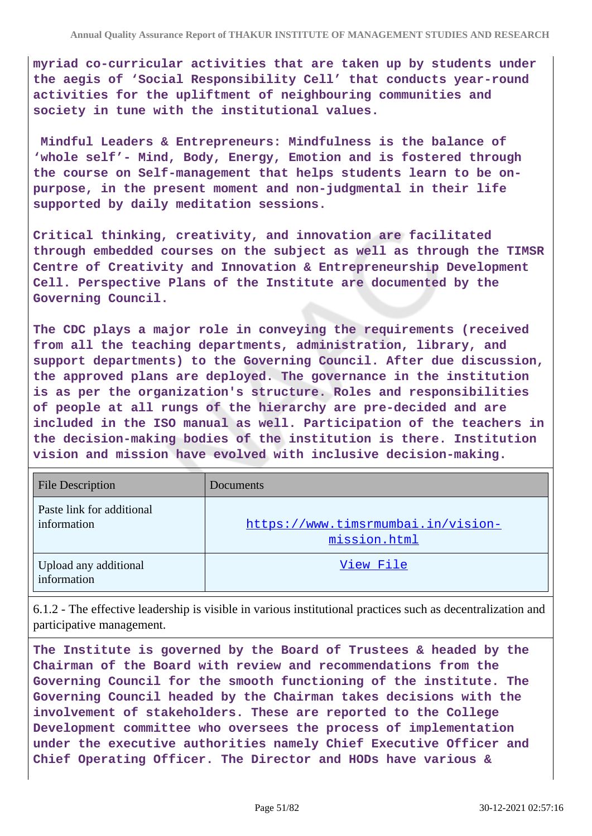**myriad co-curricular activities that are taken up by students under the aegis of 'Social Responsibility Cell' that conducts year-round activities for the upliftment of neighbouring communities and society in tune with the institutional values.**

**Mindful Leaders & Entrepreneurs: Mindfulness is the balance of 'whole self'- Mind, Body, Energy, Emotion and is fostered through the course on Self-management that helps students learn to be onpurpose, in the present moment and non-judgmental in their life supported by daily meditation sessions.**

**Critical thinking, creativity, and innovation are facilitated through embedded courses on the subject as well as through the TIMSR Centre of Creativity and Innovation & Entrepreneurship Development Cell. Perspective Plans of the Institute are documented by the Governing Council.**

**The CDC plays a major role in conveying the requirements (received from all the teaching departments, administration, library, and support departments) to the Governing Council. After due discussion, the approved plans are deployed. The governance in the institution is as per the organization's structure. Roles and responsibilities of people at all rungs of the hierarchy are pre-decided and are included in the ISO manual as well. Participation of the teachers in the decision-making bodies of the institution is there. Institution vision and mission have evolved with inclusive decision-making.**

| <b>File Description</b>                  | Documents                                          |
|------------------------------------------|----------------------------------------------------|
| Paste link for additional<br>information | https://www.timsrmumbai.in/vision-<br>mission.html |
| Upload any additional<br>information     | View File                                          |

6.1.2 - The effective leadership is visible in various institutional practices such as decentralization and participative management.

**The Institute is governed by the Board of Trustees & headed by the Chairman of the Board with review and recommendations from the Governing Council for the smooth functioning of the institute. The Governing Council headed by the Chairman takes decisions with the involvement of stakeholders. These are reported to the College Development committee who oversees the process of implementation under the executive authorities namely Chief Executive Officer and Chief Operating Officer. The Director and HODs have various &**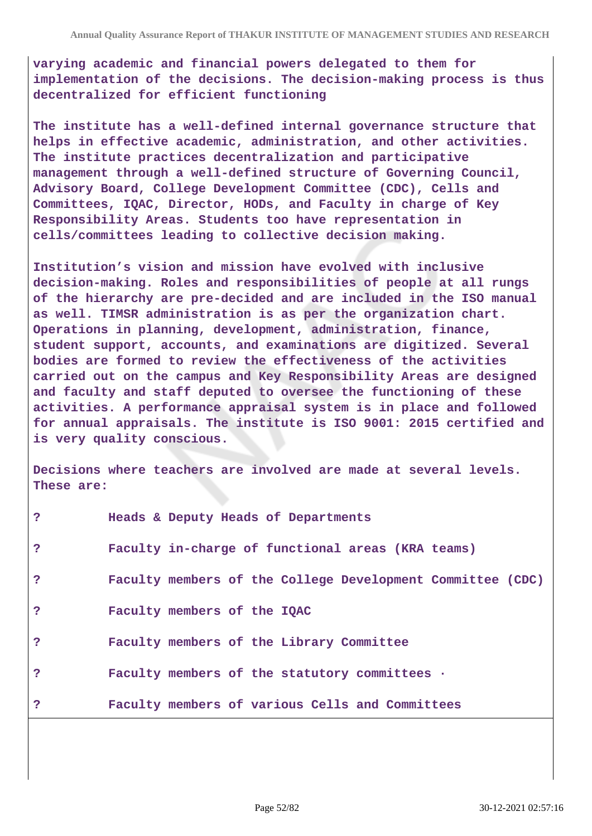**varying academic and financial powers delegated to them for implementation of the decisions. The decision-making process is thus decentralized for efficient functioning**

**The institute has a well-defined internal governance structure that helps in effective academic, administration, and other activities. The institute practices decentralization and participative management through a well-defined structure of Governing Council, Advisory Board, College Development Committee (CDC), Cells and Committees, IQAC, Director, HODs, and Faculty in charge of Key Responsibility Areas. Students too have representation in cells/committees leading to collective decision making.**

**Institution's vision and mission have evolved with inclusive decision-making. Roles and responsibilities of people at all rungs of the hierarchy are pre-decided and are included in the ISO manual as well. TIMSR administration is as per the organization chart. Operations in planning, development, administration, finance, student support, accounts, and examinations are digitized. Several bodies are formed to review the effectiveness of the activities carried out on the campus and Key Responsibility Areas are designed and faculty and staff deputed to oversee the functioning of these activities. A performance appraisal system is in place and followed for annual appraisals. The institute is ISO 9001: 2015 certified and is very quality conscious.**

**Decisions where teachers are involved are made at several levels. These are:**

| ?            | Heads & Deputy Heads of Departments                        |
|--------------|------------------------------------------------------------|
| ?            | Faculty in-charge of functional areas (KRA teams)          |
| ?            | Faculty members of the College Development Committee (CDC) |
| ?            | Faculty members of the IQAC                                |
| $\mathbf{P}$ | Faculty members of the Library Committee                   |
| $\mathbf{P}$ | Faculty members of the statutory committees .              |
| ?            | Faculty members of various Cells and Committees            |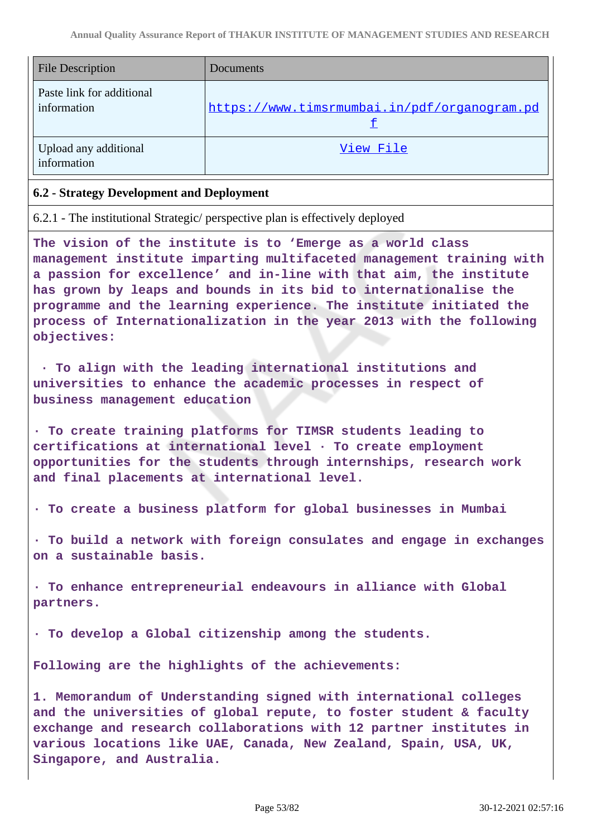| <b>File Description</b>                  | Documents                                    |
|------------------------------------------|----------------------------------------------|
| Paste link for additional<br>information | https://www.timsrmumbai.in/pdf/organogram.pd |
| Upload any additional<br>information     | View File                                    |

#### **6.2 - Strategy Development and Deployment**

6.2.1 - The institutional Strategic/ perspective plan is effectively deployed

**The vision of the institute is to 'Emerge as a world class management institute imparting multifaceted management training with a passion for excellence' and in-line with that aim, the institute has grown by leaps and bounds in its bid to internationalise the programme and the learning experience. The institute initiated the process of Internationalization in the year 2013 with the following objectives:**

 **· To align with the leading international institutions and universities to enhance the academic processes in respect of business management education**

**· To create training platforms for TIMSR students leading to certifications at international level · To create employment opportunities for the students through internships, research work and final placements at international level.**

**· To create a business platform for global businesses in Mumbai**

**· To build a network with foreign consulates and engage in exchanges on a sustainable basis.**

**· To enhance entrepreneurial endeavours in alliance with Global partners.**

**· To develop a Global citizenship among the students.**

**Following are the highlights of the achievements:**

**1. Memorandum of Understanding signed with international colleges and the universities of global repute, to foster student & faculty exchange and research collaborations with 12 partner institutes in various locations like UAE, Canada, New Zealand, Spain, USA, UK, Singapore, and Australia.**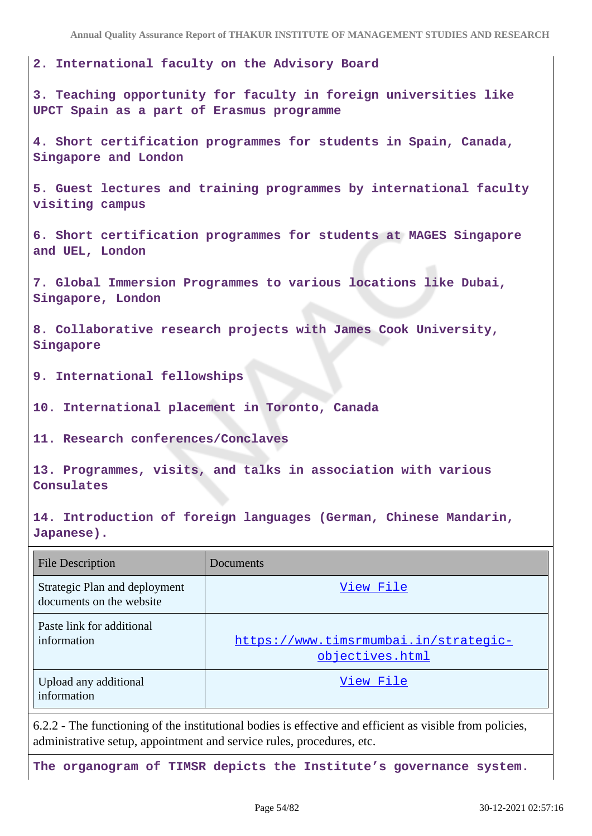**Annual Quality Assurance Report of THAKUR INSTITUTE OF MANAGEMENT STUDIES AND RESEARCH**

**2. International faculty on the Advisory Board**

**3. Teaching opportunity for faculty in foreign universities like UPCT Spain as a part of Erasmus programme**

**4. Short certification programmes for students in Spain, Canada, Singapore and London**

**5. Guest lectures and training programmes by international faculty visiting campus**

**6. Short certification programmes for students at MAGES Singapore and UEL, London**

**7. Global Immersion Programmes to various locations like Dubai, Singapore, London**

**8. Collaborative research projects with James Cook University, Singapore**

**9. International fellowships**

**10. International placement in Toronto, Canada**

**11. Research conferences/Conclaves**

**13. Programmes, visits, and talks in association with various Consulates**

**14. Introduction of foreign languages (German, Chinese Mandarin, Japanese).**

| <b>File Description</b>                                   | Documents                                                |
|-----------------------------------------------------------|----------------------------------------------------------|
| Strategic Plan and deployment<br>documents on the website | View File                                                |
| Paste link for additional<br>information                  | https://www.timsrmumbai.in/strategic-<br>objectives.html |
| Upload any additional<br>information                      | View File                                                |

6.2.2 - The functioning of the institutional bodies is effective and efficient as visible from policies, administrative setup, appointment and service rules, procedures, etc.

**The organogram of TIMSR depicts the Institute's governance system.**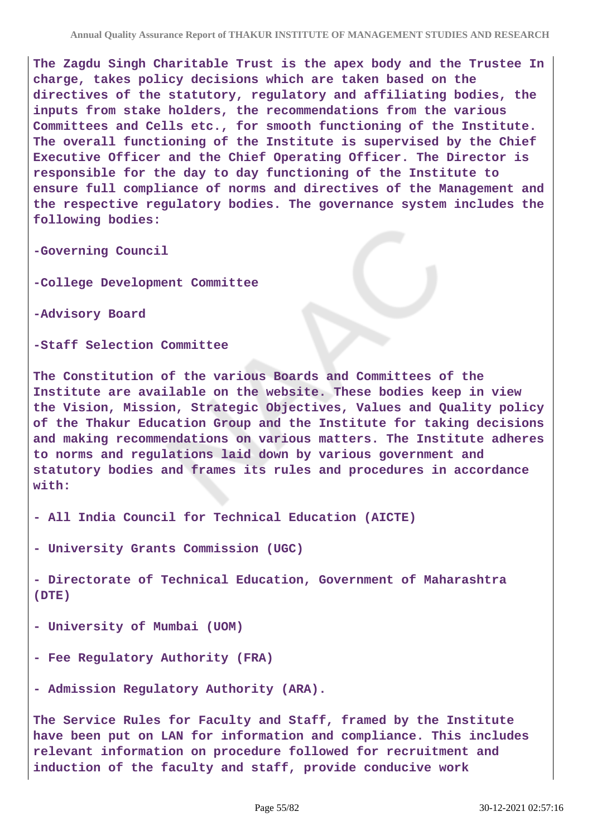**Annual Quality Assurance Report of THAKUR INSTITUTE OF MANAGEMENT STUDIES AND RESEARCH**

**The Zagdu Singh Charitable Trust is the apex body and the Trustee In charge, takes policy decisions which are taken based on the directives of the statutory, regulatory and affiliating bodies, the inputs from stake holders, the recommendations from the various Committees and Cells etc., for smooth functioning of the Institute. The overall functioning of the Institute is supervised by the Chief Executive Officer and the Chief Operating Officer. The Director is responsible for the day to day functioning of the Institute to ensure full compliance of norms and directives of the Management and the respective regulatory bodies. The governance system includes the following bodies:**

**-Governing Council**

**-College Development Committee**

**-Advisory Board**

**-Staff Selection Committee**

**The Constitution of the various Boards and Committees of the Institute are available on the website. These bodies keep in view the Vision, Mission, Strategic Objectives, Values and Quality policy of the Thakur Education Group and the Institute for taking decisions and making recommendations on various matters. The Institute adheres to norms and regulations laid down by various government and statutory bodies and frames its rules and procedures in accordance with:**

**- All India Council for Technical Education (AICTE)**

**- University Grants Commission (UGC)**

**- Directorate of Technical Education, Government of Maharashtra (DTE)**

**- University of Mumbai (UOM)**

**- Fee Regulatory Authority (FRA)**

**- Admission Regulatory Authority (ARA).**

**The Service Rules for Faculty and Staff, framed by the Institute have been put on LAN for information and compliance. This includes relevant information on procedure followed for recruitment and induction of the faculty and staff, provide conducive work**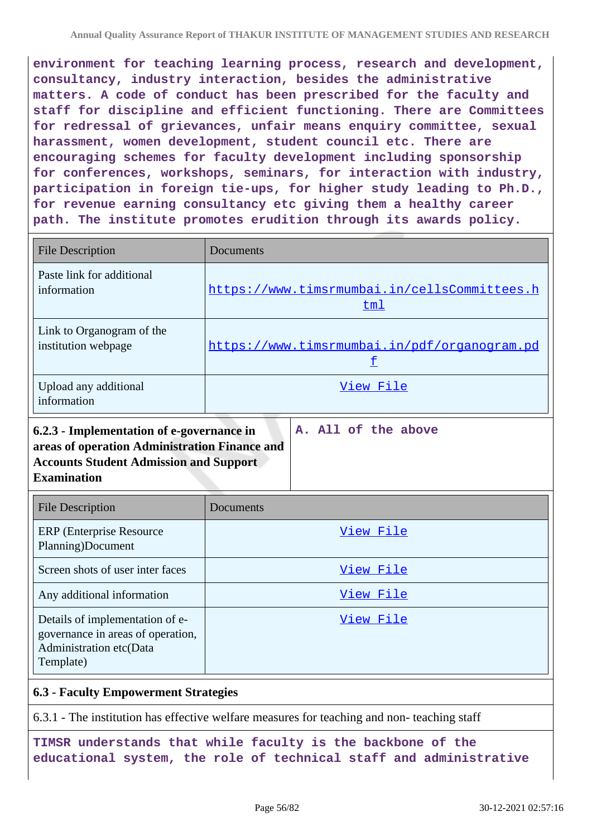**environment for teaching learning process, research and development, consultancy, industry interaction, besides the administrative matters. A code of conduct has been prescribed for the faculty and staff for discipline and efficient functioning. There are Committees for redressal of grievances, unfair means enquiry committee, sexual harassment, women development, student council etc. There are encouraging schemes for faculty development including sponsorship for conferences, workshops, seminars, for interaction with industry, participation in foreign tie-ups, for higher study leading to Ph.D., for revenue earning consultancy etc giving them a healthy career path. The institute promotes erudition through its awards policy.**

| <b>File Description</b>                                                                                                                                                                  | Documents                                                  |  |
|------------------------------------------------------------------------------------------------------------------------------------------------------------------------------------------|------------------------------------------------------------|--|
| Paste link for additional<br>information                                                                                                                                                 | https://www.timsrmumbai.in/cellsCommittees.h<br><u>tml</u> |  |
| Link to Organogram of the<br>institution webpage                                                                                                                                         | https://www.timsrmumbai.in/pdf/organogram.pd<br>£          |  |
| Upload any additional<br>information                                                                                                                                                     | View File                                                  |  |
| A. All of the above<br>6.2.3 - Implementation of e-governance in<br>areas of operation Administration Finance and<br><b>Accounts Student Admission and Support</b><br><b>Examination</b> |                                                            |  |
| <b>File Description</b>                                                                                                                                                                  | Documents                                                  |  |
| <b>ERP</b> (Enterprise Resource<br>Planning)Document                                                                                                                                     | View File                                                  |  |

| $\cdots$                                                                                                     |           |
|--------------------------------------------------------------------------------------------------------------|-----------|
| Screen shots of user inter faces                                                                             | View File |
| Any additional information                                                                                   | View File |
| Details of implementation of e-<br>governance in areas of operation,<br>Administration etc(Data<br>Template) | View File |

#### **6.3 - Faculty Empowerment Strategies**

6.3.1 - The institution has effective welfare measures for teaching and non- teaching staff

**TIMSR understands that while faculty is the backbone of the educational system, the role of technical staff and administrative**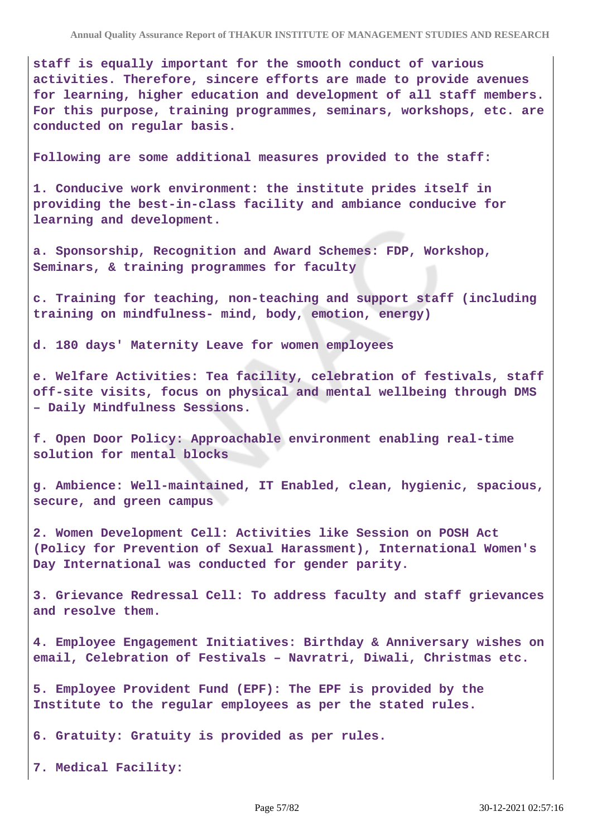**staff is equally important for the smooth conduct of various activities. Therefore, sincere efforts are made to provide avenues for learning, higher education and development of all staff members. For this purpose, training programmes, seminars, workshops, etc. are conducted on regular basis.**

**Following are some additional measures provided to the staff:**

**1. Conducive work environment: the institute prides itself in providing the best-in-class facility and ambiance conducive for learning and development.**

**a. Sponsorship, Recognition and Award Schemes: FDP, Workshop, Seminars, & training programmes for faculty**

**c. Training for teaching, non-teaching and support staff (including training on mindfulness- mind, body, emotion, energy)**

**d. 180 days' Maternity Leave for women employees**

**e. Welfare Activities: Tea facility, celebration of festivals, staff off-site visits, focus on physical and mental wellbeing through DMS – Daily Mindfulness Sessions.**

**f. Open Door Policy: Approachable environment enabling real-time solution for mental blocks**

**g. Ambience: Well-maintained, IT Enabled, clean, hygienic, spacious, secure, and green campus**

**2. Women Development Cell: Activities like Session on POSH Act (Policy for Prevention of Sexual Harassment), International Women's Day International was conducted for gender parity.**

**3. Grievance Redressal Cell: To address faculty and staff grievances and resolve them.**

**4. Employee Engagement Initiatives: Birthday & Anniversary wishes on email, Celebration of Festivals – Navratri, Diwali, Christmas etc.**

**5. Employee Provident Fund (EPF): The EPF is provided by the Institute to the regular employees as per the stated rules.**

**6. Gratuity: Gratuity is provided as per rules.**

**7. Medical Facility:**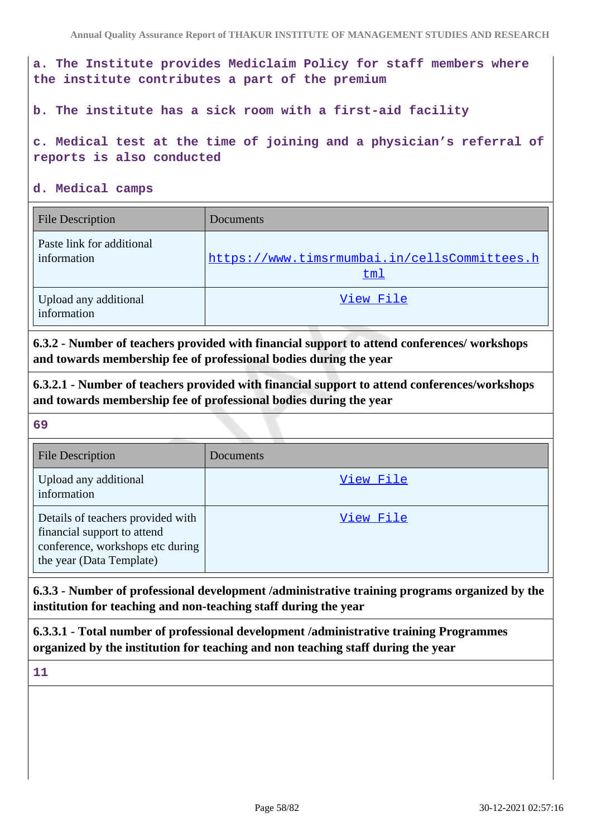**a. The Institute provides Mediclaim Policy for staff members where the institute contributes a part of the premium**

**b. The institute has a sick room with a first-aid facility**

**c. Medical test at the time of joining and a physician's referral of reports is also conducted**

**d. Medical camps**

| <b>File Description</b>                  | Documents                                           |
|------------------------------------------|-----------------------------------------------------|
| Paste link for additional<br>information | https://www.timsrmumbai.in/cellsCommittees.h<br>tml |
| Upload any additional<br>information     | View File                                           |

**6.3.2 - Number of teachers provided with financial support to attend conferences/ workshops and towards membership fee of professional bodies during the year**

**6.3.2.1 - Number of teachers provided with financial support to attend conferences/workshops and towards membership fee of professional bodies during the year**

**69**

| <b>File Description</b>                                                                                                          | Documents |
|----------------------------------------------------------------------------------------------------------------------------------|-----------|
| Upload any additional<br>information                                                                                             | View File |
| Details of teachers provided with<br>financial support to attend<br>conference, workshops etc during<br>the year (Data Template) | View File |

**6.3.3 - Number of professional development /administrative training programs organized by the institution for teaching and non-teaching staff during the year**

**6.3.3.1 - Total number of professional development /administrative training Programmes organized by the institution for teaching and non teaching staff during the year**

**11**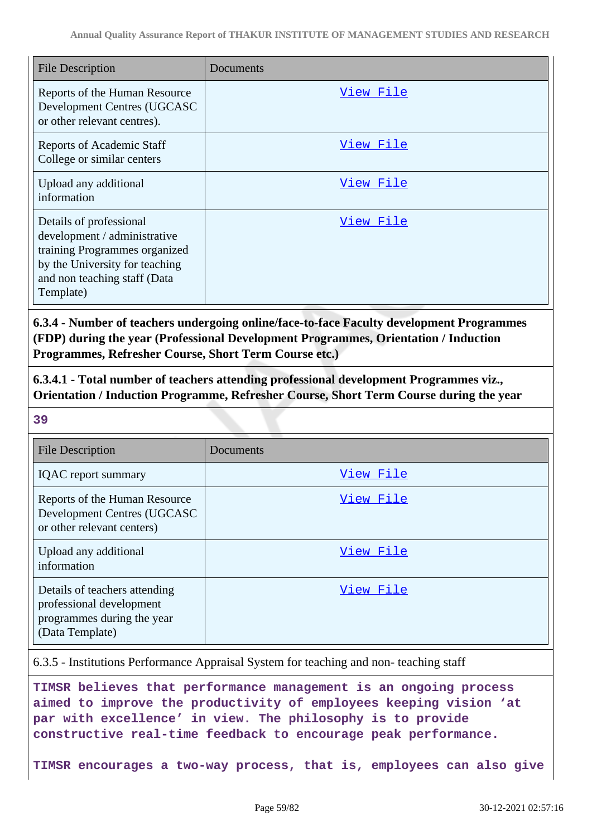| <b>File Description</b>                                                                                                                                                 | Documents |
|-------------------------------------------------------------------------------------------------------------------------------------------------------------------------|-----------|
| Reports of the Human Resource<br>Development Centres (UGCASC<br>or other relevant centres).                                                                             | View File |
| <b>Reports of Academic Staff</b><br>College or similar centers                                                                                                          | View File |
| Upload any additional<br>information                                                                                                                                    | View File |
| Details of professional<br>development / administrative<br>training Programmes organized<br>by the University for teaching<br>and non teaching staff (Data<br>Template) | View File |

**6.3.4 - Number of teachers undergoing online/face-to-face Faculty development Programmes (FDP) during the year (Professional Development Programmes, Orientation / Induction Programmes, Refresher Course, Short Term Course etc.)**

**6.3.4.1 - Total number of teachers attending professional development Programmes viz., Orientation / Induction Programme, Refresher Course, Short Term Course during the year**

**39**

| <b>File Description</b>                                                                                    | Documents |
|------------------------------------------------------------------------------------------------------------|-----------|
| <b>IQAC</b> report summary                                                                                 | View File |
| Reports of the Human Resource<br>Development Centres (UGCASC<br>or other relevant centers)                 | View File |
| Upload any additional<br>information                                                                       | View File |
| Details of teachers attending<br>professional development<br>programmes during the year<br>(Data Template) | View File |

6.3.5 - Institutions Performance Appraisal System for teaching and non- teaching staff

**TIMSR believes that performance management is an ongoing process aimed to improve the productivity of employees keeping vision 'at par with excellence' in view. The philosophy is to provide constructive real-time feedback to encourage peak performance.**

**TIMSR encourages a two-way process, that is, employees can also give**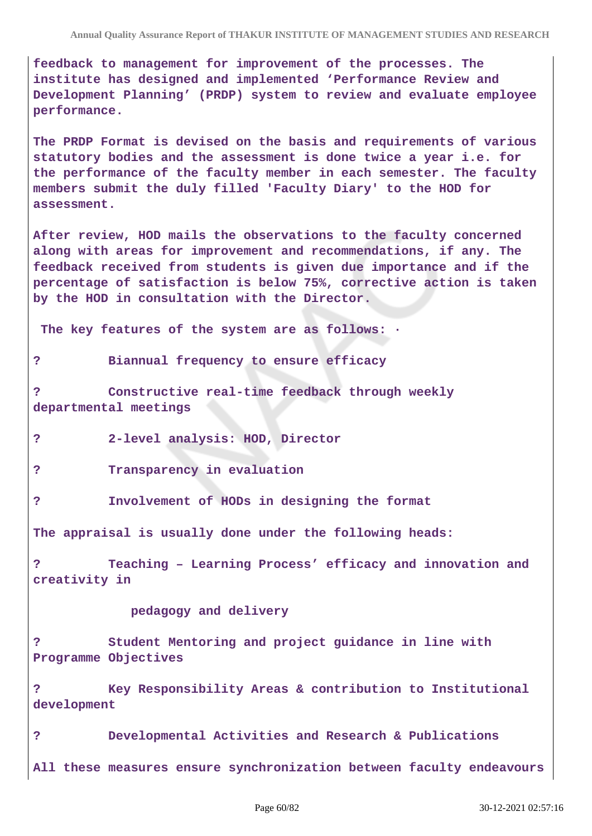**feedback to management for improvement of the processes. The institute has designed and implemented 'Performance Review and Development Planning' (PRDP) system to review and evaluate employee performance.**

**The PRDP Format is devised on the basis and requirements of various statutory bodies and the assessment is done twice a year i.e. for the performance of the faculty member in each semester. The faculty members submit the duly filled 'Faculty Diary' to the HOD for assessment.**

**After review, HOD mails the observations to the faculty concerned along with areas for improvement and recommendations, if any. The feedback received from students is given due importance and if the percentage of satisfaction is below 75%, corrective action is taken by the HOD in consultation with the Director.**

 **The key features of the system are as follows: ·**

#### **? Biannual frequency to ensure efficacy**

**? Constructive real-time feedback through weekly departmental meetings**

- **? 2-level analysis: HOD, Director**
- **? Transparency in evaluation**
- **? Involvement of HODs in designing the format**

**The appraisal is usually done under the following heads:**

**? Teaching – Learning Process' efficacy and innovation and creativity in** 

 **pedagogy and delivery**

**? Student Mentoring and project guidance in line with Programme Objectives**

**? Key Responsibility Areas & contribution to Institutional development**

**? Developmental Activities and Research & Publications All these measures ensure synchronization between faculty endeavours**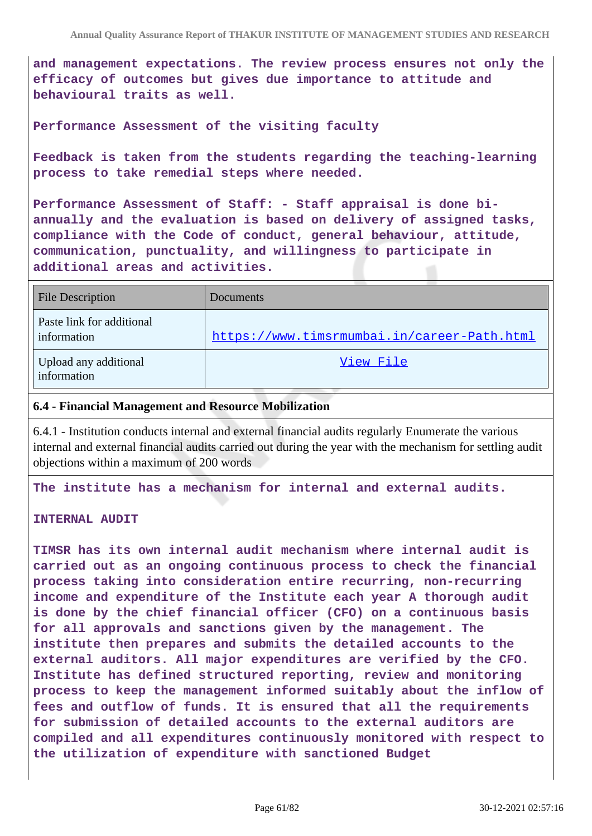**and management expectations. The review process ensures not only the efficacy of outcomes but gives due importance to attitude and behavioural traits as well.**

**Performance Assessment of the visiting faculty**

**Feedback is taken from the students regarding the teaching-learning process to take remedial steps where needed.**

**Performance Assessment of Staff: - Staff appraisal is done biannually and the evaluation is based on delivery of assigned tasks, compliance with the Code of conduct, general behaviour, attitude, communication, punctuality, and willingness to participate in additional areas and activities.**

| <b>File Description</b>                  | Documents                                   |
|------------------------------------------|---------------------------------------------|
| Paste link for additional<br>information | https://www.timsrmumbai.in/career-Path.html |
| Upload any additional<br>information     | View File                                   |

#### **6.4 - Financial Management and Resource Mobilization**

6.4.1 - Institution conducts internal and external financial audits regularly Enumerate the various internal and external financial audits carried out during the year with the mechanism for settling audit objections within a maximum of 200 words

**The institute has a mechanism for internal and external audits.**

#### **INTERNAL AUDIT**

**TIMSR has its own internal audit mechanism where internal audit is carried out as an ongoing continuous process to check the financial process taking into consideration entire recurring, non-recurring income and expenditure of the Institute each year A thorough audit is done by the chief financial officer (CFO) on a continuous basis for all approvals and sanctions given by the management. The institute then prepares and submits the detailed accounts to the external auditors. All major expenditures are verified by the CFO. Institute has defined structured reporting, review and monitoring process to keep the management informed suitably about the inflow of fees and outflow of funds. It is ensured that all the requirements for submission of detailed accounts to the external auditors are compiled and all expenditures continuously monitored with respect to the utilization of expenditure with sanctioned Budget**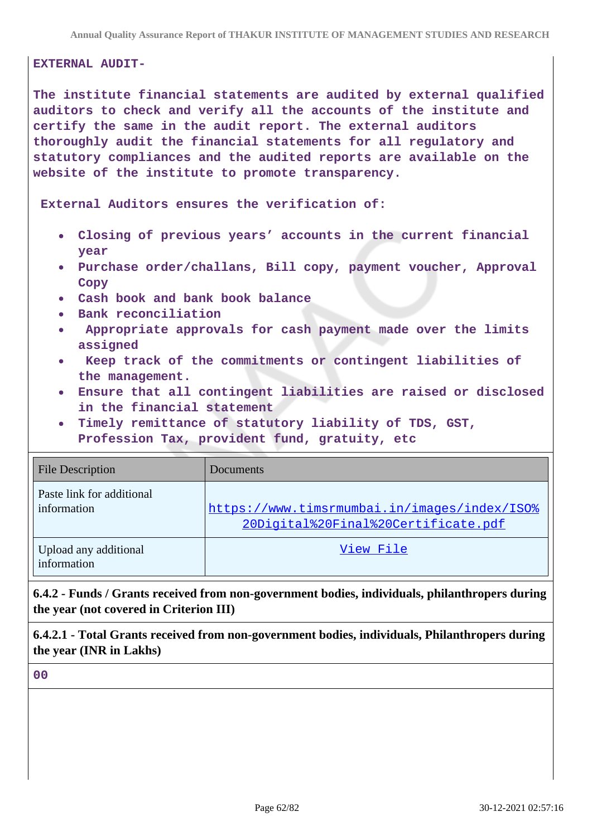#### **EXTERNAL AUDIT-**

**The institute financial statements are audited by external qualified auditors to check and verify all the accounts of the institute and certify the same in the audit report. The external auditors thoroughly audit the financial statements for all regulatory and statutory compliances and the audited reports are available on the website of the institute to promote transparency.**

 **External Auditors ensures the verification of:**

- **Closing of previous years' accounts in the current financial year**
- **Purchase order/challans, Bill copy, payment voucher, Approval Copy**
- **Cash book and bank book balance**
- **Bank reconciliation**
- **Appropriate approvals for cash payment made over the limits assigned**
- **Keep track of the commitments or contingent liabilities of**  $\bullet$ **the management.**
- **Ensure that all contingent liabilities are raised or disclosed in the financial statement**
- **Timely remittance of statutory liability of TDS, GST, Profession Tax, provident fund, gratuity, etc**

| <b>File Description</b>                  | Documents                                                                           |
|------------------------------------------|-------------------------------------------------------------------------------------|
| Paste link for additional<br>information | https://www.timsrmumbai.in/images/index/ISO%<br>20Digital%20Final%20Certificate.pdf |
| Upload any additional<br>information     | View File                                                                           |

**6.4.2 - Funds / Grants received from non-government bodies, individuals, philanthropers during the year (not covered in Criterion III)**

**6.4.2.1 - Total Grants received from non-government bodies, individuals, Philanthropers during the year (INR in Lakhs)**

**00**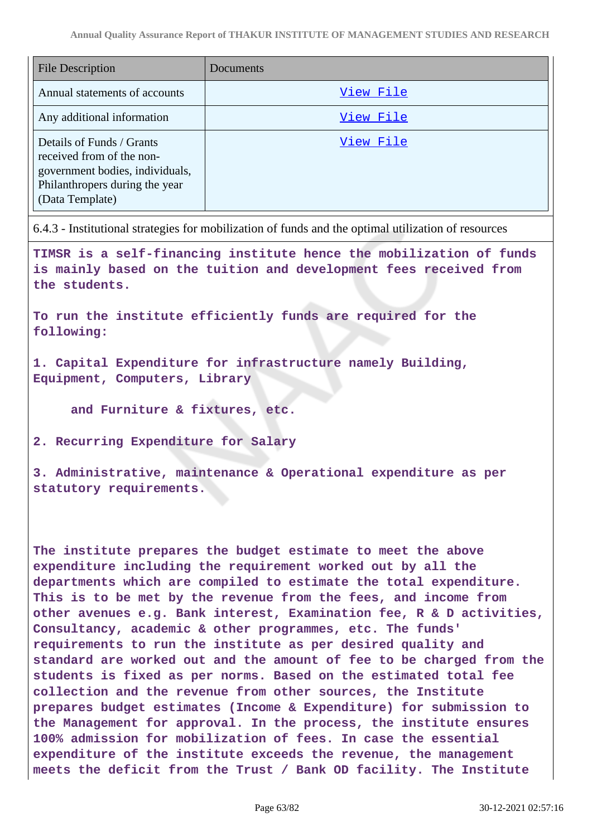| <b>File Description</b>                                                                                                                        | Documents |
|------------------------------------------------------------------------------------------------------------------------------------------------|-----------|
| Annual statements of accounts                                                                                                                  | View File |
| Any additional information                                                                                                                     | View File |
| Details of Funds / Grants<br>received from of the non-<br>government bodies, individuals,<br>Philanthropers during the year<br>(Data Template) | View File |

6.4.3 - Institutional strategies for mobilization of funds and the optimal utilization of resources

**TIMSR is a self-financing institute hence the mobilization of funds is mainly based on the tuition and development fees received from the students.**

**To run the institute efficiently funds are required for the following:**

**1. Capital Expenditure for infrastructure namely Building, Equipment, Computers, Library**

 **and Furniture & fixtures, etc.**

**2. Recurring Expenditure for Salary**

**3. Administrative, maintenance & Operational expenditure as per statutory requirements.**

**The institute prepares the budget estimate to meet the above expenditure including the requirement worked out by all the departments which are compiled to estimate the total expenditure. This is to be met by the revenue from the fees, and income from other avenues e.g. Bank interest, Examination fee, R & D activities, Consultancy, academic & other programmes, etc. The funds' requirements to run the institute as per desired quality and standard are worked out and the amount of fee to be charged from the students is fixed as per norms. Based on the estimated total fee collection and the revenue from other sources, the Institute prepares budget estimates (Income & Expenditure) for submission to the Management for approval. In the process, the institute ensures 100% admission for mobilization of fees. In case the essential expenditure of the institute exceeds the revenue, the management meets the deficit from the Trust / Bank OD facility. The Institute**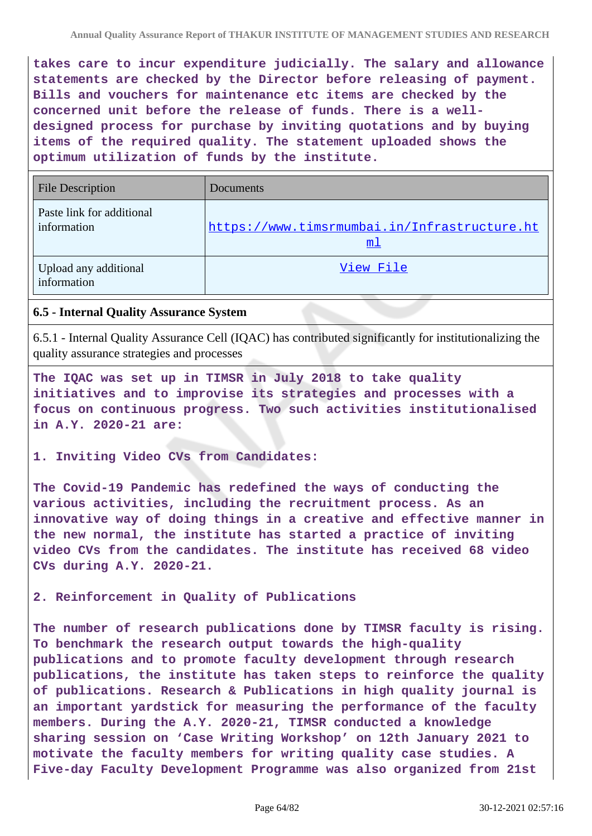**takes care to incur expenditure judicially. The salary and allowance statements are checked by the Director before releasing of payment. Bills and vouchers for maintenance etc items are checked by the concerned unit before the release of funds. There is a welldesigned process for purchase by inviting quotations and by buying items of the required quality. The statement uploaded shows the optimum utilization of funds by the institute.**

| <b>File Description</b>                  | Documents                                                      |
|------------------------------------------|----------------------------------------------------------------|
| Paste link for additional<br>information | https://www.timsrmumbai.in/Infrastructure.ht<br>m <sub>1</sub> |
| Upload any additional<br>information     | View File                                                      |

### **6.5 - Internal Quality Assurance System**

6.5.1 - Internal Quality Assurance Cell (IQAC) has contributed significantly for institutionalizing the quality assurance strategies and processes

**The IQAC was set up in TIMSR in July 2018 to take quality initiatives and to improvise its strategies and processes with a focus on continuous progress. Two such activities institutionalised in A.Y. 2020-21 are:**

**1. Inviting Video CVs from Candidates:** 

**The Covid-19 Pandemic has redefined the ways of conducting the various activities, including the recruitment process. As an innovative way of doing things in a creative and effective manner in the new normal, the institute has started a practice of inviting video CVs from the candidates. The institute has received 68 video CVs during A.Y. 2020-21.**

**2. Reinforcement in Quality of Publications**

**The number of research publications done by TIMSR faculty is rising. To benchmark the research output towards the high-quality publications and to promote faculty development through research publications, the institute has taken steps to reinforce the quality of publications. Research & Publications in high quality journal is an important yardstick for measuring the performance of the faculty members. During the A.Y. 2020-21, TIMSR conducted a knowledge sharing session on 'Case Writing Workshop' on 12th January 2021 to motivate the faculty members for writing quality case studies. A Five-day Faculty Development Programme was also organized from 21st**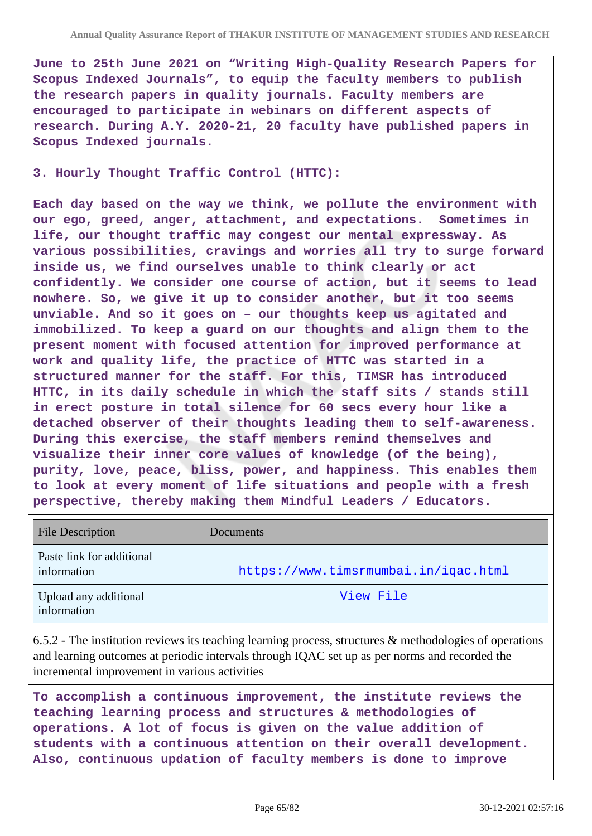**June to 25th June 2021 on "Writing High-Quality Research Papers for Scopus Indexed Journals", to equip the faculty members to publish the research papers in quality journals. Faculty members are encouraged to participate in webinars on different aspects of research. During A.Y. 2020-21, 20 faculty have published papers in Scopus Indexed journals.**

**3. Hourly Thought Traffic Control (HTTC):**

**Each day based on the way we think, we pollute the environment with our ego, greed, anger, attachment, and expectations. Sometimes in life, our thought traffic may congest our mental expressway. As various possibilities, cravings and worries all try to surge forward inside us, we find ourselves unable to think clearly or act confidently. We consider one course of action, but it seems to lead nowhere. So, we give it up to consider another, but it too seems unviable. And so it goes on – our thoughts keep us agitated and immobilized. To keep a guard on our thoughts and align them to the present moment with focused attention for improved performance at work and quality life, the practice of HTTC was started in a structured manner for the staff. For this, TIMSR has introduced HTTC, in its daily schedule in which the staff sits / stands still in erect posture in total silence for 60 secs every hour like a detached observer of their thoughts leading them to self-awareness. During this exercise, the staff members remind themselves and visualize their inner core values of knowledge (of the being), purity, love, peace, bliss, power, and happiness. This enables them to look at every moment of life situations and people with a fresh perspective, thereby making them Mindful Leaders / Educators.**

| <b>File Description</b>                  | Documents                            |
|------------------------------------------|--------------------------------------|
| Paste link for additional<br>information | https://www.timsrmumbai.in/igac.html |
| Upload any additional<br>information     | View File                            |

6.5.2 - The institution reviews its teaching learning process, structures & methodologies of operations and learning outcomes at periodic intervals through IQAC set up as per norms and recorded the incremental improvement in various activities

**To accomplish a continuous improvement, the institute reviews the teaching learning process and structures & methodologies of operations. A lot of focus is given on the value addition of students with a continuous attention on their overall development. Also, continuous updation of faculty members is done to improve**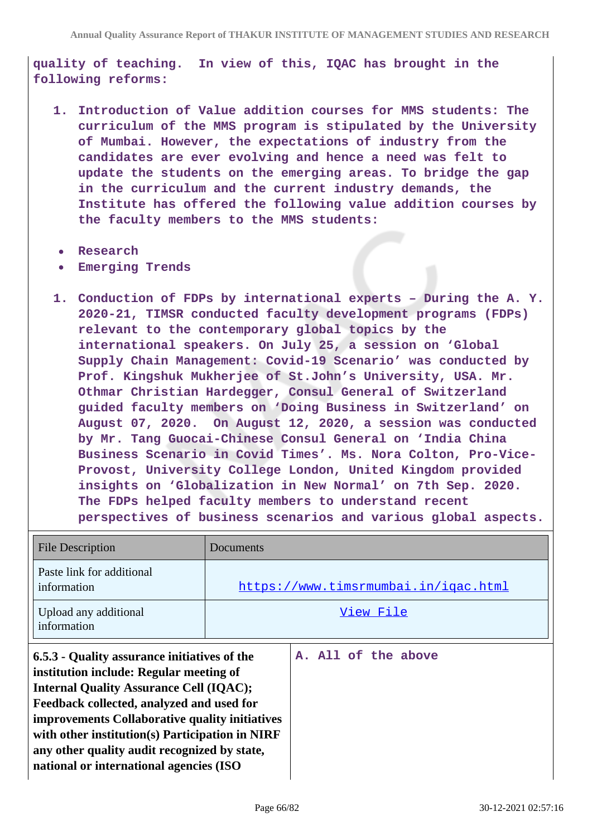**quality of teaching. In view of this, IQAC has brought in the following reforms:**

- **1. Introduction of Value addition courses for MMS students: The curriculum of the MMS program is stipulated by the University of Mumbai. However, the expectations of industry from the candidates are ever evolving and hence a need was felt to update the students on the emerging areas. To bridge the gap in the curriculum and the current industry demands, the Institute has offered the following value addition courses by the faculty members to the MMS students:**
- **Research**  $\bullet$
- **Emerging Trends**
- **1. Conduction of FDPs by international experts During the A. Y. 2020-21, TIMSR conducted faculty development programs (FDPs) relevant to the contemporary global topics by the international speakers. On July 25, a session on 'Global Supply Chain Management: Covid-19 Scenario' was conducted by Prof. Kingshuk Mukherjee of St.John's University, USA. Mr. Othmar Christian Hardegger, Consul General of Switzerland guided faculty members on 'Doing Business in Switzerland' on August 07, 2020. On August 12, 2020, a session was conducted by Mr. Tang Guocai-Chinese Consul General on 'India China Business Scenario in Covid Times'. Ms. Nora Colton, Pro-Vice-Provost, University College London, United Kingdom provided insights on 'Globalization in New Normal' on 7th Sep. 2020. The FDPs helped faculty members to understand recent perspectives of business scenarios and various global aspects.**

| <b>File Description</b>                                                                                                                                                                                                                                                                                                                                                                | Documents |                                      |
|----------------------------------------------------------------------------------------------------------------------------------------------------------------------------------------------------------------------------------------------------------------------------------------------------------------------------------------------------------------------------------------|-----------|--------------------------------------|
| Paste link for additional<br>information                                                                                                                                                                                                                                                                                                                                               |           | https://www.timsrmumbai.in/igac.html |
| Upload any additional<br>information                                                                                                                                                                                                                                                                                                                                                   | View File |                                      |
| 6.5.3 - Quality assurance initiatives of the<br>institution include: Regular meeting of<br><b>Internal Quality Assurance Cell (IQAC);</b><br>Feedback collected, analyzed and used for<br>improvements Collaborative quality initiatives<br>with other institution(s) Participation in NIRF<br>any other quality audit recognized by state,<br>national or international agencies (ISO |           | A. All of the above                  |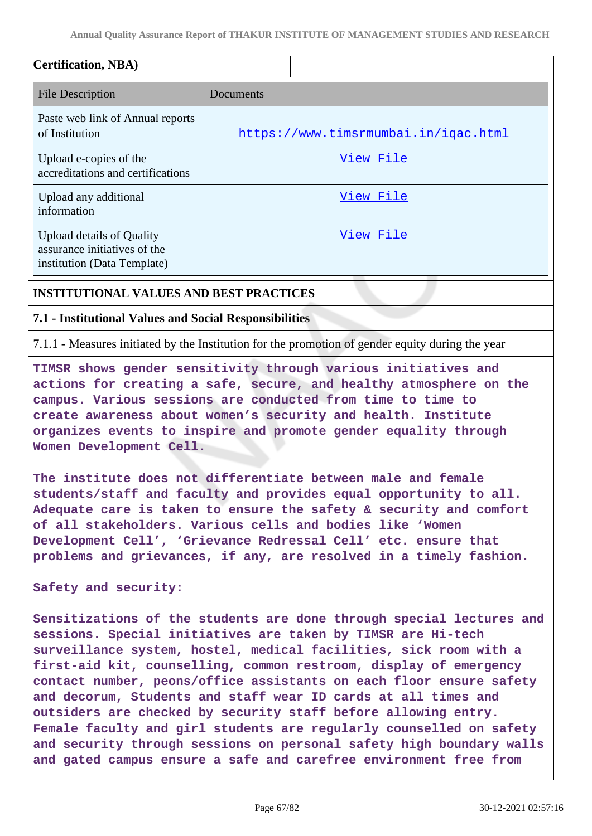**Annual Quality Assurance Report of THAKUR INSTITUTE OF MANAGEMENT STUDIES AND RESEARCH**

| <b>Certification, NBA)</b>                                                                      |                                      |
|-------------------------------------------------------------------------------------------------|--------------------------------------|
| <b>File Description</b>                                                                         | Documents                            |
| Paste web link of Annual reports<br>of Institution                                              | https://www.timsrmumbai.in/igac.html |
| Upload e-copies of the<br>accreditations and certifications                                     | View File                            |
| Upload any additional<br>information                                                            | View File                            |
| <b>Upload details of Quality</b><br>assurance initiatives of the<br>institution (Data Template) | View File                            |

### **INSTITUTIONAL VALUES AND BEST PRACTICES**

#### **7.1 - Institutional Values and Social Responsibilities**

7.1.1 - Measures initiated by the Institution for the promotion of gender equity during the year

**TIMSR shows gender sensitivity through various initiatives and actions for creating a safe, secure, and healthy atmosphere on the campus. Various sessions are conducted from time to time to create awareness about women's security and health. Institute organizes events to inspire and promote gender equality through Women Development Cell.**

**The institute does not differentiate between male and female students/staff and faculty and provides equal opportunity to all. Adequate care is taken to ensure the safety & security and comfort of all stakeholders. Various cells and bodies like 'Women Development Cell', 'Grievance Redressal Cell' etc. ensure that problems and grievances, if any, are resolved in a timely fashion.**

**Safety and security:**

**Sensitizations of the students are done through special lectures and sessions. Special initiatives are taken by TIMSR are Hi-tech surveillance system, hostel, medical facilities, sick room with a first-aid kit, counselling, common restroom, display of emergency contact number, peons/office assistants on each floor ensure safety and decorum, Students and staff wear ID cards at all times and outsiders are checked by security staff before allowing entry. Female faculty and girl students are regularly counselled on safety and security through sessions on personal safety high boundary walls and gated campus ensure a safe and carefree environment free from**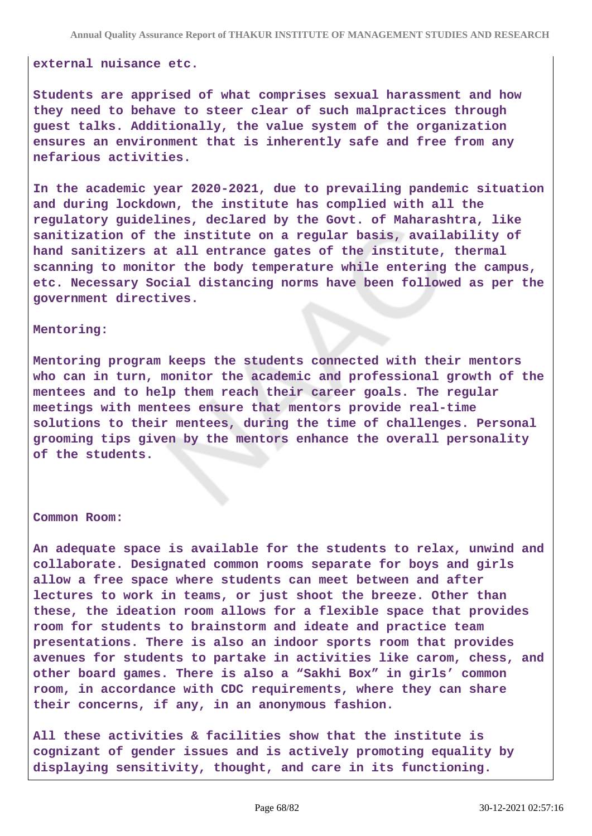#### **external nuisance etc.**

**Students are apprised of what comprises sexual harassment and how they need to behave to steer clear of such malpractices through guest talks. Additionally, the value system of the organization ensures an environment that is inherently safe and free from any nefarious activities.**

**In the academic year 2020-2021, due to prevailing pandemic situation and during lockdown, the institute has complied with all the regulatory guidelines, declared by the Govt. of Maharashtra, like sanitization of the institute on a regular basis, availability of hand sanitizers at all entrance gates of the institute, thermal scanning to monitor the body temperature while entering the campus, etc. Necessary Social distancing norms have been followed as per the government directives.**

#### **Mentoring:**

**Mentoring program keeps the students connected with their mentors who can in turn, monitor the academic and professional growth of the mentees and to help them reach their career goals. The regular meetings with mentees ensure that mentors provide real-time solutions to their mentees, during the time of challenges. Personal grooming tips given by the mentors enhance the overall personality of the students.**

#### **Common Room:**

**An adequate space is available for the students to relax, unwind and collaborate. Designated common rooms separate for boys and girls allow a free space where students can meet between and after lectures to work in teams, or just shoot the breeze. Other than these, the ideation room allows for a flexible space that provides room for students to brainstorm and ideate and practice team presentations. There is also an indoor sports room that provides avenues for students to partake in activities like carom, chess, and other board games. There is also a "Sakhi Box" in girls' common room, in accordance with CDC requirements, where they can share their concerns, if any, in an anonymous fashion.**

**All these activities & facilities show that the institute is cognizant of gender issues and is actively promoting equality by displaying sensitivity, thought, and care in its functioning.**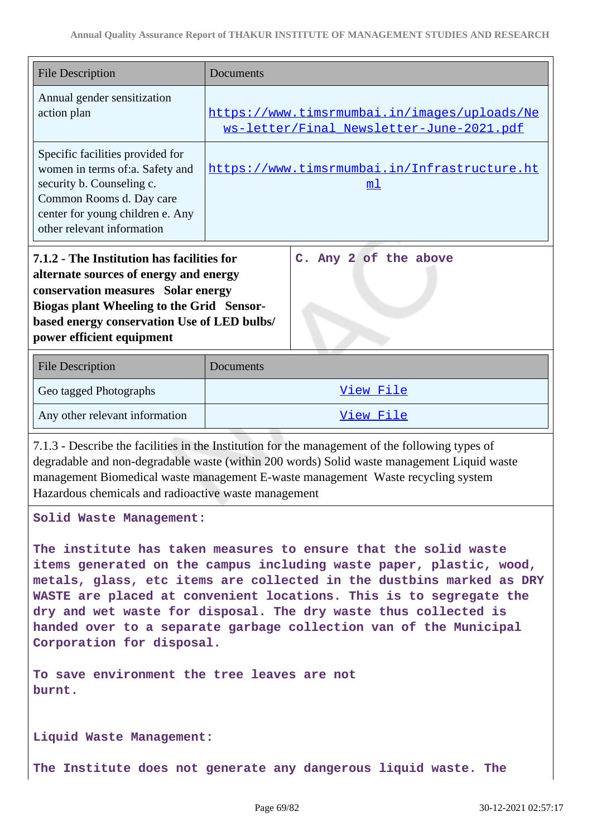| <b>File Description</b>                                                                                                                                                                                                                                                      | Documents                                                                                                                                                                                                                                                                         |  |  |
|------------------------------------------------------------------------------------------------------------------------------------------------------------------------------------------------------------------------------------------------------------------------------|-----------------------------------------------------------------------------------------------------------------------------------------------------------------------------------------------------------------------------------------------------------------------------------|--|--|
| Annual gender sensitization<br>action plan                                                                                                                                                                                                                                   | https://www.timsrmumbai.in/images/uploads/Ne<br>ws-letter/Final Newsletter-June-2021.pdf                                                                                                                                                                                          |  |  |
| Specific facilities provided for<br>women in terms of:a. Safety and<br>security b. Counseling c.<br>Common Rooms d. Day care<br>center for young children e. Any<br>other relevant information                                                                               | https://www.timsrmumbai.in/Infrastructure.ht<br>m <sub>1</sub>                                                                                                                                                                                                                    |  |  |
| 7.1.2 - The Institution has facilities for<br>C. Any 2 of the above<br>alternate sources of energy and energy<br>conservation measures Solar energy<br>Biogas plant Wheeling to the Grid Sensor-<br>based energy conservation Use of LED bulbs/<br>power efficient equipment |                                                                                                                                                                                                                                                                                   |  |  |
|                                                                                                                                                                                                                                                                              |                                                                                                                                                                                                                                                                                   |  |  |
| <b>File Description</b>                                                                                                                                                                                                                                                      | Documents                                                                                                                                                                                                                                                                         |  |  |
| Geo tagged Photographs                                                                                                                                                                                                                                                       | View File                                                                                                                                                                                                                                                                         |  |  |
| Any other relevant information                                                                                                                                                                                                                                               | View File                                                                                                                                                                                                                                                                         |  |  |
| Hazardous chemicals and radioactive waste management                                                                                                                                                                                                                         | 7.1.3 - Describe the facilities in the Institution for the management of the following types of<br>degradable and non-degradable waste (within 200 words) Solid waste management Liquid waste<br>management Biomedical waste management E-waste management Waste recycling system |  |  |
| Solid Waste Management:                                                                                                                                                                                                                                                      |                                                                                                                                                                                                                                                                                   |  |  |

**To save environment the tree leaves are not burnt.** 

**Liquid Waste Management:**

**The Institute does not generate any dangerous liquid waste. The**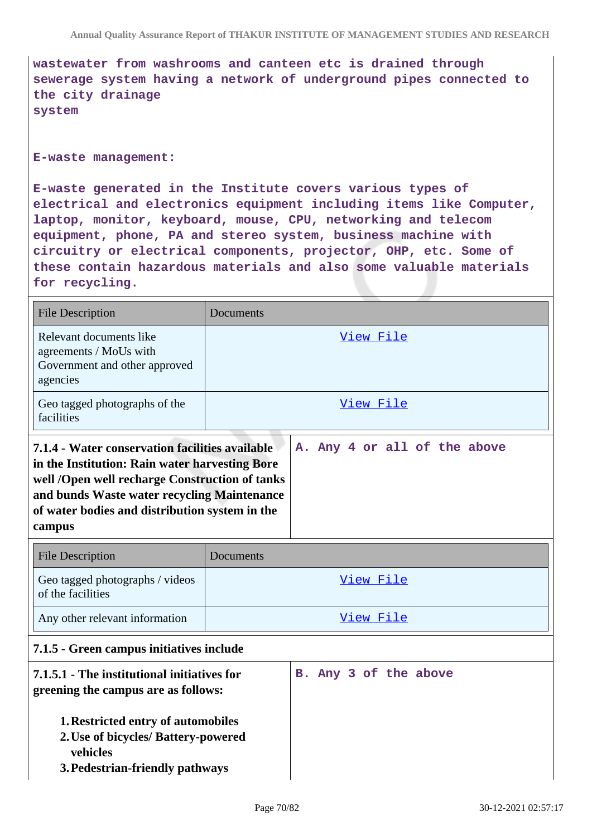**wastewater from washrooms and canteen etc is drained through sewerage system having a network of underground pipes connected to the city drainage system** 

#### **E-waste management:**

**E-waste generated in the Institute covers various types of electrical and electronics equipment including items like Computer, laptop, monitor, keyboard, mouse, CPU, networking and telecom equipment, phone, PA and stereo system, business machine with circuitry or electrical components, projector, OHP, etc. Some of these contain hazardous materials and also some valuable materials for recycling.**

| <b>File Description</b>                                                                                                                                                                                                                                                                        | <b>Documents</b> |                       |  |  |
|------------------------------------------------------------------------------------------------------------------------------------------------------------------------------------------------------------------------------------------------------------------------------------------------|------------------|-----------------------|--|--|
| Relevant documents like<br>agreements / MoUs with<br>Government and other approved<br>agencies                                                                                                                                                                                                 | View File        |                       |  |  |
| Geo tagged photographs of the<br>facilities                                                                                                                                                                                                                                                    | View File        |                       |  |  |
| A. Any 4 or all of the above<br>7.1.4 - Water conservation facilities available<br>in the Institution: Rain water harvesting Bore<br>well /Open well recharge Construction of tanks<br>and bunds Waste water recycling Maintenance<br>of water bodies and distribution system in the<br>campus |                  |                       |  |  |
|                                                                                                                                                                                                                                                                                                |                  |                       |  |  |
| <b>File Description</b>                                                                                                                                                                                                                                                                        | Documents        |                       |  |  |
| Geo tagged photographs / videos<br>of the facilities                                                                                                                                                                                                                                           |                  | View File             |  |  |
| Any other relevant information                                                                                                                                                                                                                                                                 |                  | View File             |  |  |
| 7.1.5 - Green campus initiatives include                                                                                                                                                                                                                                                       |                  |                       |  |  |
| 7.1.5.1 - The institutional initiatives for<br>greening the campus are as follows:                                                                                                                                                                                                             |                  | B. Any 3 of the above |  |  |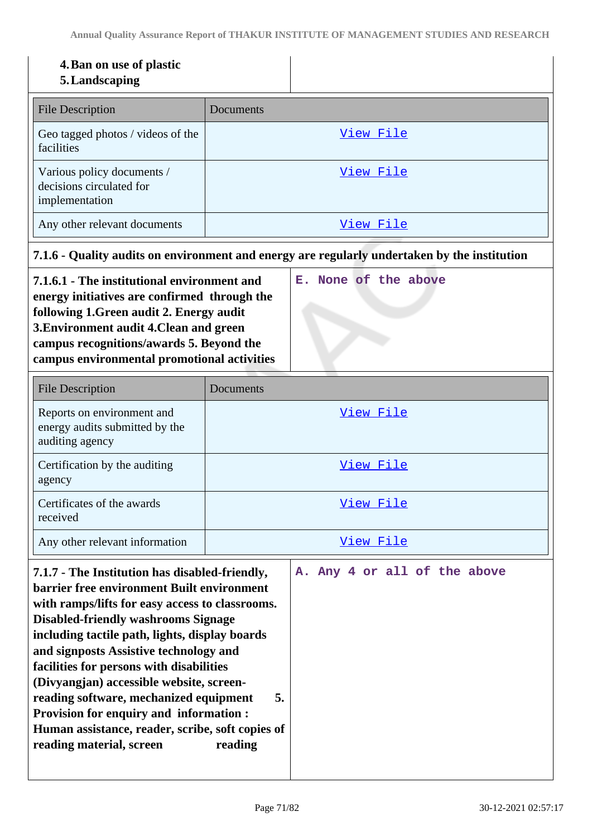### **4.Ban on use of plastic**

### **5.Landscaping**

| <b>File Description</b>                                                  | Documents |
|--------------------------------------------------------------------------|-----------|
| Geo tagged photos / videos of the<br>facilities                          | View File |
| Various policy documents /<br>decisions circulated for<br>implementation | View File |
| Any other relevant documents                                             | View File |

### **7.1.6 - Quality audits on environment and energy are regularly undertaken by the institution**

**E. None of the above**

**7.1.6.1 - The institutional environment and energy initiatives are confirmed through the following 1.Green audit 2. Energy audit 3.Environment audit 4.Clean and green campus recognitions/awards 5. Beyond the campus environmental promotional activities**

| <b>File Description</b>                                                         | Documents |
|---------------------------------------------------------------------------------|-----------|
| Reports on environment and<br>energy audits submitted by the<br>auditing agency | View File |
| Certification by the auditing<br>agency                                         | View File |
| Certificates of the awards<br>received                                          | View File |
| Any other relevant information                                                  | View File |

| 7.1.7 - The Institution has disabled-friendly,<br><b>barrier free environment Built environment</b> |  |  |  | A. Any 4 or all of the above |
|-----------------------------------------------------------------------------------------------------|--|--|--|------------------------------|
| with ramps/lifts for easy access to classrooms.                                                     |  |  |  |                              |
| <b>Disabled-friendly washrooms Signage</b>                                                          |  |  |  |                              |
| including tactile path, lights, display boards                                                      |  |  |  |                              |
| and signposts Assistive technology and                                                              |  |  |  |                              |
| facilities for persons with disabilities                                                            |  |  |  |                              |
| (Divyangjan) accessible website, screen-                                                            |  |  |  |                              |
| 5.<br>reading software, mechanized equipment                                                        |  |  |  |                              |
| <b>Provision for enquiry and information:</b>                                                       |  |  |  |                              |
| Human assistance, reader, scribe, soft copies of                                                    |  |  |  |                              |
| reading material, screen<br>reading                                                                 |  |  |  |                              |
|                                                                                                     |  |  |  |                              |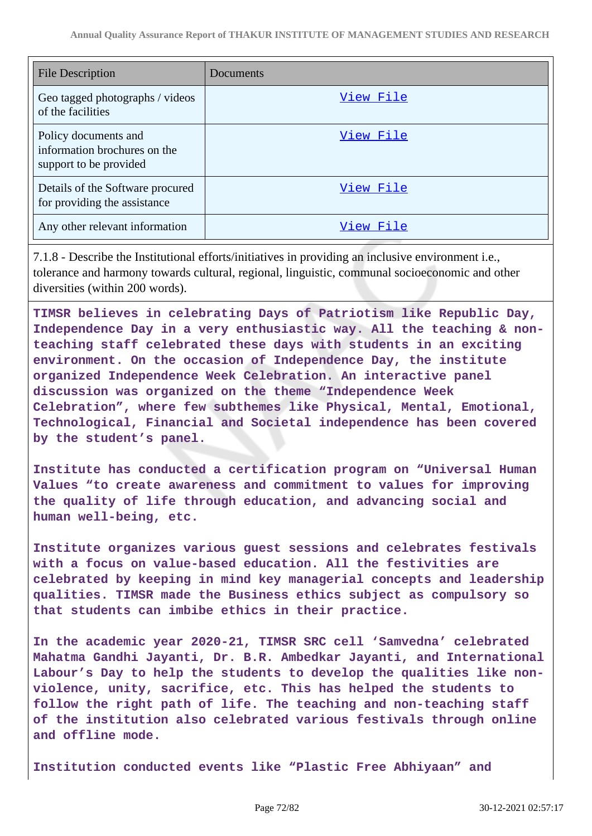| File Description                                                               | Documents |
|--------------------------------------------------------------------------------|-----------|
| Geo tagged photographs / videos<br>of the facilities                           | View File |
| Policy documents and<br>information brochures on the<br>support to be provided | View File |
| Details of the Software procured<br>for providing the assistance               | View File |
| Any other relevant information                                                 | View File |

7.1.8 - Describe the Institutional efforts/initiatives in providing an inclusive environment i.e., tolerance and harmony towards cultural, regional, linguistic, communal socioeconomic and other diversities (within 200 words).

**TIMSR believes in celebrating Days of Patriotism like Republic Day, Independence Day in a very enthusiastic way. All the teaching & nonteaching staff celebrated these days with students in an exciting environment. On the occasion of Independence Day, the institute organized Independence Week Celebration. An interactive panel discussion was organized on the theme "Independence Week Celebration", where few subthemes like Physical, Mental, Emotional, Technological, Financial and Societal independence has been covered by the student's panel.**

**Institute has conducted a certification program on "Universal Human Values "to create awareness and commitment to values for improving the quality of life through education, and advancing social and human well-being, etc.** 

**Institute organizes various guest sessions and celebrates festivals with a focus on value-based education. All the festivities are celebrated by keeping in mind key managerial concepts and leadership qualities. TIMSR made the Business ethics subject as compulsory so that students can imbibe ethics in their practice.**

**In the academic year 2020-21, TIMSR SRC cell 'Samvedna' celebrated Mahatma Gandhi Jayanti, Dr. B.R. Ambedkar Jayanti, and International Labour's Day to help the students to develop the qualities like nonviolence, unity, sacrifice, etc. This has helped the students to follow the right path of life. The teaching and non-teaching staff of the institution also celebrated various festivals through online and offline mode.**

**Institution conducted events like "Plastic Free Abhiyaan" and**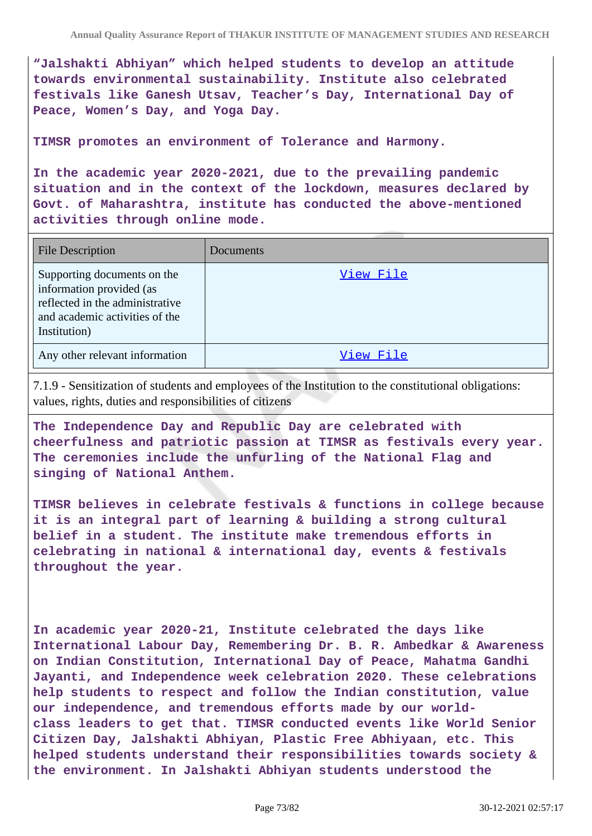**"Jalshakti Abhiyan" which helped students to develop an attitude towards environmental sustainability. Institute also celebrated festivals like Ganesh Utsav, Teacher's Day, International Day of Peace, Women's Day, and Yoga Day.** 

**TIMSR promotes an environment of Tolerance and Harmony.**

**In the academic year 2020-2021, due to the prevailing pandemic situation and in the context of the lockdown, measures declared by Govt. of Maharashtra, institute has conducted the above-mentioned activities through online mode.**

| <b>File Description</b>                                                                                                                      | Documents |
|----------------------------------------------------------------------------------------------------------------------------------------------|-----------|
| Supporting documents on the<br>information provided (as<br>reflected in the administrative<br>and academic activities of the<br>Institution) | View File |
| Any other relevant information                                                                                                               | View File |

7.1.9 - Sensitization of students and employees of the Institution to the constitutional obligations: values, rights, duties and responsibilities of citizens

**The Independence Day and Republic Day are celebrated with cheerfulness and patriotic passion at TIMSR as festivals every year. The ceremonies include the unfurling of the National Flag and singing of National Anthem.**

**TIMSR believes in celebrate festivals & functions in college because it is an integral part of learning & building a strong cultural belief in a student. The institute make tremendous efforts in celebrating in national & international day, events & festivals throughout the year.**

**In academic year 2020-21, Institute celebrated the days like International Labour Day, Remembering Dr. B. R. Ambedkar & Awareness on Indian Constitution, International Day of Peace, Mahatma Gandhi Jayanti, and Independence week celebration 2020. These celebrations help students to respect and follow the Indian constitution, value our independence, and tremendous efforts made by our worldclass leaders to get that. TIMSR conducted events like World Senior Citizen Day, Jalshakti Abhiyan, Plastic Free Abhiyaan, etc. This helped students understand their responsibilities towards society & the environment. In Jalshakti Abhiyan students understood the**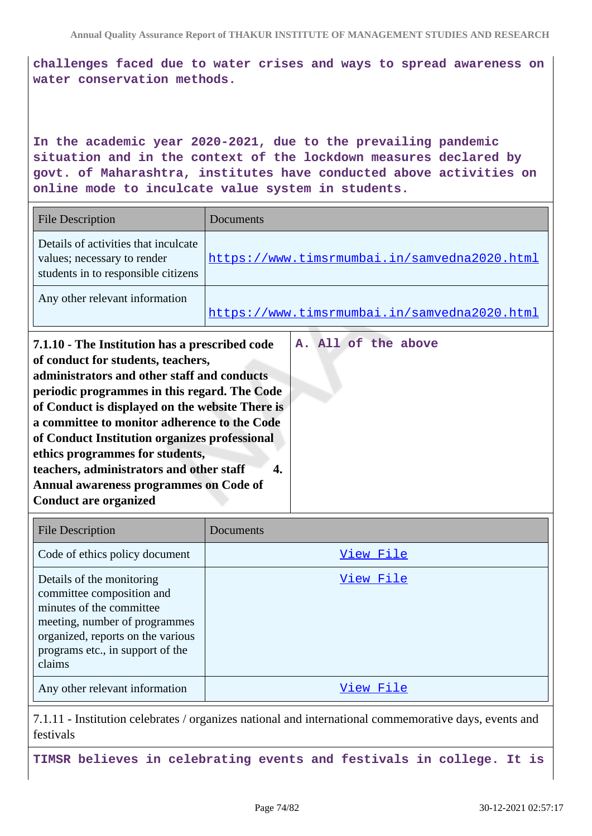**challenges faced due to water crises and ways to spread awareness on water conservation methods.**

**In the academic year 2020-2021, due to the prevailing pandemic situation and in the context of the lockdown measures declared by govt. of Maharashtra, institutes have conducted above activities on online mode to inculcate value system in students.**

| <b>File Description</b>                                                                                                                                                                                                                                                                                                                                                                                                                                                                          | Documents                                    |
|--------------------------------------------------------------------------------------------------------------------------------------------------------------------------------------------------------------------------------------------------------------------------------------------------------------------------------------------------------------------------------------------------------------------------------------------------------------------------------------------------|----------------------------------------------|
| Details of activities that inculcate<br>values; necessary to render<br>students in to responsible citizens                                                                                                                                                                                                                                                                                                                                                                                       | https://www.timsrmumbai.in/samvedna2020.html |
| Any other relevant information                                                                                                                                                                                                                                                                                                                                                                                                                                                                   | https://www.timsrmumbai.in/samvedna2020.html |
| 7.1.10 - The Institution has a prescribed code<br>of conduct for students, teachers,<br>administrators and other staff and conducts<br>periodic programmes in this regard. The Code<br>of Conduct is displayed on the website There is<br>a committee to monitor adherence to the Code<br>of Conduct Institution organizes professional<br>ethics programmes for students,<br>teachers, administrators and other staff<br>Annual awareness programmes on Code of<br><b>Conduct are organized</b> | A. All of the above<br>4.                    |

| <b>File Description</b>                                                                                                                                                                                | Documents |
|--------------------------------------------------------------------------------------------------------------------------------------------------------------------------------------------------------|-----------|
| Code of ethics policy document                                                                                                                                                                         | View File |
| Details of the monitoring<br>committee composition and<br>minutes of the committee<br>meeting, number of programmes<br>organized, reports on the various<br>programs etc., in support of the<br>claims | View File |
| Any other relevant information                                                                                                                                                                         | View File |

7.1.11 - Institution celebrates / organizes national and international commemorative days, events and festivals

**TIMSR believes in celebrating events and festivals in college. It is**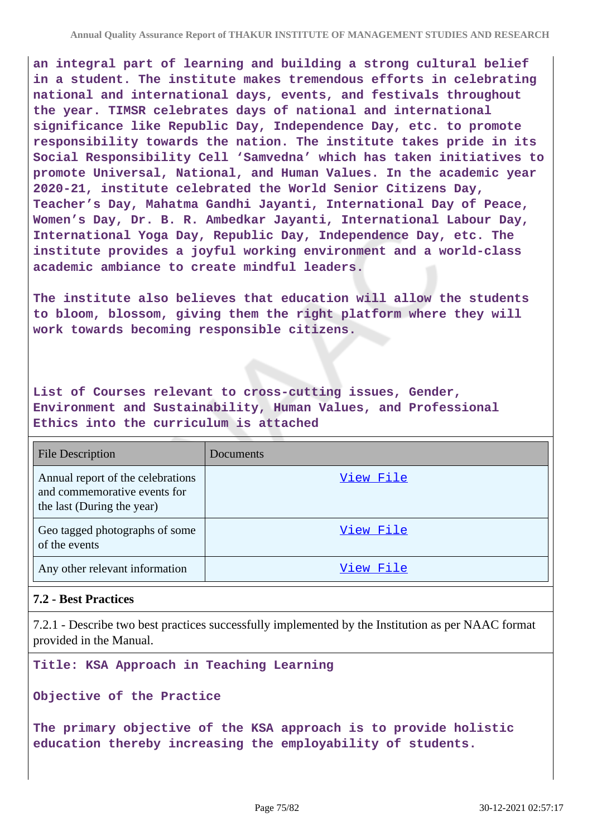**an integral part of learning and building a strong cultural belief in a student. The institute makes tremendous efforts in celebrating national and international days, events, and festivals throughout the year. TIMSR celebrates days of national and international significance like Republic Day, Independence Day, etc. to promote responsibility towards the nation. The institute takes pride in its Social Responsibility Cell 'Samvedna' which has taken initiatives to promote Universal, National, and Human Values. In the academic year 2020-21, institute celebrated the World Senior Citizens Day, Teacher's Day, Mahatma Gandhi Jayanti, International Day of Peace, Women's Day, Dr. B. R. Ambedkar Jayanti, International Labour Day, International Yoga Day, Republic Day, Independence Day, etc. The institute provides a joyful working environment and a world-class academic ambiance to create mindful leaders.**

**The institute also believes that education will allow the students to bloom, blossom, giving them the right platform where they will work towards becoming responsible citizens.**

**List of Courses relevant to cross-cutting issues, Gender, Environment and Sustainability, Human Values, and Professional Ethics into the curriculum is attached**

| <b>File Description</b>                                                                         | Documents |
|-------------------------------------------------------------------------------------------------|-----------|
| Annual report of the celebrations<br>and commemorative events for<br>the last (During the year) | View File |
| Geo tagged photographs of some<br>of the events                                                 | View File |
| Any other relevant information                                                                  | View File |

# **7.2 - Best Practices**

7.2.1 - Describe two best practices successfully implemented by the Institution as per NAAC format provided in the Manual.

**Title: KSA Approach in Teaching Learning** 

**Objective of the Practice**

**The primary objective of the KSA approach is to provide holistic education thereby increasing the employability of students.**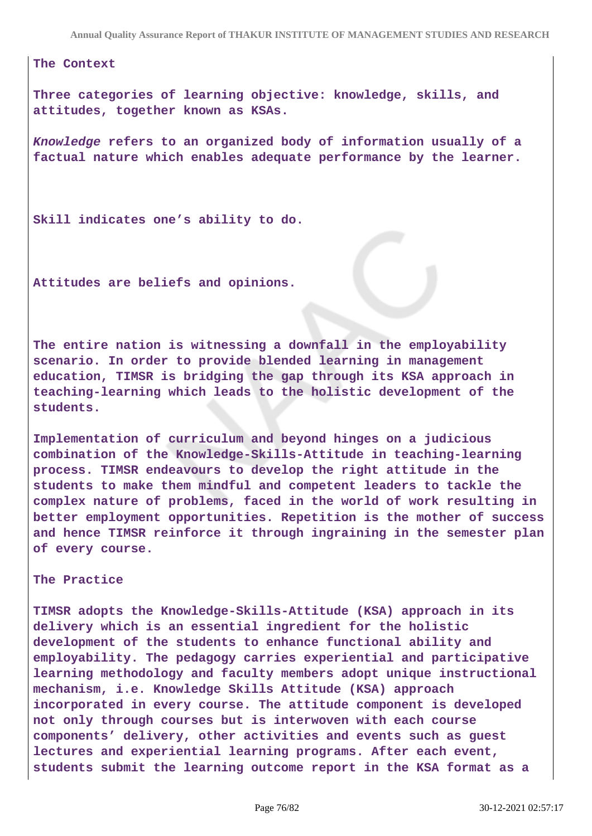**Annual Quality Assurance Report of THAKUR INSTITUTE OF MANAGEMENT STUDIES AND RESEARCH**

**The Context**

**Three categories of learning objective: knowledge, skills, and attitudes, together known as KSAs.**

**Knowledge refers to an organized body of information usually of a factual nature which enables adequate performance by the learner.**

**Skill indicates one's ability to do.**

**Attitudes are beliefs and opinions.**

**The entire nation is witnessing a downfall in the employability scenario. In order to provide blended learning in management education, TIMSR is bridging the gap through its KSA approach in teaching-learning which leads to the holistic development of the students.**

**Implementation of curriculum and beyond hinges on a judicious combination of the Knowledge-Skills-Attitude in teaching-learning process. TIMSR endeavours to develop the right attitude in the students to make them mindful and competent leaders to tackle the complex nature of problems, faced in the world of work resulting in better employment opportunities. Repetition is the mother of success and hence TIMSR reinforce it through ingraining in the semester plan of every course.**

**The Practice**

**TIMSR adopts the Knowledge-Skills-Attitude (KSA) approach in its delivery which is an essential ingredient for the holistic development of the students to enhance functional ability and employability. The pedagogy carries experiential and participative learning methodology and faculty members adopt unique instructional mechanism, i.e. Knowledge Skills Attitude (KSA) approach incorporated in every course. The attitude component is developed not only through courses but is interwoven with each course components' delivery, other activities and events such as guest lectures and experiential learning programs. After each event, students submit the learning outcome report in the KSA format as a**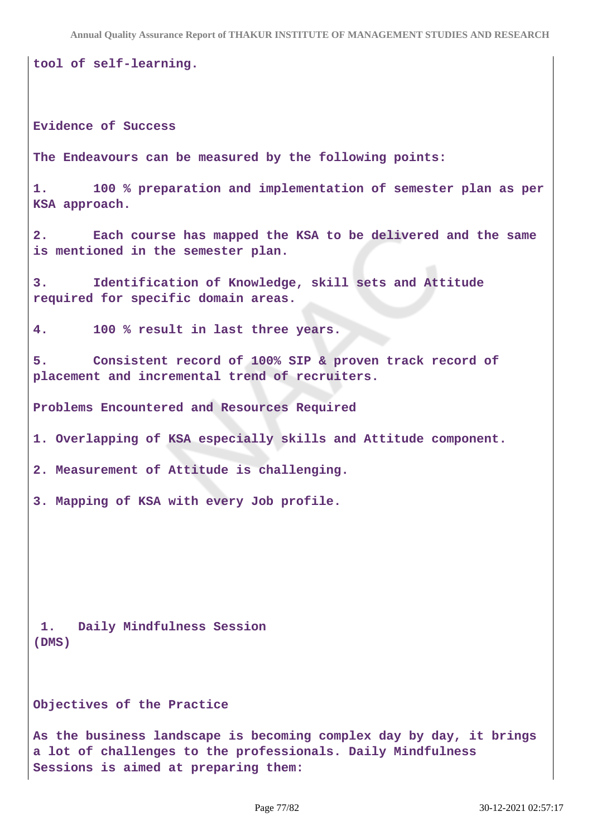**tool of self-learning.**

**Evidence of Success**

**The Endeavours can be measured by the following points:**

**1. 100 % preparation and implementation of semester plan as per KSA approach.**

**2. Each course has mapped the KSA to be delivered and the same is mentioned in the semester plan.**

**3. Identification of Knowledge, skill sets and Attitude required for specific domain areas.**

**4. 100 % result in last three years.**

**5. Consistent record of 100% SIP & proven track record of placement and incremental trend of recruiters.**

**Problems Encountered and Resources Required**

**1. Overlapping of KSA especially skills and Attitude component.**

**2. Measurement of Attitude is challenging.**

**3. Mapping of KSA with every Job profile.**

**1. Daily Mindfulness Session (DMS)** 

**Objectives of the Practice**

**As the business landscape is becoming complex day by day, it brings a lot of challenges to the professionals. Daily Mindfulness Sessions is aimed at preparing them:**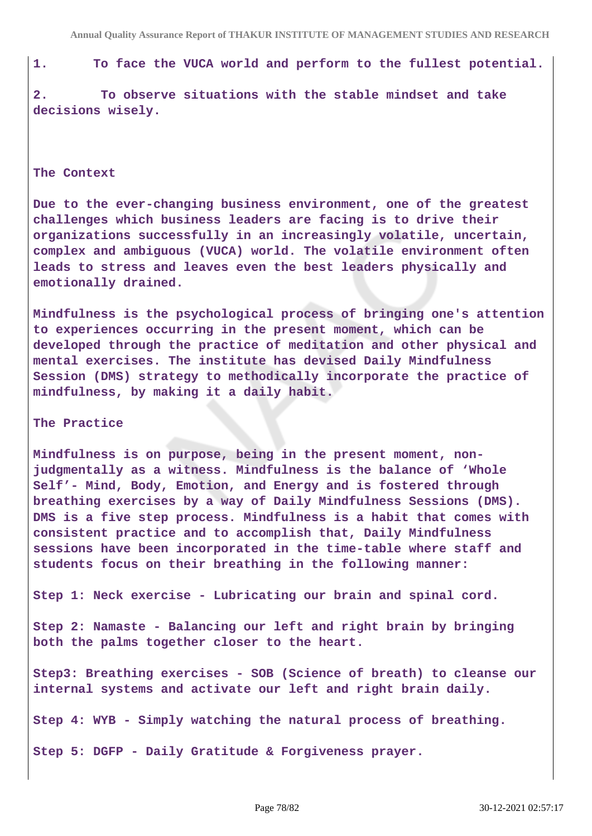**1. To face the VUCA world and perform to the fullest potential.**

**2. To observe situations with the stable mindset and take decisions wisely.**

### **The Context**

**Due to the ever-changing business environment, one of the greatest challenges which business leaders are facing is to drive their organizations successfully in an increasingly volatile, uncertain, complex and ambiguous (VUCA) world. The volatile environment often leads to stress and leaves even the best leaders physically and emotionally drained.**

**Mindfulness is the psychological process of bringing one's attention to experiences occurring in the present moment, which can be developed through the practice of meditation and other physical and mental exercises. The institute has devised Daily Mindfulness Session (DMS) strategy to methodically incorporate the practice of mindfulness, by making it a daily habit.**

#### **The Practice**

**Mindfulness is on purpose, being in the present moment, nonjudgmentally as a witness. Mindfulness is the balance of 'Whole Self'- Mind, Body, Emotion, and Energy and is fostered through breathing exercises by a way of Daily Mindfulness Sessions (DMS). DMS is a five step process. Mindfulness is a habit that comes with consistent practice and to accomplish that, Daily Mindfulness sessions have been incorporated in the time-table where staff and students focus on their breathing in the following manner:**

**Step 1: Neck exercise - Lubricating our brain and spinal cord.**

**Step 2: Namaste - Balancing our left and right brain by bringing both the palms together closer to the heart.**

**Step3: Breathing exercises - SOB (Science of breath) to cleanse our internal systems and activate our left and right brain daily.**

**Step 4: WYB - Simply watching the natural process of breathing.**

**Step 5: DGFP - Daily Gratitude & Forgiveness prayer.**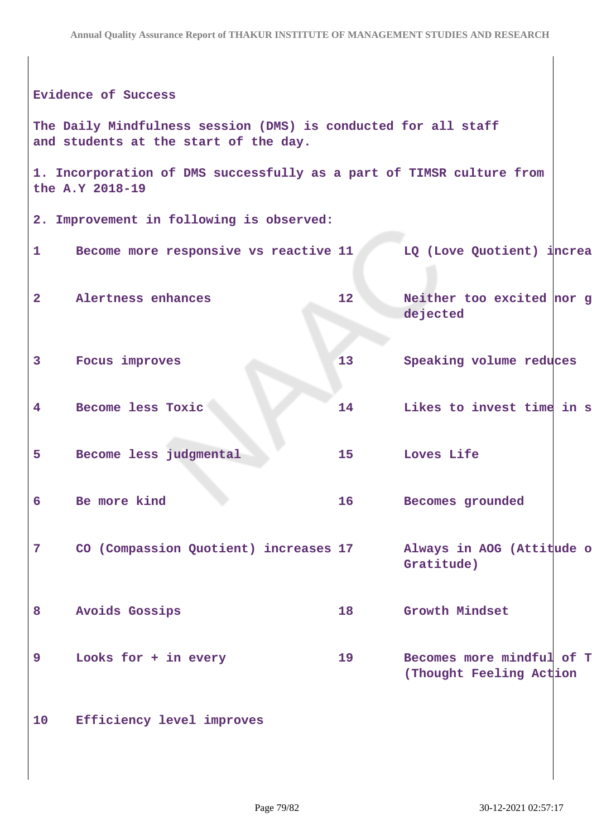|                | <b>Evidence of Success</b>                                                                              |                 |                                                      |  |  |  |
|----------------|---------------------------------------------------------------------------------------------------------|-----------------|------------------------------------------------------|--|--|--|
|                | The Daily Mindfulness session (DMS) is conducted for all staff<br>and students at the start of the day. |                 |                                                      |  |  |  |
|                | 1. Incorporation of DMS successfully as a part of TIMSR culture from<br>the A.Y 2018-19                 |                 |                                                      |  |  |  |
|                | 2. Improvement in following is observed:                                                                |                 |                                                      |  |  |  |
| $\mathbf{1}$   | Become more responsive vs reactive 11                                                                   |                 | LQ (Love Quotient) increa                            |  |  |  |
| $\mathbf{2}$   | Alertness enhances                                                                                      | 12 <sup>1</sup> | Neither too excited nor g<br>dejected                |  |  |  |
| 3              | Focus improves                                                                                          | 13              | Speaking volume reduces                              |  |  |  |
| 4              | Become less Toxic                                                                                       | 14              | Likes to invest time in s                            |  |  |  |
| 5              | Become less judgmental                                                                                  | 15              | Loves Life                                           |  |  |  |
| 6              | Be more kind                                                                                            | 16              | Becomes grounded                                     |  |  |  |
| $\overline{7}$ | CO (Compassion Quotient) increases 17                                                                   |                 | Always in AOG (Attitude o<br>Gratitude)              |  |  |  |
| 8              | <b>Avoids Gossips</b>                                                                                   | 18              | Growth Mindset                                       |  |  |  |
| 9              | Looks for + in every                                                                                    | 19              | Becomes more mindful of T<br>(Thought Feeling Action |  |  |  |
| 10             | Efficiency level improves                                                                               |                 |                                                      |  |  |  |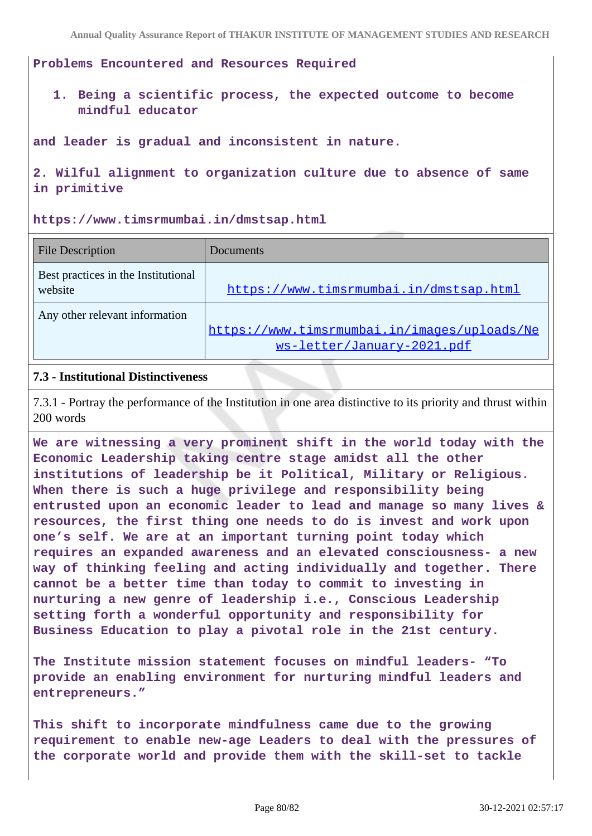**Problems Encountered and Resources Required**

**1. Being a scientific process, the expected outcome to become mindful educator** 

**and leader is gradual and inconsistent in nature.**

**2. Wilful alignment to organization culture due to absence of same in primitive**

**https://www.timsrmumbai.in/dmstsap.html**

| <b>File Description</b>                        | Documents                                                                  |
|------------------------------------------------|----------------------------------------------------------------------------|
| Best practices in the Institutional<br>website | https://www.timsrmumbai.in/dmstsap.html                                    |
| Any other relevant information                 | https://www.timsrmumbai.in/images/uploads/Ne<br>ws-letter/January-2021.pdf |

### **7.3 - Institutional Distinctiveness**

7.3.1 - Portray the performance of the Institution in one area distinctive to its priority and thrust within 200 words

**We are witnessing a very prominent shift in the world today with the Economic Leadership taking centre stage amidst all the other institutions of leadership be it Political, Military or Religious. When there is such a huge privilege and responsibility being entrusted upon an economic leader to lead and manage so many lives & resources, the first thing one needs to do is invest and work upon one's self. We are at an important turning point today which requires an expanded awareness and an elevated consciousness- a new way of thinking feeling and acting individually and together. There cannot be a better time than today to commit to investing in nurturing a new genre of leadership i.e., Conscious Leadership setting forth a wonderful opportunity and responsibility for Business Education to play a pivotal role in the 21st century.**

**The Institute mission statement focuses on mindful leaders- "To provide an enabling environment for nurturing mindful leaders and entrepreneurs."**

**This shift to incorporate mindfulness came due to the growing requirement to enable new-age Leaders to deal with the pressures of the corporate world and provide them with the skill-set to tackle**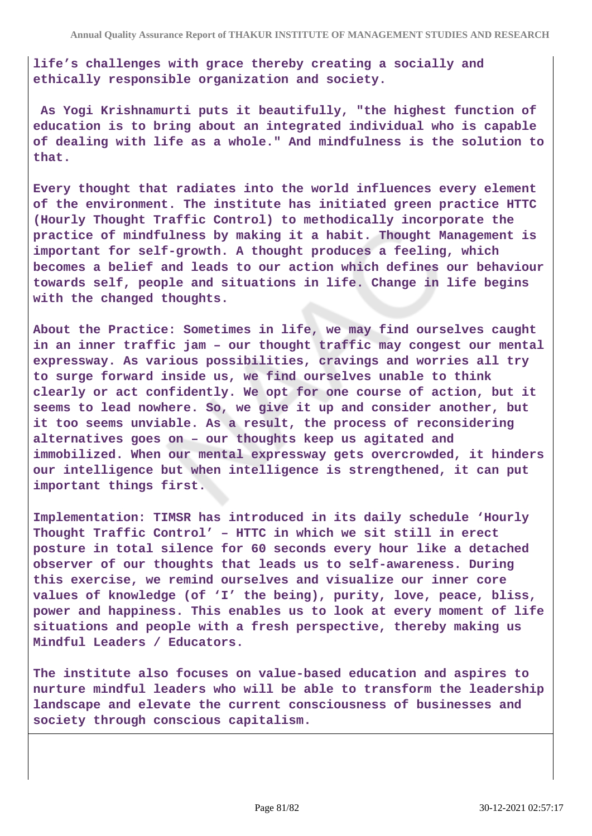**life's challenges with grace thereby creating a socially and ethically responsible organization and society.**

 **As Yogi Krishnamurti puts it beautifully, "the highest function of education is to bring about an integrated individual who is capable of dealing with life as a whole." And mindfulness is the solution to that.**

**Every thought that radiates into the world influences every element of the environment. The institute has initiated green practice HTTC (Hourly Thought Traffic Control) to methodically incorporate the practice of mindfulness by making it a habit. Thought Management is important for self-growth. A thought produces a feeling, which becomes a belief and leads to our action which defines our behaviour towards self, people and situations in life. Change in life begins with the changed thoughts.**

**About the Practice: Sometimes in life, we may find ourselves caught in an inner traffic jam – our thought traffic may congest our mental expressway. As various possibilities, cravings and worries all try to surge forward inside us, we find ourselves unable to think clearly or act confidently. We opt for one course of action, but it seems to lead nowhere. So, we give it up and consider another, but it too seems unviable. As a result, the process of reconsidering alternatives goes on – our thoughts keep us agitated and immobilized. When our mental expressway gets overcrowded, it hinders our intelligence but when intelligence is strengthened, it can put important things first.**

**Implementation: TIMSR has introduced in its daily schedule 'Hourly Thought Traffic Control' – HTTC in which we sit still in erect posture in total silence for 60 seconds every hour like a detached observer of our thoughts that leads us to self-awareness. During this exercise, we remind ourselves and visualize our inner core values of knowledge (of 'I' the being), purity, love, peace, bliss, power and happiness. This enables us to look at every moment of life situations and people with a fresh perspective, thereby making us Mindful Leaders / Educators.**

**The institute also focuses on value-based education and aspires to nurture mindful leaders who will be able to transform the leadership landscape and elevate the current consciousness of businesses and society through conscious capitalism.**